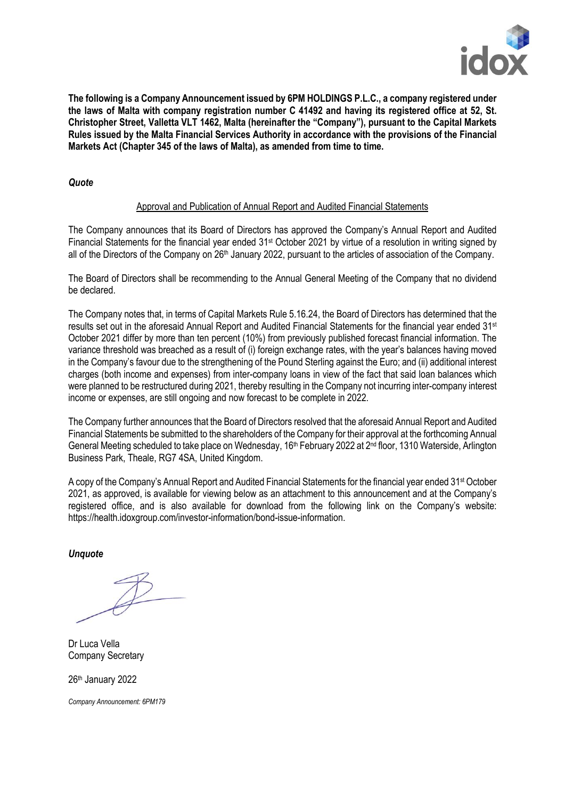

**The following is a Company Announcement issued by 6PM HOLDINGS P.L.C., a company registered under** the laws of Malta with company registration number C 41492 and having its registered office at 52. St. **Christopher Street, Valletta VLT 1462, Malta (hereinafter the "Company"), pursuant to the Capital Markets Rules issued by the Malta Financial Services Authority in accordance with the provisions of the Financial Markets Act (Chapter 345 of the laws of Malta), as amended from time to time.**

### *Quote*

#### Approval and Publication of Annual Report and Audited Financial Statements

The Company announces that its Board of Directors has approved the Company's Annual Report and Audited Financial Statements for the financial year ended 31st October 2021 by virtue of a resolution in writing signed by all of the Directors of the Company on 26<sup>th</sup> January 2022, pursuant to the articles of association of the Company.

The Board of Directors shall be recommending to the Annual General Meeting of the Company that no dividend be declared.

The Company notes that, in terms of Capital Markets Rule 5.16.24, the Board of Directors has determined that the results set out in the aforesaid Annual Report and Audited Financial Statements for the financial year ended 31st October 2021 differ by more than ten percent (10%) from previously published forecast financial information. The variance threshold was breached as a result of (i) foreign exchange rates, with the year's balances having moved in the Company's favour due to the strengthening of the Pound Sterling against the Euro; and (ii) additional interest charges (both income and expenses) from inter-company loans in view of the fact that said loan balances which were planned to be restructured during 2021, thereby resulting in the Company not incurring inter-company interest income or expenses, are still ongoing and now forecast to be complete in 2022.

The Company further announces that the Board of Directors resolved that the aforesaid Annual Report and Audited Financial Statements be submitted to the shareholders of the Company for their approval at the forthcoming Annual General Meeting scheduled to take place on Wednesday, 16<sup>th</sup> February 2022 at 2<sup>nd</sup> floor, 1310 Waterside, Arlington Business Park, Theale, RG7 4SA, United Kingdom.

A copy of the Company's Annual Report and Audited Financial Statements for the financial year ended 31<sup>st</sup> October 2021, as approved, is available for viewing below as an attachment to this announcement and at the Company's registered office, and is also available for download from the following link on the Company's website: https://health.idoxgroup.com/investor-information/bond-issue-information.

*Unquote*

Dr Luca Vella Company Secretary

26 th January 2022

*Company Announcement: 6PM179*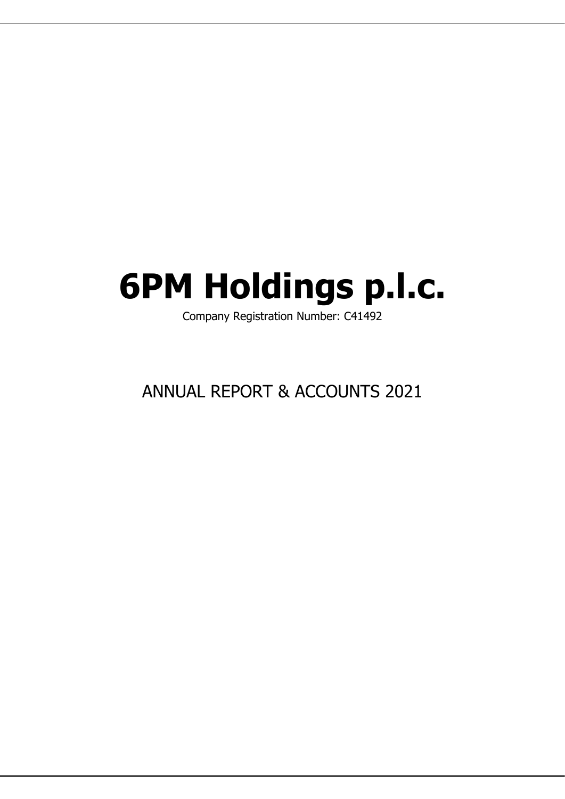# **6PM Holdings p.l.c.**

Company Registration Number: C41492

# ANNUAL REPORT & ACCOUNTS 2021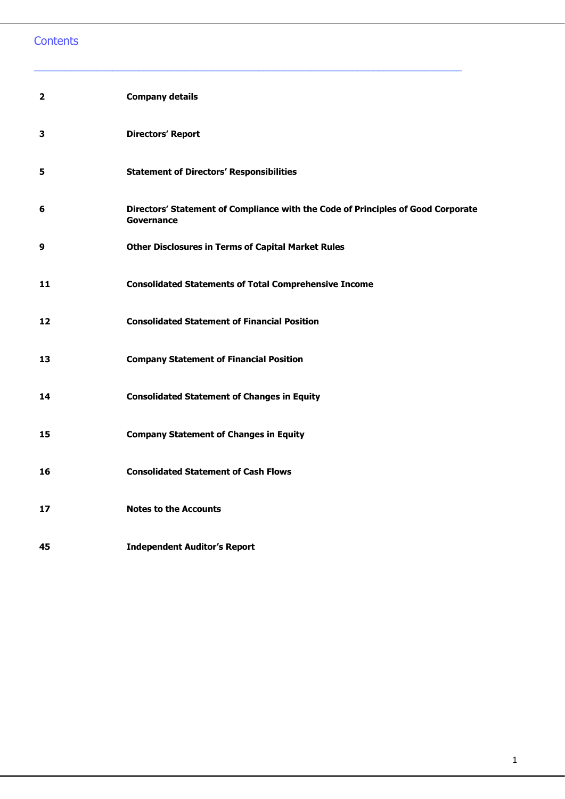# **Contents**

| $\overline{2}$ | <b>Company details</b>                                                                                |
|----------------|-------------------------------------------------------------------------------------------------------|
| 3              | <b>Directors' Report</b>                                                                              |
| 5              | <b>Statement of Directors' Responsibilities</b>                                                       |
| 6              | Directors' Statement of Compliance with the Code of Principles of Good Corporate<br><b>Governance</b> |
| 9              | <b>Other Disclosures in Terms of Capital Market Rules</b>                                             |
| 11             | <b>Consolidated Statements of Total Comprehensive Income</b>                                          |
| 12             | <b>Consolidated Statement of Financial Position</b>                                                   |
| 13             | <b>Company Statement of Financial Position</b>                                                        |
| 14             | <b>Consolidated Statement of Changes in Equity</b>                                                    |
| 15             | <b>Company Statement of Changes in Equity</b>                                                         |
| 16             | <b>Consolidated Statement of Cash Flows</b>                                                           |
| 17             | <b>Notes to the Accounts</b>                                                                          |
| 45             | <b>Independent Auditor's Report</b>                                                                   |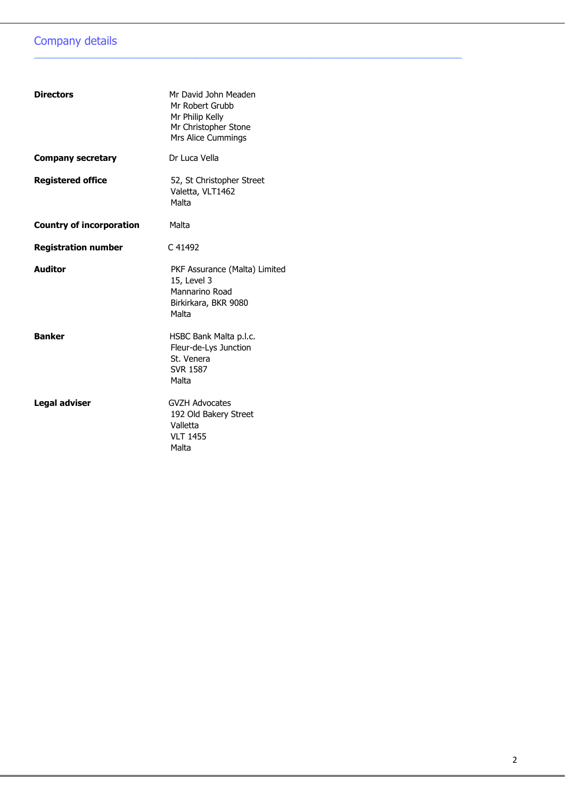# Company details

| <b>Directors</b>                | Mr David John Meaden<br>Mr Robert Grubb<br>Mr Philip Kelly<br>Mr Christopher Stone<br>Mrs Alice Cummings |
|---------------------------------|----------------------------------------------------------------------------------------------------------|
| <b>Company secretary</b>        | Dr Luca Vella                                                                                            |
| <b>Registered office</b>        | 52, St Christopher Street<br>Valetta, VLT1462<br>Malta                                                   |
| <b>Country of incorporation</b> | Malta                                                                                                    |
| <b>Registration number</b>      | C 41492                                                                                                  |
| <b>Auditor</b>                  | PKF Assurance (Malta) Limited<br>15, Level 3<br>Mannarino Road<br>Birkirkara, BKR 9080<br>Malta          |
| <b>Banker</b>                   | HSBC Bank Malta p.l.c.<br>Fleur-de-Lys Junction<br>St. Venera<br><b>SVR 1587</b><br>Malta                |
| <b>Legal adviser</b>            | <b>GVZH Advocates</b><br>192 Old Bakery Street<br>Valletta<br><b>VLT 1455</b><br>Malta                   |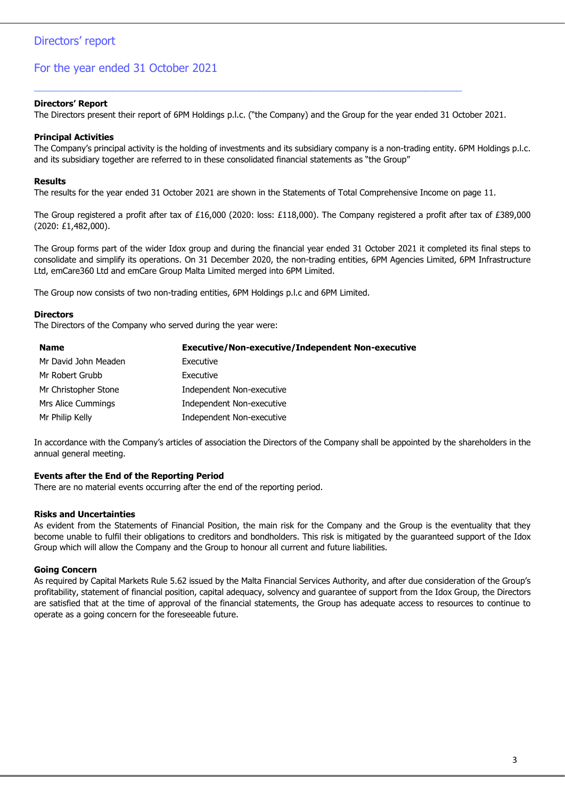#### **Directors' Report**

The Directors present their report of 6PM Holdings p.l.c. ("the Company) and the Group for the year ended 31 October 2021.

\_\_\_\_\_\_\_\_\_\_\_\_\_\_\_\_\_\_\_\_\_\_\_\_\_\_\_\_\_\_\_\_\_\_\_\_\_\_\_\_\_\_\_\_\_\_\_\_\_\_\_\_\_\_\_\_\_\_\_\_\_\_\_\_\_\_\_\_\_\_\_\_\_\_\_\_\_\_\_\_\_\_

#### **Principal Activities**

The Company's principal activity is the holding of investments and its subsidiary company is a non-trading entity. 6PM Holdings p.l.c. and its subsidiary together are referred to in these consolidated financial statements as "the Group"

#### **Results**

The results for the year ended 31 October 2021 are shown in the Statements of Total Comprehensive Income on page 11.

The Group registered a profit after tax of £16,000 (2020: loss: £118,000). The Company registered a profit after tax of £389,000 (2020: £1,482,000).

The Group forms part of the wider Idox group and during the financial year ended 31 October 2021 it completed its final steps to consolidate and simplify its operations. On 31 December 2020, the non-trading entities, 6PM Agencies Limited, 6PM Infrastructure Ltd, emCare360 Ltd and emCare Group Malta Limited merged into 6PM Limited.

The Group now consists of two non-trading entities, 6PM Holdings p.l.c and 6PM Limited.

#### **Directors**

The Directors of the Company who served during the year were:

| <b>Name</b>          | <b>Executive/Non-executive/Independent Non-executive</b> |
|----------------------|----------------------------------------------------------|
| Mr David John Meaden | Executive                                                |
| Mr Robert Grubb      | Executive                                                |
| Mr Christopher Stone | Independent Non-executive                                |
| Mrs Alice Cummings   | Independent Non-executive                                |
| Mr Philip Kelly      | Independent Non-executive                                |

In accordance with the Company's articles of association the Directors of the Company shall be appointed by the shareholders in the annual general meeting.

#### **Events after the End of the Reporting Period**

There are no material events occurring after the end of the reporting period.

#### **Risks and Uncertainties**

As evident from the Statements of Financial Position, the main risk for the Company and the Group is the eventuality that they become unable to fulfil their obligations to creditors and bondholders. This risk is mitigated by the guaranteed support of the Idox Group which will allow the Company and the Group to honour all current and future liabilities.

#### **Going Concern**

As required by Capital Markets Rule 5.62 issued by the Malta Financial Services Authority, and after due consideration of the Group's profitability, statement of financial position, capital adequacy, solvency and guarantee of support from the Idox Group, the Directors are satisfied that at the time of approval of the financial statements, the Group has adequate access to resources to continue to operate as a going concern for the foreseeable future.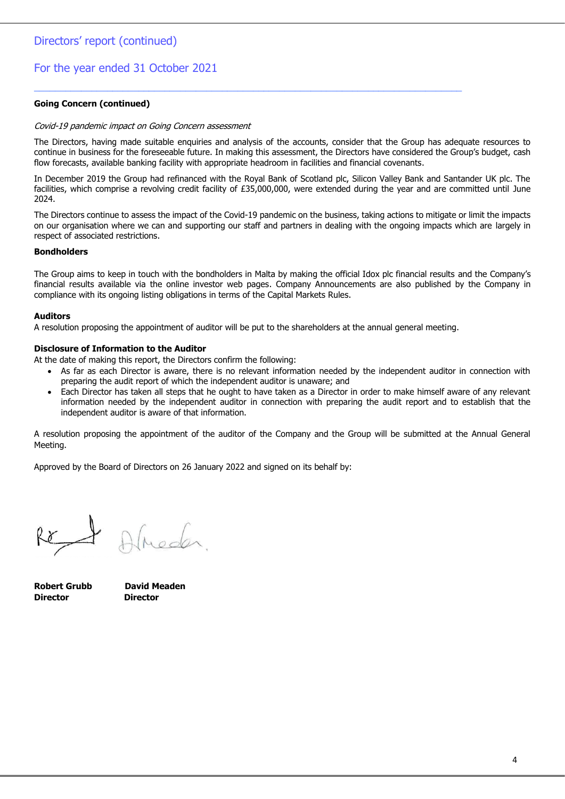#### **Going Concern (continued)**

#### Covid-19 pandemic impact on Going Concern assessment

The Directors, having made suitable enquiries and analysis of the accounts, consider that the Group has adequate resources to continue in business for the foreseeable future. In making this assessment, the Directors have considered the Group's budget, cash flow forecasts, available banking facility with appropriate headroom in facilities and financial covenants.

In December 2019 the Group had refinanced with the Royal Bank of Scotland plc, Silicon Valley Bank and Santander UK plc. The facilities, which comprise a revolving credit facility of £35,000,000, were extended during the year and are committed until June 2024.

The Directors continue to assess the impact of the Covid-19 pandemic on the business, taking actions to mitigate or limit the impacts on our organisation where we can and supporting our staff and partners in dealing with the ongoing impacts which are largely in respect of associated restrictions.

#### **Bondholders**

The Group aims to keep in touch with the bondholders in Malta by making the official Idox plc financial results and the Company's financial results available via the online investor web pages. Company Announcements are also published by the Company in compliance with its ongoing listing obligations in terms of the Capital Markets Rules.

#### **Auditors**

A resolution proposing the appointment of auditor will be put to the shareholders at the annual general meeting.

\_\_\_\_\_\_\_\_\_\_\_\_\_\_\_\_\_\_\_\_\_\_\_\_\_\_\_\_\_\_\_\_\_\_\_\_\_\_\_\_\_\_\_\_\_\_\_\_\_\_\_\_\_\_\_\_\_\_\_\_\_\_\_\_\_\_\_\_\_\_\_\_\_\_\_\_\_\_\_\_\_\_

#### **Disclosure of Information to the Auditor**

At the date of making this report, the Directors confirm the following:

- As far as each Director is aware, there is no relevant information needed by the independent auditor in connection with preparing the audit report of which the independent auditor is unaware; and
- Each Director has taken all steps that he ought to have taken as a Director in order to make himself aware of any relevant information needed by the independent auditor in connection with preparing the audit report and to establish that the independent auditor is aware of that information.

A resolution proposing the appointment of the auditor of the Company and the Group will be submitted at the Annual General Meeting.

Approved by the Board of Directors on 26 January 2022 and signed on its behalf by:

Re

Almeder

**Robert Grubb David Meaden Director Director**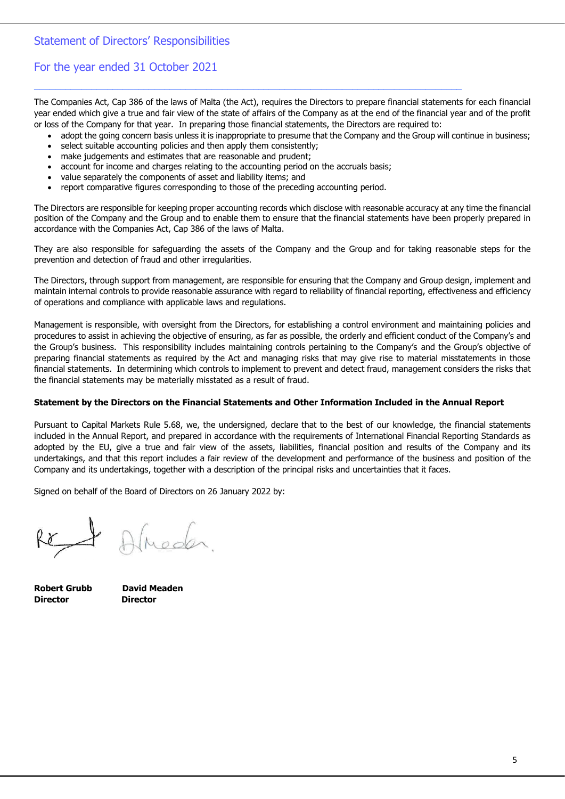### Statement of Directors' Responsibilities

### For the year ended 31 October 2021

The Companies Act, Cap 386 of the laws of Malta (the Act), requires the Directors to prepare financial statements for each financial year ended which give a true and fair view of the state of affairs of the Company as at the end of the financial year and of the profit or loss of the Company for that year. In preparing those financial statements, the Directors are required to:

\_\_\_\_\_\_\_\_\_\_\_\_\_\_\_\_\_\_\_\_\_\_\_\_\_\_\_\_\_\_\_\_\_\_\_\_\_\_\_\_\_\_\_\_\_\_\_\_\_\_\_\_\_\_\_\_\_\_\_\_\_\_\_\_\_\_\_\_\_\_\_\_\_\_\_\_\_\_\_\_\_\_

- adopt the going concern basis unless it is inappropriate to presume that the Company and the Group will continue in business;
- select suitable accounting policies and then apply them consistently;
- make judgements and estimates that are reasonable and prudent;
- account for income and charges relating to the accounting period on the accruals basis;
- value separately the components of asset and liability items; and
- report comparative figures corresponding to those of the preceding accounting period.

The Directors are responsible for keeping proper accounting records which disclose with reasonable accuracy at any time the financial position of the Company and the Group and to enable them to ensure that the financial statements have been properly prepared in accordance with the Companies Act, Cap 386 of the laws of Malta.

They are also responsible for safeguarding the assets of the Company and the Group and for taking reasonable steps for the prevention and detection of fraud and other irregularities.

The Directors, through support from management, are responsible for ensuring that the Company and Group design, implement and maintain internal controls to provide reasonable assurance with regard to reliability of financial reporting, effectiveness and efficiency of operations and compliance with applicable laws and regulations.

Management is responsible, with oversight from the Directors, for establishing a control environment and maintaining policies and procedures to assist in achieving the objective of ensuring, as far as possible, the orderly and efficient conduct of the Company's and the Group's business. This responsibility includes maintaining controls pertaining to the Company's and the Group's objective of preparing financial statements as required by the Act and managing risks that may give rise to material misstatements in those financial statements. In determining which controls to implement to prevent and detect fraud, management considers the risks that the financial statements may be materially misstated as a result of fraud.

#### **Statement by the Directors on the Financial Statements and Other Information Included in the Annual Report**

Pursuant to Capital Markets Rule 5.68, we, the undersigned, declare that to the best of our knowledge, the financial statements included in the Annual Report, and prepared in accordance with the requirements of International Financial Reporting Standards as adopted by the EU, give a true and fair view of the assets, liabilities, financial position and results of the Company and its undertakings, and that this report includes a fair review of the development and performance of the business and position of the Company and its undertakings, together with a description of the principal risks and uncertainties that it faces.

Signed on behalf of the Board of Directors on 26 January 2022 by:

Meder

**Director Director**

**Robert Grubb David Meaden**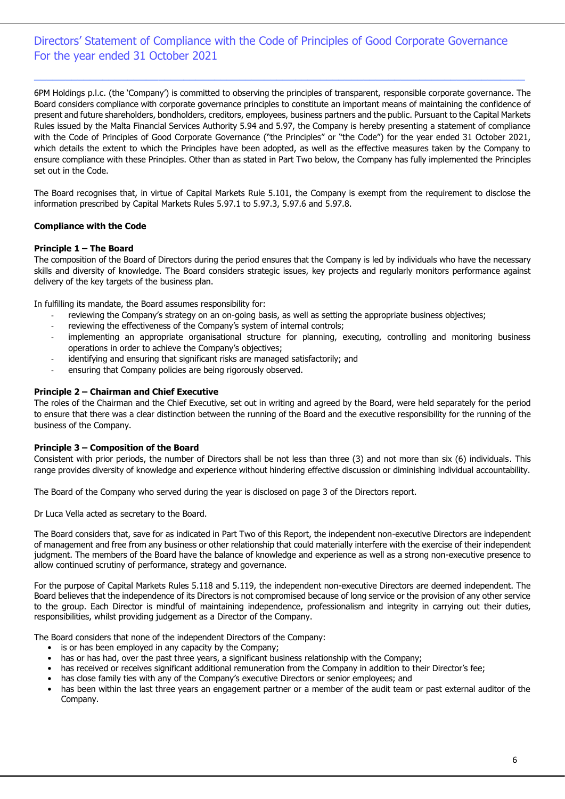### Directors' Statement of Compliance with the Code of Principles of Good Corporate Governance For the year ended 31 October 2021

 $\_$  ,  $\_$  ,  $\_$  ,  $\_$  ,  $\_$  ,  $\_$  ,  $\_$  ,  $\_$  ,  $\_$  ,  $\_$  ,  $\_$  ,  $\_$  ,  $\_$  ,  $\_$  ,  $\_$  ,  $\_$  ,  $\_$  ,  $\_$  ,  $\_$  ,  $\_$ 

6PM Holdings p.l.c. (the 'Company') is committed to observing the principles of transparent, responsible corporate governance. The Board considers compliance with corporate governance principles to constitute an important means of maintaining the confidence of present and future shareholders, bondholders, creditors, employees, business partners and the public. Pursuant to the Capital Markets Rules issued by the Malta Financial Services Authority 5.94 and 5.97, the Company is hereby presenting a statement of compliance with the Code of Principles of Good Corporate Governance ("the Principles" or "the Code") for the year ended 31 October 2021, which details the extent to which the Principles have been adopted, as well as the effective measures taken by the Company to ensure compliance with these Principles. Other than as stated in Part Two below, the Company has fully implemented the Principles set out in the Code.

The Board recognises that, in virtue of Capital Markets Rule 5.101, the Company is exempt from the requirement to disclose the information prescribed by Capital Markets Rules 5.97.1 to 5.97.3, 5.97.6 and 5.97.8.

#### **Compliance with the Code**

#### **Principle 1 – The Board**

The composition of the Board of Directors during the period ensures that the Company is led by individuals who have the necessary skills and diversity of knowledge. The Board considers strategic issues, key projects and regularly monitors performance against delivery of the key targets of the business plan.

In fulfilling its mandate, the Board assumes responsibility for:

- reviewing the Company's strategy on an on-going basis, as well as setting the appropriate business objectives;
- reviewing the effectiveness of the Company's system of internal controls;
- implementing an appropriate organisational structure for planning, executing, controlling and monitoring business operations in order to achieve the Company's objectives;
- identifying and ensuring that significant risks are managed satisfactorily; and
- ensuring that Company policies are being rigorously observed.

#### **Principle 2 – Chairman and Chief Executive**

The roles of the Chairman and the Chief Executive, set out in writing and agreed by the Board, were held separately for the period to ensure that there was a clear distinction between the running of the Board and the executive responsibility for the running of the business of the Company.

#### **Principle 3 – Composition of the Board**

Consistent with prior periods, the number of Directors shall be not less than three (3) and not more than six (6) individuals. This range provides diversity of knowledge and experience without hindering effective discussion or diminishing individual accountability.

The Board of the Company who served during the year is disclosed on page 3 of the Directors report.

Dr Luca Vella acted as secretary to the Board.

The Board considers that, save for as indicated in Part Two of this Report, the independent non-executive Directors are independent of management and free from any business or other relationship that could materially interfere with the exercise of their independent judgment. The members of the Board have the balance of knowledge and experience as well as a strong non-executive presence to allow continued scrutiny of performance, strategy and governance.

For the purpose of Capital Markets Rules 5.118 and 5.119, the independent non-executive Directors are deemed independent. The Board believes that the independence of its Directors is not compromised because of long service or the provision of any other service to the group. Each Director is mindful of maintaining independence, professionalism and integrity in carrying out their duties, responsibilities, whilst providing judgement as a Director of the Company.

The Board considers that none of the independent Directors of the Company:

- is or has been employed in any capacity by the Company;
- has or has had, over the past three years, a significant business relationship with the Company;
- has received or receives significant additional remuneration from the Company in addition to their Director's fee;
- has close family ties with any of the Company's executive Directors or senior employees; and
- has been within the last three years an engagement partner or a member of the audit team or past external auditor of the Company.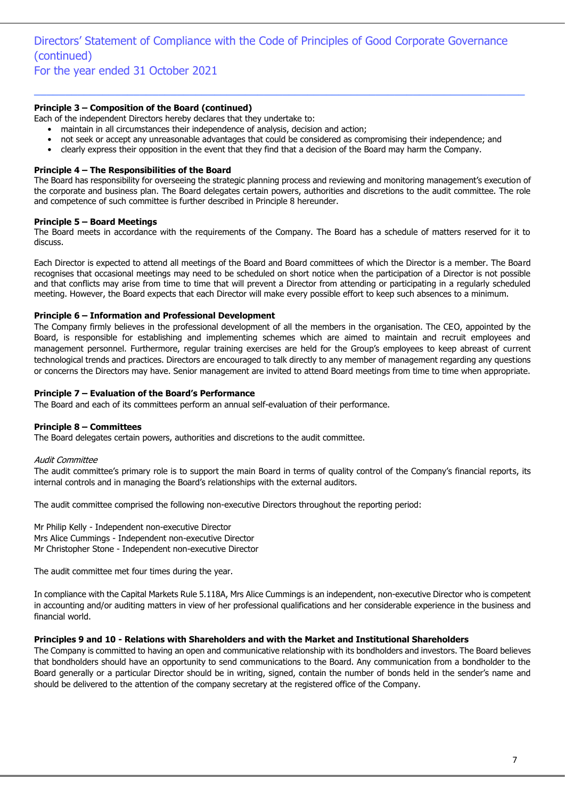# Directors' Statement of Compliance with the Code of Principles of Good Corporate Governance (continued)

For the year ended 31 October 2021

#### **Principle 3 – Composition of the Board (continued)**

Each of the independent Directors hereby declares that they undertake to:

- maintain in all circumstances their independence of analysis, decision and action;
- not seek or accept any unreasonable advantages that could be considered as compromising their independence; and

 $\_$  ,  $\_$  ,  $\_$  ,  $\_$  ,  $\_$  ,  $\_$  ,  $\_$  ,  $\_$  ,  $\_$  ,  $\_$  ,  $\_$  ,  $\_$  ,  $\_$  ,  $\_$  ,  $\_$  ,  $\_$  ,  $\_$  ,  $\_$  ,  $\_$  ,  $\_$  ,  $\_$  ,  $\_$  ,  $\_$  ,  $\_$  ,  $\_$  ,  $\_$  ,  $\_$  ,  $\_$  ,  $\_$  ,  $\_$  ,  $\_$  ,  $\_$  ,  $\_$  ,  $\_$  ,  $\_$  ,  $\_$  ,  $\_$  ,

• clearly express their opposition in the event that they find that a decision of the Board may harm the Company.

#### **Principle 4 – The Responsibilities of the Board**

The Board has responsibility for overseeing the strategic planning process and reviewing and monitoring management's execution of the corporate and business plan. The Board delegates certain powers, authorities and discretions to the audit committee. The role and competence of such committee is further described in Principle 8 hereunder.

#### **Principle 5 – Board Meetings**

The Board meets in accordance with the requirements of the Company. The Board has a schedule of matters reserved for it to discuss.

Each Director is expected to attend all meetings of the Board and Board committees of which the Director is a member. The Board recognises that occasional meetings may need to be scheduled on short notice when the participation of a Director is not possible and that conflicts may arise from time to time that will prevent a Director from attending or participating in a regularly scheduled meeting. However, the Board expects that each Director will make every possible effort to keep such absences to a minimum.

#### **Principle 6 – Information and Professional Development**

The Company firmly believes in the professional development of all the members in the organisation. The CEO, appointed by the Board, is responsible for establishing and implementing schemes which are aimed to maintain and recruit employees and management personnel. Furthermore, regular training exercises are held for the Group's employees to keep abreast of current technological trends and practices. Directors are encouraged to talk directly to any member of management regarding any questions or concerns the Directors may have. Senior management are invited to attend Board meetings from time to time when appropriate.

#### **Principle 7 – Evaluation of the Board's Performance**

The Board and each of its committees perform an annual self-evaluation of their performance.

#### **Principle 8 – Committees**

The Board delegates certain powers, authorities and discretions to the audit committee.

#### Audit Committee

The audit committee's primary role is to support the main Board in terms of quality control of the Company's financial reports, its internal controls and in managing the Board's relationships with the external auditors.

The audit committee comprised the following non-executive Directors throughout the reporting period:

Mr Philip Kelly - Independent non-executive Director Mrs Alice Cummings - Independent non-executive Director Mr Christopher Stone - Independent non-executive Director

The audit committee met four times during the year.

In compliance with the Capital Markets Rule 5.118A, Mrs Alice Cummings is an independent, non-executive Director who is competent in accounting and/or auditing matters in view of her professional qualifications and her considerable experience in the business and financial world.

#### **Principles 9 and 10 - Relations with Shareholders and with the Market and Institutional Shareholders**

The Company is committed to having an open and communicative relationship with its bondholders and investors. The Board believes that bondholders should have an opportunity to send communications to the Board. Any communication from a bondholder to the Board generally or a particular Director should be in writing, signed, contain the number of bonds held in the sender's name and should be delivered to the attention of the company secretary at the registered office of the Company.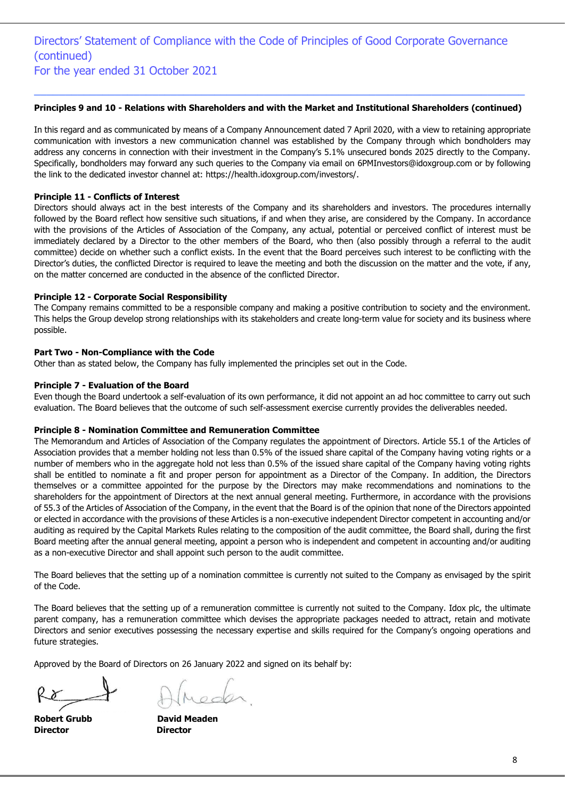### $\_$  ,  $\_$  ,  $\_$  ,  $\_$  ,  $\_$  ,  $\_$  ,  $\_$  ,  $\_$  ,  $\_$  ,  $\_$  ,  $\_$  ,  $\_$  ,  $\_$  ,  $\_$  ,  $\_$  ,  $\_$  ,  $\_$  ,  $\_$  ,  $\_$  ,  $\_$  ,  $\_$  ,  $\_$  ,  $\_$  ,  $\_$  ,  $\_$  ,  $\_$  ,  $\_$  ,  $\_$  ,  $\_$  ,  $\_$  ,  $\_$  ,  $\_$  ,  $\_$  ,  $\_$  ,  $\_$  ,  $\_$  ,  $\_$  , **Principles 9 and 10 - Relations with Shareholders and with the Market and Institutional Shareholders (continued)**

In this regard and as communicated by means of a Company Announcement dated 7 April 2020, with a view to retaining appropriate communication with investors a new communication channel was established by the Company through which bondholders may address any concerns in connection with their investment in the Company's 5.1% unsecured bonds 2025 directly to the Company. Specifically, bondholders may forward any such queries to the Company via email on [6PMInvestors@idoxgroup.com](mailto:6PMInvestors@idoxgroup.com) or by following the link to the dedicated investor channel at: [https://health.idoxgroup.com/investors/.](https://eur01.safelinks.protection.outlook.com/?url=https%3A%2F%2Fhealth.idoxgroup.com%2Finvestors%2F&data=02%7C01%7Cluca.vella%40gvzh.com.mt%7Cabb8f2e9a2204d791b8e08d7d70d9413%7C66cd26543fb64837900ffe8f64333337%7C0%7C1%7C637214325643659598&sdata=1vOmNef6%2BA3mmmJ4H8iOlPxhOkGFbeTZSYnXHP9aRBE%3D&reserved=0)

#### **Principle 11 - Conflicts of Interest**

Directors should always act in the best interests of the Company and its shareholders and investors. The procedures internally followed by the Board reflect how sensitive such situations, if and when they arise, are considered by the Company. In accordance with the provisions of the Articles of Association of the Company, any actual, potential or perceived conflict of interest must be immediately declared by a Director to the other members of the Board, who then (also possibly through a referral to the audit committee) decide on whether such a conflict exists. In the event that the Board perceives such interest to be conflicting with the Director's duties, the conflicted Director is required to leave the meeting and both the discussion on the matter and the vote, if any, on the matter concerned are conducted in the absence of the conflicted Director.

#### **Principle 12 - Corporate Social Responsibility**

The Company remains committed to be a responsible company and making a positive contribution to society and the environment. This helps the Group develop strong relationships with its stakeholders and create long-term value for society and its business where possible.

#### **Part Two - Non-Compliance with the Code**

Other than as stated below, the Company has fully implemented the principles set out in the Code.

#### **Principle 7 - Evaluation of the Board**

Even though the Board undertook a self-evaluation of its own performance, it did not appoint an ad hoc committee to carry out such evaluation. The Board believes that the outcome of such self-assessment exercise currently provides the deliverables needed.

#### **Principle 8 - Nomination Committee and Remuneration Committee**

The Memorandum and Articles of Association of the Company regulates the appointment of Directors. Article 55.1 of the Articles of Association provides that a member holding not less than 0.5% of the issued share capital of the Company having voting rights or a number of members who in the aggregate hold not less than 0.5% of the issued share capital of the Company having voting rights shall be entitled to nominate a fit and proper person for appointment as a Director of the Company. In addition, the Directors themselves or a committee appointed for the purpose by the Directors may make recommendations and nominations to the shareholders for the appointment of Directors at the next annual general meeting. Furthermore, in accordance with the provisions of 55.3 of the Articles of Association of the Company, in the event that the Board is of the opinion that none of the Directors appointed or elected in accordance with the provisions of these Articles is a non-executive independent Director competent in accounting and/or auditing as required by the Capital Markets Rules relating to the composition of the audit committee, the Board shall, during the first Board meeting after the annual general meeting, appoint a person who is independent and competent in accounting and/or auditing as a non-executive Director and shall appoint such person to the audit committee.

The Board believes that the setting up of a nomination committee is currently not suited to the Company as envisaged by the spirit of the Code.

The Board believes that the setting up of a remuneration committee is currently not suited to the Company. Idox plc, the ultimate parent company, has a remuneration committee which devises the appropriate packages needed to attract, retain and motivate Directors and senior executives possessing the necessary expertise and skills required for the Company's ongoing operations and future strategies.

Approved by the Board of Directors on 26 January 2022 and signed on its behalf by:

**Director Director**

**Robert Grubb David Meaden**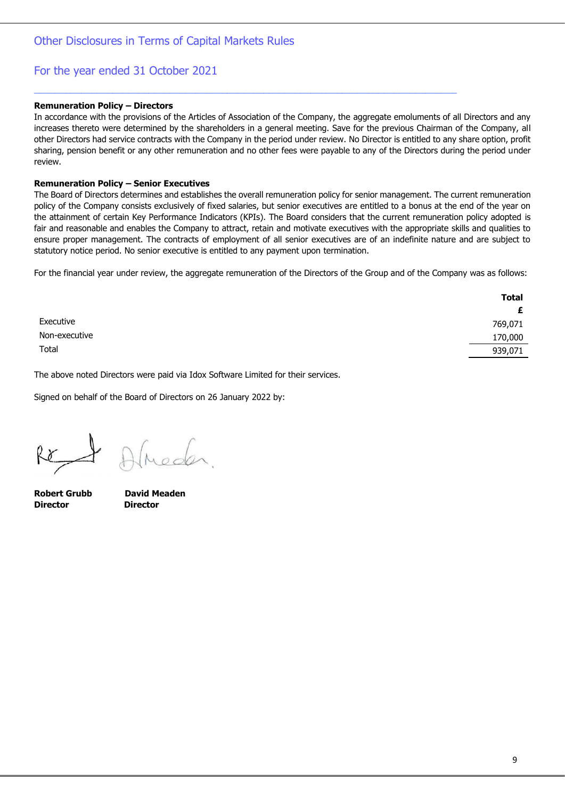#### **Remuneration Policy – Directors**

In accordance with the provisions of the Articles of Association of the Company, the aggregate emoluments of all Directors and any increases thereto were determined by the shareholders in a general meeting. Save for the previous Chairman of the Company, all other Directors had service contracts with the Company in the period under review. No Director is entitled to any share option, profit sharing, pension benefit or any other remuneration and no other fees were payable to any of the Directors during the period under review.

\_\_\_\_\_\_\_\_\_\_\_\_\_\_\_\_\_\_\_\_\_\_\_\_\_\_\_\_\_\_\_\_\_\_\_\_\_\_\_\_\_\_\_\_\_\_\_\_\_\_\_\_\_\_\_\_\_\_\_\_\_\_\_\_\_\_\_\_\_\_\_\_\_\_\_\_\_\_\_\_\_

#### **Remuneration Policy – Senior Executives**

The Board of Directors determines and establishes the overall remuneration policy for senior management. The current remuneration policy of the Company consists exclusively of fixed salaries, but senior executives are entitled to a bonus at the end of the year on the attainment of certain Key Performance Indicators (KPIs). The Board considers that the current remuneration policy adopted is fair and reasonable and enables the Company to attract, retain and motivate executives with the appropriate skills and qualities to ensure proper management. The contracts of employment of all senior executives are of an indefinite nature and are subject to statutory notice period. No senior executive is entitled to any payment upon termination.

For the financial year under review, the aggregate remuneration of the Directors of the Group and of the Company was as follows:

|               | <b>Total</b> |
|---------------|--------------|
|               | £            |
| Executive     | 769,071      |
| Non-executive | 170,000      |
| Total         | 939,071      |

The above noted Directors were paid via Idox Software Limited for their services.

Signed on behalf of the Board of Directors on 26 January 2022 by:

**Robert Grubb David Meaden Director Director**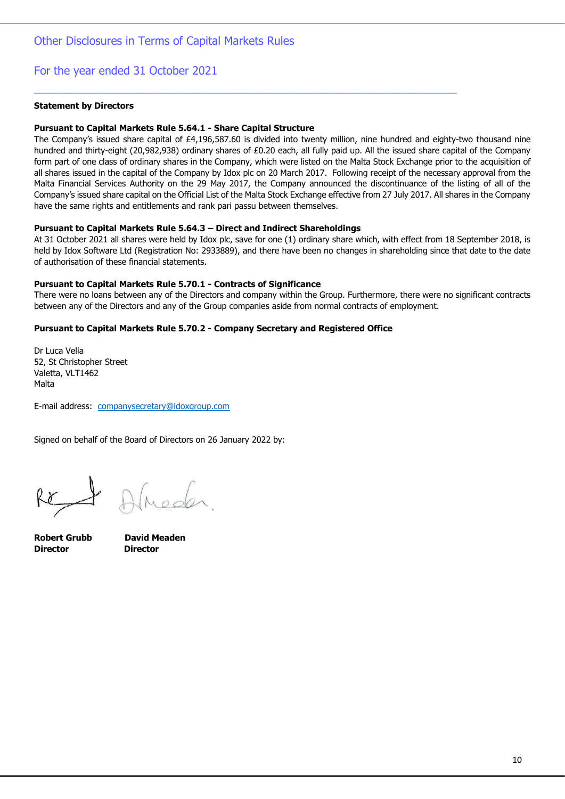#### **Statement by Directors**

#### **Pursuant to Capital Markets Rule 5.64.1 - Share Capital Structure**

The Company's issued share capital of £4,196,587.60 is divided into twenty million, nine hundred and eighty-two thousand nine hundred and thirty-eight (20,982,938) ordinary shares of £0.20 each, all fully paid up. All the issued share capital of the Company form part of one class of ordinary shares in the Company, which were listed on the Malta Stock Exchange prior to the acquisition of all shares issued in the capital of the Company by Idox plc on 20 March 2017. Following receipt of the necessary approval from the Malta Financial Services Authority on the 29 May 2017, the Company announced the discontinuance of the listing of all of the Company's issued share capital on the Official List of the Malta Stock Exchange effective from 27 July 2017. All shares in the Company have the same rights and entitlements and rank pari passu between themselves.

\_\_\_\_\_\_\_\_\_\_\_\_\_\_\_\_\_\_\_\_\_\_\_\_\_\_\_\_\_\_\_\_\_\_\_\_\_\_\_\_\_\_\_\_\_\_\_\_\_\_\_\_\_\_\_\_\_\_\_\_\_\_\_\_\_\_\_\_\_\_\_\_\_\_\_\_\_\_\_\_\_

#### **Pursuant to Capital Markets Rule 5.64.3 – Direct and Indirect Shareholdings**

At 31 October 2021 all shares were held by Idox plc, save for one (1) ordinary share which, with effect from 18 September 2018, is held by Idox Software Ltd (Registration No: 2933889), and there have been no changes in shareholding since that date to the date of authorisation of these financial statements.

#### **Pursuant to Capital Markets Rule 5.70.1 - Contracts of Significance**

There were no loans between any of the Directors and company within the Group. Furthermore, there were no significant contracts between any of the Directors and any of the Group companies aside from normal contracts of employment.

### **Pursuant to Capital Markets Rule 5.70.2 - Company Secretary and Registered Office**

Dr Luca Vella 52, St Christopher Street Valetta, VLT1462 Malta

E-mail address: [companysecretary@idoxgroup.com](mailto:companysecretary@idoxgroup.com)

Signed on behalf of the Board of Directors on 26 January 2022 by:

**Director Director**

**Robert Grubb David Meaden**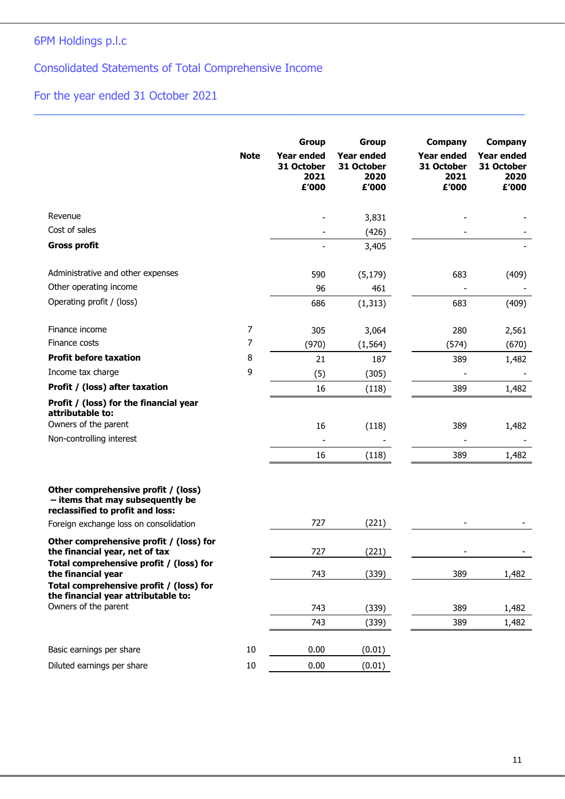# 6PM Holdings p.l.c

Consolidated Statements of Total Comprehensive Income

# For the year ended 31 October 2021

|                                                                                                                      | <b>Note</b> | <b>Group</b><br><b>Year ended</b><br>31 October<br>2021<br>£'000 | Group<br><b>Year ended</b><br>31 October<br>2020<br>£'000 | <b>Company</b><br><b>Year ended</b><br>31 October<br>2021<br>£'000 | <b>Company</b><br><b>Year ended</b><br>31 October<br>2020<br>£'000 |
|----------------------------------------------------------------------------------------------------------------------|-------------|------------------------------------------------------------------|-----------------------------------------------------------|--------------------------------------------------------------------|--------------------------------------------------------------------|
| Revenue                                                                                                              |             |                                                                  | 3,831                                                     |                                                                    |                                                                    |
| Cost of sales                                                                                                        |             |                                                                  | (426)                                                     |                                                                    |                                                                    |
| <b>Gross profit</b>                                                                                                  |             |                                                                  | 3,405                                                     |                                                                    |                                                                    |
| Administrative and other expenses                                                                                    |             | 590                                                              | (5, 179)                                                  | 683                                                                | (409)                                                              |
| Other operating income                                                                                               |             | 96                                                               | 461                                                       |                                                                    |                                                                    |
| Operating profit / (loss)                                                                                            |             | 686                                                              | (1, 313)                                                  | 683                                                                | (409)                                                              |
| Finance income                                                                                                       | 7           | 305                                                              | 3,064                                                     | 280                                                                | 2,561                                                              |
| Finance costs                                                                                                        | 7           | (970)                                                            | (1, 564)                                                  | (574)                                                              | (670)                                                              |
| <b>Profit before taxation</b>                                                                                        | 8           | 21                                                               | 187                                                       | 389                                                                | 1,482                                                              |
| Income tax charge                                                                                                    | 9           | (5)                                                              | (305)                                                     |                                                                    |                                                                    |
| Profit / (loss) after taxation                                                                                       |             | 16                                                               | (118)                                                     | 389                                                                | 1,482                                                              |
| Profit / (loss) for the financial year<br>attributable to:<br>Owners of the parent<br>Non-controlling interest       |             | 16<br>16                                                         | (118)<br>(118)                                            | 389<br>389                                                         | 1,482<br>1,482                                                     |
| Other comprehensive profit / (loss)<br>- items that may subsequently be<br>reclassified to profit and loss:          |             |                                                                  |                                                           |                                                                    |                                                                    |
| Foreign exchange loss on consolidation                                                                               |             | 727                                                              | (221)                                                     |                                                                    |                                                                    |
| Other comprehensive profit / (loss) for<br>the financial year, net of tax<br>Total comprehensive profit / (loss) for |             | 727                                                              | (221)                                                     |                                                                    |                                                                    |
| the financial year                                                                                                   |             | 743                                                              | (339)                                                     | 389                                                                | 1,482                                                              |
| Total comprehensive profit / (loss) for<br>the financial year attributable to:                                       |             |                                                                  |                                                           |                                                                    |                                                                    |
| Owners of the parent                                                                                                 |             | 743                                                              | (339)                                                     | 389                                                                | 1,482                                                              |
|                                                                                                                      |             | 743                                                              | (339)                                                     | 389                                                                | 1,482                                                              |
| Basic earnings per share                                                                                             | 10          | 0.00                                                             | (0.01)                                                    |                                                                    |                                                                    |
| Diluted earnings per share                                                                                           | $10\,$      | 0.00                                                             | (0.01)                                                    |                                                                    |                                                                    |

 $\_$  ,  $\_$  ,  $\_$  ,  $\_$  ,  $\_$  ,  $\_$  ,  $\_$  ,  $\_$  ,  $\_$  ,  $\_$  ,  $\_$  ,  $\_$  ,  $\_$  ,  $\_$  ,  $\_$  ,  $\_$  ,  $\_$  ,  $\_$  ,  $\_$  ,  $\_$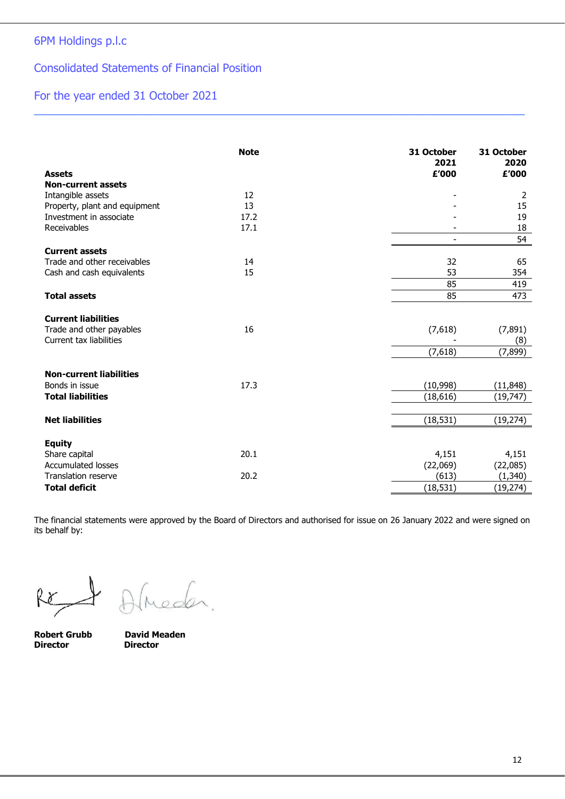### Consolidated Statements of Financial Position

# For the year ended 31 October 2021

| <b>Assets</b>                  | <b>Note</b> | 31 October<br>2021<br>£'000 | 31 October<br>2020<br>£'000 |
|--------------------------------|-------------|-----------------------------|-----------------------------|
| <b>Non-current assets</b>      |             |                             |                             |
| Intangible assets              | 12          |                             | 2                           |
| Property, plant and equipment  | 13          |                             | 15                          |
| Investment in associate        | 17.2        |                             | 19                          |
| Receivables                    | 17.1        |                             | 18                          |
|                                |             |                             | 54                          |
| <b>Current assets</b>          |             |                             |                             |
| Trade and other receivables    | 14          | 32                          | 65                          |
| Cash and cash equivalents      | 15          | 53                          | 354                         |
|                                |             | 85                          | 419                         |
| <b>Total assets</b>            |             | 85                          | 473                         |
|                                |             |                             |                             |
| <b>Current liabilities</b>     |             |                             |                             |
| Trade and other payables       | 16          | (7,618)                     | (7, 891)                    |
| Current tax liabilities        |             |                             | (8)                         |
|                                |             | (7,618)                     | (7, 899)                    |
|                                |             |                             |                             |
| <b>Non-current liabilities</b> |             |                             |                             |
| Bonds in issue                 | 17.3        | (10, 998)                   | (11, 848)                   |
| <b>Total liabilities</b>       |             | (18, 616)                   | (19, 747)                   |
|                                |             |                             |                             |
| <b>Net liabilities</b>         |             | (18, 531)                   | (19, 274)                   |
| <b>Equity</b>                  |             |                             |                             |
| Share capital                  | 20.1        | 4,151                       | 4,151                       |
| <b>Accumulated losses</b>      |             | (22,069)                    | (22,085)                    |
| <b>Translation reserve</b>     | 20.2        | (613)                       | (1, 340)                    |
| <b>Total deficit</b>           |             | (18, 531)                   | (19, 274)                   |

 $\_$  ,  $\_$  ,  $\_$  ,  $\_$  ,  $\_$  ,  $\_$  ,  $\_$  ,  $\_$  ,  $\_$  ,  $\_$  ,  $\_$  ,  $\_$  ,  $\_$  ,  $\_$  ,  $\_$  ,  $\_$  ,  $\_$  ,  $\_$  ,  $\_$  ,  $\_$ 

The financial statements were approved by the Board of Directors and authorised for issue on 26 January 2022 and were signed on its behalf by:

Re

neder.

**Director Director**

**Robert Grubb David Meaden**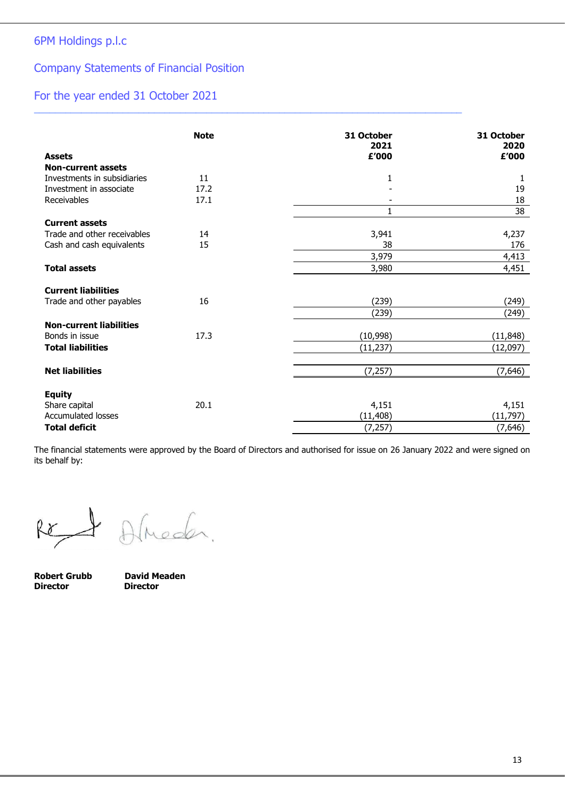### Company Statements of Financial Position

### For the year ended 31 October 2021

|                                | <b>Note</b> | 31 October<br>2021 | 31 October<br>2020 |
|--------------------------------|-------------|--------------------|--------------------|
| <b>Assets</b>                  |             | £'000              | £'000              |
| <b>Non-current assets</b>      |             |                    |                    |
| Investments in subsidiaries    | 11          | 1                  | 1                  |
| Investment in associate        | 17.2        |                    | 19                 |
| Receivables                    | 17.1        |                    | 18                 |
|                                |             | 1                  | 38                 |
| <b>Current assets</b>          |             |                    |                    |
| Trade and other receivables    | 14          | 3,941              | 4,237              |
| Cash and cash equivalents      | 15          | 38                 | 176                |
|                                |             | 3,979              | 4,413              |
| <b>Total assets</b>            |             | 3,980              | 4,451              |
| <b>Current liabilities</b>     |             |                    |                    |
| Trade and other payables       | 16          | (239)              | (249)              |
|                                |             | (239)              | (249)              |
| <b>Non-current liabilities</b> |             |                    |                    |
| Bonds in issue                 | 17.3        | (10,998)           | (11, 848)          |
| <b>Total liabilities</b>       |             | (11, 237)          | (12,097)           |
|                                |             |                    |                    |
| <b>Net liabilities</b>         |             | (7, 257)           | (7,646)            |
| <b>Equity</b>                  |             |                    |                    |
| Share capital                  | 20.1        | 4,151              | 4,151              |
| <b>Accumulated losses</b>      |             | (11, 408)          | (11, 797)          |
| <b>Total deficit</b>           |             | (7, 257)           | (7,646)            |

\_\_\_\_\_\_\_\_\_\_\_\_\_\_\_\_\_\_\_\_\_\_\_\_\_\_\_\_\_\_\_\_\_\_\_\_\_\_\_\_\_\_\_\_\_\_\_\_\_\_\_\_\_\_\_\_\_\_\_\_\_\_\_\_\_\_\_\_\_\_\_\_\_\_\_\_\_\_\_\_\_\_

The financial statements were approved by the Board of Directors and authorised for issue on 26 January 2022 and were signed on its behalf by:

Ret

Almeder.

**Robert Grubb David Meaden<br>
Director Director Director**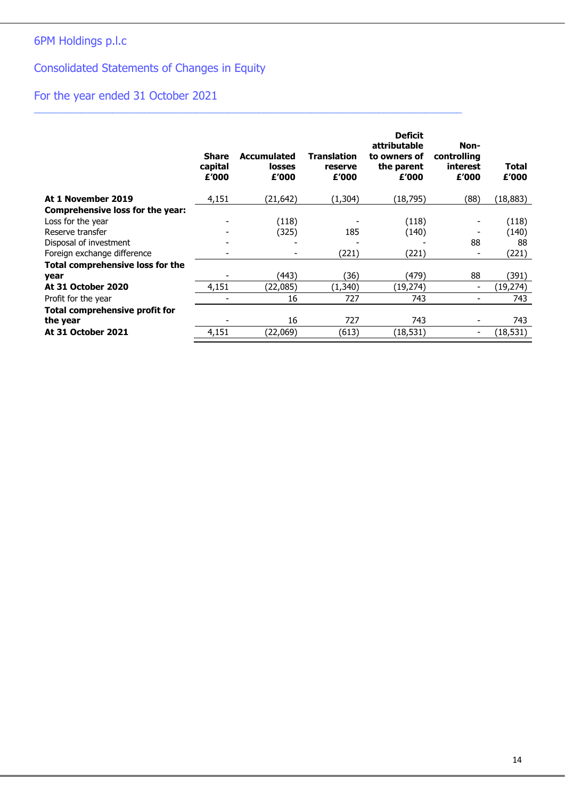# Consolidated Statements of Changes in Equity

# For the year ended 31 October 2021

|                                         | <b>Share</b><br>capital<br>£'000 | <b>Accumulated</b><br><b>losses</b><br>£'000 | <b>Translation</b><br>reserve<br>£'000 | <b>Deficit</b><br>attributable<br>to owners of<br>the parent<br>£'000 | Non-<br>controlling<br>interest<br>£'000 | Total<br>£'000 |
|-----------------------------------------|----------------------------------|----------------------------------------------|----------------------------------------|-----------------------------------------------------------------------|------------------------------------------|----------------|
| At 1 November 2019                      | 4,151                            | (21, 642)                                    | (1,304)                                | (18,795)                                                              | (88)                                     | (18,883)       |
| Comprehensive loss for the year:        |                                  |                                              |                                        |                                                                       |                                          |                |
| Loss for the year                       |                                  | (118)                                        |                                        | (118)                                                                 | -                                        | (118)          |
| Reserve transfer                        |                                  | (325)                                        | 185                                    | (140)                                                                 |                                          | (140)          |
| Disposal of investment                  |                                  |                                              |                                        |                                                                       | 88                                       | 88             |
| Foreign exchange difference             |                                  |                                              | (221)                                  | (221)                                                                 | $\overline{\phantom{a}}$                 | (221)          |
| <b>Total comprehensive loss for the</b> |                                  |                                              |                                        |                                                                       |                                          |                |
| year                                    |                                  | (443)                                        | (36)                                   | (479)                                                                 | 88                                       | (391)          |
| <b>At 31 October 2020</b>               | 4,151                            | (22,085)                                     | (1,340)                                | (19,274)                                                              | $\overline{\phantom{a}}$                 | (19,274)       |
| Profit for the year                     |                                  | 16                                           | 727                                    | 743                                                                   | ۰                                        | 743            |
| Total comprehensive profit for          |                                  |                                              |                                        |                                                                       |                                          |                |
| the year                                |                                  | 16                                           | 727                                    | 743                                                                   | -                                        | 743            |
| At 31 October 2021                      | 4,151                            | (22,069)                                     | (613)                                  | (18,531)                                                              | -                                        | (18,531)       |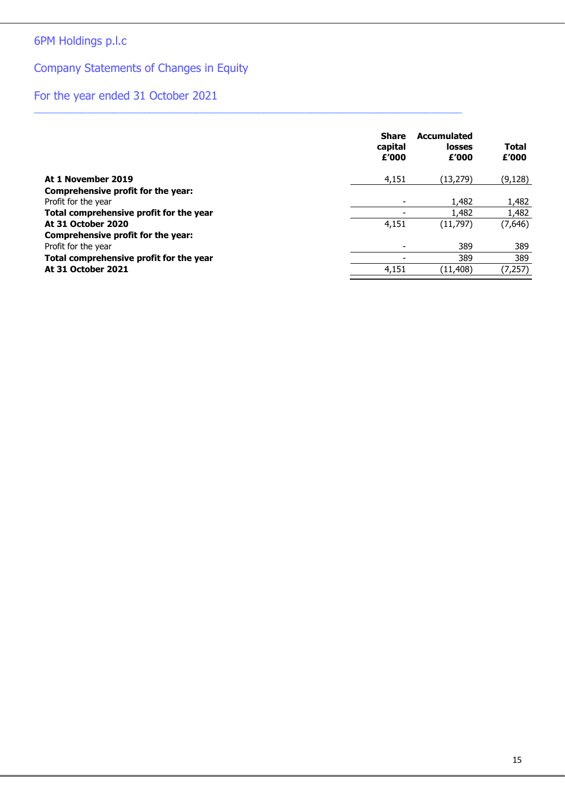# 6PM Holdings p.l.c

# Company Statements of Changes in Equity

# For the year ended 31 October 2021

|                                         | <b>Share</b><br>capital<br>£'000 | <b>Accumulated</b><br>losses<br>£'000 | Total<br>£'000 |
|-----------------------------------------|----------------------------------|---------------------------------------|----------------|
| At 1 November 2019                      | 4,151                            | (13, 279)                             | (9, 128)       |
| Comprehensive profit for the year:      |                                  |                                       |                |
| Profit for the year                     | $\overline{\phantom{a}}$         | 1,482                                 | 1,482          |
| Total comprehensive profit for the year |                                  | 1,482                                 | 1,482          |
| At 31 October 2020                      | 4,151                            | (11,797)                              | (7,646)        |
| Comprehensive profit for the year:      |                                  |                                       |                |
| Profit for the year                     | ۰                                | 389                                   | 389            |
| Total comprehensive profit for the year |                                  | 389                                   | 389            |
| At 31 October 2021                      | 4,151                            | (11, 408)                             | (7, 257)       |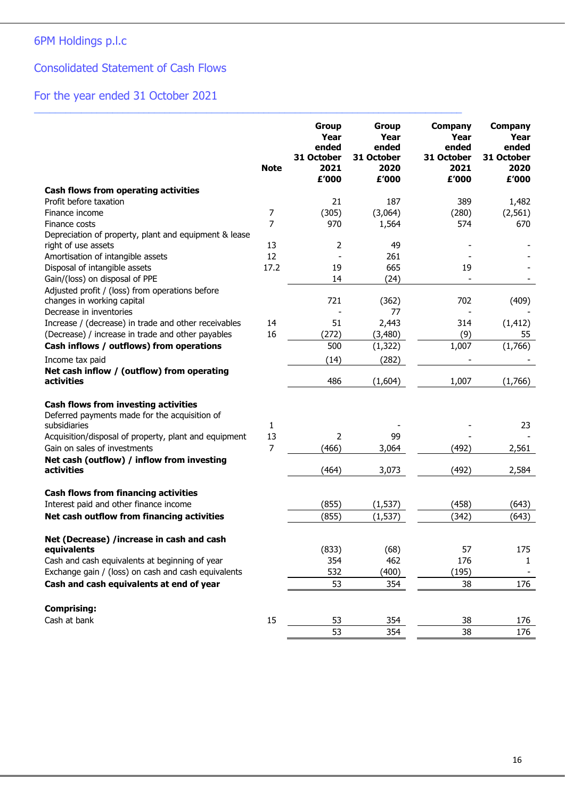## Consolidated Statement of Cash Flows

# For the year ended 31 October 2021

|                                                                                                                                                                                                                                                                   | <b>Note</b>               | <b>Group</b><br>Year<br>ended<br>31 October<br>2021<br>£'000 | Group<br>Year<br>ended<br>31 October<br>2020<br>£'000 | Company<br>Year<br>ended<br>31 October<br>2021<br>£'000 | <b>Company</b><br>Year<br>ended<br>31 October<br>2020<br>£'000 |
|-------------------------------------------------------------------------------------------------------------------------------------------------------------------------------------------------------------------------------------------------------------------|---------------------------|--------------------------------------------------------------|-------------------------------------------------------|---------------------------------------------------------|----------------------------------------------------------------|
| Cash flows from operating activities                                                                                                                                                                                                                              |                           |                                                              |                                                       |                                                         |                                                                |
| Profit before taxation                                                                                                                                                                                                                                            |                           | 21                                                           | 187                                                   | 389                                                     | 1,482                                                          |
| Finance income                                                                                                                                                                                                                                                    | 7                         | (305)                                                        | (3,064)                                               | (280)                                                   | (2, 561)                                                       |
| Finance costs                                                                                                                                                                                                                                                     | 7                         | 970                                                          | 1,564                                                 | 574                                                     | 670                                                            |
| Depreciation of property, plant and equipment & lease<br>right of use assets                                                                                                                                                                                      | 13                        | 2                                                            | 49                                                    |                                                         |                                                                |
| Amortisation of intangible assets                                                                                                                                                                                                                                 | 12                        |                                                              | 261                                                   |                                                         |                                                                |
| Disposal of intangible assets                                                                                                                                                                                                                                     | 17.2                      | 19                                                           | 665                                                   | 19                                                      |                                                                |
| Gain/(loss) on disposal of PPE                                                                                                                                                                                                                                    |                           | 14                                                           | (24)                                                  |                                                         |                                                                |
| Adjusted profit / (loss) from operations before<br>changes in working capital                                                                                                                                                                                     |                           | 721                                                          | (362)                                                 | 702                                                     | (409)                                                          |
| Decrease in inventories                                                                                                                                                                                                                                           |                           |                                                              | 77                                                    |                                                         |                                                                |
| Increase / (decrease) in trade and other receivables                                                                                                                                                                                                              | 14                        | 51                                                           | 2,443                                                 | 314                                                     | (1, 412)                                                       |
| (Decrease) / increase in trade and other payables                                                                                                                                                                                                                 | 16                        | (272)                                                        | (3,480)                                               | (9)                                                     | 55                                                             |
| Cash inflows / outflows) from operations                                                                                                                                                                                                                          |                           | 500                                                          | (1, 322)                                              | 1,007                                                   | (1,766)                                                        |
| Income tax paid                                                                                                                                                                                                                                                   |                           | (14)                                                         | (282)                                                 |                                                         |                                                                |
| Net cash inflow / (outflow) from operating<br>activities                                                                                                                                                                                                          |                           | 486                                                          | (1,604)                                               | 1,007                                                   | (1,766)                                                        |
| <b>Cash flows from investing activities</b><br>Deferred payments made for the acquisition of<br>subsidiaries<br>Acquisition/disposal of property, plant and equipment<br>Gain on sales of investments<br>Net cash (outflow) / inflow from investing<br>activities | 1<br>13<br>$\overline{7}$ | 2<br>(466)<br>(464)                                          | 99<br>3,064<br>3,073                                  | (492)<br>(492)                                          | 23<br>2,561<br>2,584                                           |
| <b>Cash flows from financing activities</b>                                                                                                                                                                                                                       |                           |                                                              |                                                       |                                                         |                                                                |
| Interest paid and other finance income                                                                                                                                                                                                                            |                           | (855)                                                        | (1, 537)                                              | (458)                                                   | (643)                                                          |
| Net cash outflow from financing activities                                                                                                                                                                                                                        |                           | (855)                                                        | (1, 537)                                              | (342)                                                   | (643)                                                          |
| Net (Decrease) /increase in cash and cash                                                                                                                                                                                                                         |                           |                                                              |                                                       |                                                         |                                                                |
| equivalents                                                                                                                                                                                                                                                       |                           | (833)                                                        | (68)                                                  | 57                                                      | 175                                                            |
| Cash and cash equivalents at beginning of year                                                                                                                                                                                                                    |                           | 354                                                          | 462                                                   | 176                                                     | 1                                                              |
| Exchange gain / (loss) on cash and cash equivalents                                                                                                                                                                                                               |                           | 532                                                          | (400)                                                 | (195)                                                   |                                                                |
| Cash and cash equivalents at end of year                                                                                                                                                                                                                          |                           | 53                                                           | 354                                                   | 38                                                      | 176                                                            |
| <b>Comprising:</b><br>Cash at bank                                                                                                                                                                                                                                | 15                        | 53                                                           | 354                                                   | 38                                                      | 176                                                            |
|                                                                                                                                                                                                                                                                   |                           | 53                                                           | 354                                                   | 38                                                      | 176                                                            |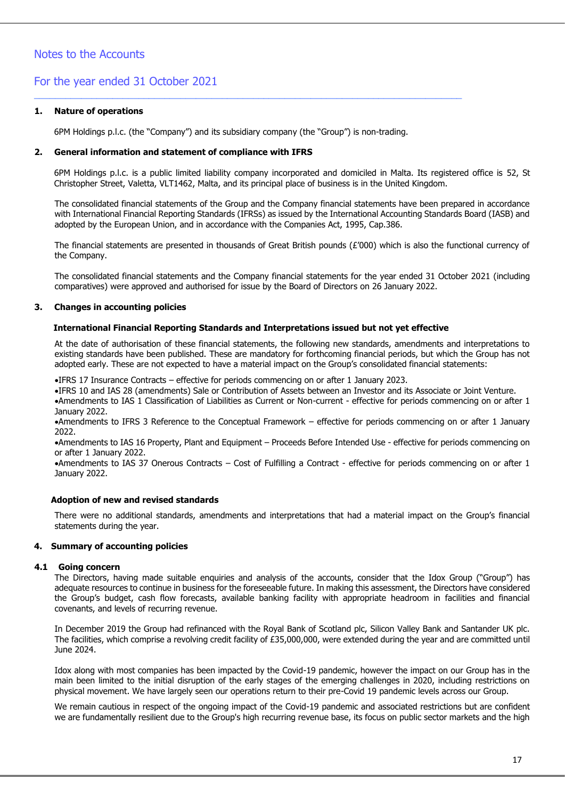### Notes to the Accounts

### For the year ended 31 October 2021

#### **1. Nature of operations**

6PM Holdings p.l.c. (the "Company") and its subsidiary company (the "Group") is non-trading.

\_\_\_\_\_\_\_\_\_\_\_\_\_\_\_\_\_\_\_\_\_\_\_\_\_\_\_\_\_\_\_\_\_\_\_\_\_\_\_\_\_\_\_\_\_\_\_\_\_\_\_\_\_\_\_\_\_\_\_\_\_\_\_\_\_\_\_\_\_\_\_\_\_\_\_\_\_\_\_\_\_\_

#### **2. General information and statement of compliance with IFRS**

6PM Holdings p.l.c. is a public limited liability company incorporated and domiciled in Malta. Its registered office is 52, St Christopher Street, Valetta, VLT1462, Malta, and its principal place of business is in the United Kingdom.

The consolidated financial statements of the Group and the Company financial statements have been prepared in accordance with International Financial Reporting Standards (IFRSs) as issued by the International Accounting Standards Board (IASB) and adopted by the European Union, and in accordance with the Companies Act, 1995, Cap.386.

The financial statements are presented in thousands of Great British pounds (£'000) which is also the functional currency of the Company.

The consolidated financial statements and the Company financial statements for the year ended 31 October 2021 (including comparatives) were approved and authorised for issue by the Board of Directors on 26 January 2022.

#### **3. Changes in accounting policies**

#### **International Financial Reporting Standards and Interpretations issued but not yet effective**

At the date of authorisation of these financial statements, the following new standards, amendments and interpretations to existing standards have been published. These are mandatory for forthcoming financial periods, but which the Group has not adopted early. These are not expected to have a material impact on the Group's consolidated financial statements:

•IFRS 17 Insurance Contracts – effective for periods commencing on or after 1 January 2023.

•IFRS 10 and IAS 28 (amendments) Sale or Contribution of Assets between an Investor and its Associate or Joint Venture.

•Amendments to IAS 1 Classification of Liabilities as Current or Non-current - effective for periods commencing on or after 1 January 2022.

•Amendments to IFRS 3 Reference to the Conceptual Framework – effective for periods commencing on or after 1 January 2022.

•Amendments to IAS 16 Property, Plant and Equipment – Proceeds Before Intended Use - effective for periods commencing on or after 1 January 2022.

•Amendments to IAS 37 Onerous Contracts – Cost of Fulfilling a Contract - effective for periods commencing on or after 1 January 2022.

#### **Adoption of new and revised standards**

There were no additional standards, amendments and interpretations that had a material impact on the Group's financial statements during the year.

#### **4. Summary of accounting policies**

#### **4.1 Going concern**

The Directors, having made suitable enquiries and analysis of the accounts, consider that the Idox Group ("Group") has adequate resources to continue in business for the foreseeable future. In making this assessment, the Directors have considered the Group's budget, cash flow forecasts, available banking facility with appropriate headroom in facilities and financial covenants, and levels of recurring revenue.

In December 2019 the Group had refinanced with the Royal Bank of Scotland plc, Silicon Valley Bank and Santander UK plc. The facilities, which comprise a revolving credit facility of £35,000,000, were extended during the year and are committed until June 2024.

Idox along with most companies has been impacted by the Covid-19 pandemic, however the impact on our Group has in the main been limited to the initial disruption of the early stages of the emerging challenges in 2020, including restrictions on physical movement. We have largely seen our operations return to their pre-Covid 19 pandemic levels across our Group.

We remain cautious in respect of the ongoing impact of the Covid-19 pandemic and associated restrictions but are confident we are fundamentally resilient due to the Group's high recurring revenue base, its focus on public sector markets and the high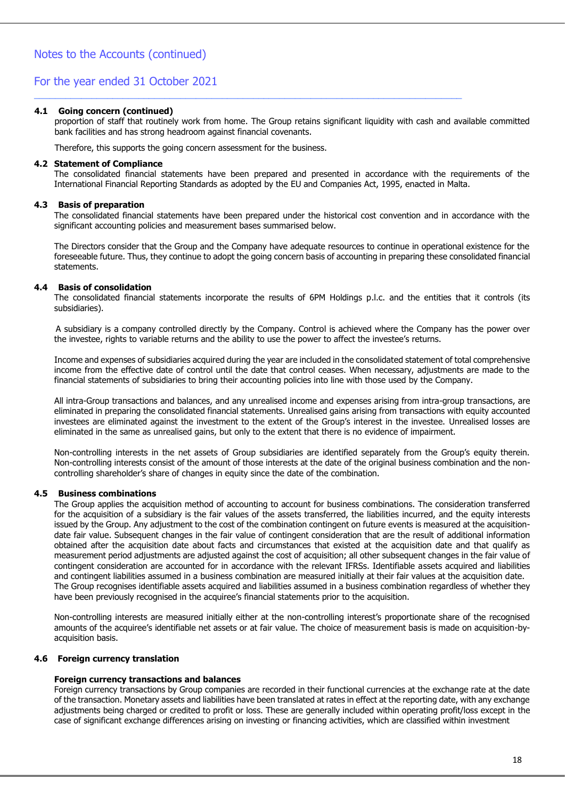#### **4.1 Going concern (continued)**

proportion of staff that routinely work from home. The Group retains significant liquidity with cash and available committed bank facilities and has strong headroom against financial covenants.

\_\_\_\_\_\_\_\_\_\_\_\_\_\_\_\_\_\_\_\_\_\_\_\_\_\_\_\_\_\_\_\_\_\_\_\_\_\_\_\_\_\_\_\_\_\_\_\_\_\_\_\_\_\_\_\_\_\_\_\_\_\_\_\_\_\_\_\_\_\_\_\_\_\_\_\_\_\_\_\_\_\_

Therefore, this supports the going concern assessment for the business.

#### **4.2 Statement of Compliance**

The consolidated financial statements have been prepared and presented in accordance with the requirements of the International Financial Reporting Standards as adopted by the EU and Companies Act, 1995, enacted in Malta.

#### **4.3 Basis of preparation**

The consolidated financial statements have been prepared under the historical cost convention and in accordance with the significant accounting policies and measurement bases summarised below.

The Directors consider that the Group and the Company have adequate resources to continue in operational existence for the foreseeable future. Thus, they continue to adopt the going concern basis of accounting in preparing these consolidated financial statements.

#### **4.4 Basis of consolidation**

The consolidated financial statements incorporate the results of 6PM Holdings p.l.c. and the entities that it controls (its subsidiaries).

 A subsidiary is a company controlled directly by the Company. Control is achieved where the Company has the power over the investee, rights to variable returns and the ability to use the power to affect the investee's returns.

Income and expenses of subsidiaries acquired during the year are included in the consolidated statement of total comprehensive income from the effective date of control until the date that control ceases. When necessary, adjustments are made to the financial statements of subsidiaries to bring their accounting policies into line with those used by the Company.

All intra-Group transactions and balances, and any unrealised income and expenses arising from intra-group transactions, are eliminated in preparing the consolidated financial statements. Unrealised gains arising from transactions with equity accounted investees are eliminated against the investment to the extent of the Group's interest in the investee. Unrealised losses are eliminated in the same as unrealised gains, but only to the extent that there is no evidence of impairment.

Non-controlling interests in the net assets of Group subsidiaries are identified separately from the Group's equity therein. Non-controlling interests consist of the amount of those interests at the date of the original business combination and the noncontrolling shareholder's share of changes in equity since the date of the combination.

#### **4.5 Business combinations**

The Group applies the acquisition method of accounting to account for business combinations. The consideration transferred for the acquisition of a subsidiary is the fair values of the assets transferred, the liabilities incurred, and the equity interests issued by the Group. Any adjustment to the cost of the combination contingent on future events is measured at the acquisitiondate fair value. Subsequent changes in the fair value of contingent consideration that are the result of additional information obtained after the acquisition date about facts and circumstances that existed at the acquisition date and that qualify as measurement period adjustments are adjusted against the cost of acquisition; all other subsequent changes in the fair value of contingent consideration are accounted for in accordance with the relevant IFRSs. Identifiable assets acquired and liabilities and contingent liabilities assumed in a business combination are measured initially at their fair values at the acquisition date. The Group recognises identifiable assets acquired and liabilities assumed in a business combination regardless of whether they have been previously recognised in the acquiree's financial statements prior to the acquisition.

Non-controlling interests are measured initially either at the non-controlling interest's proportionate share of the recognised amounts of the acquiree's identifiable net assets or at fair value. The choice of measurement basis is made on acquisition-byacquisition basis.

#### **4.6 Foreign currency translation**

#### **Foreign currency transactions and balances**

Foreign currency transactions by Group companies are recorded in their functional currencies at the exchange rate at the date of the transaction. Monetary assets and liabilities have been translated at rates in effect at the reporting date, with any exchange adjustments being charged or credited to profit or loss. These are generally included within operating profit/loss except in the case of significant exchange differences arising on investing or financing activities, which are classified within investment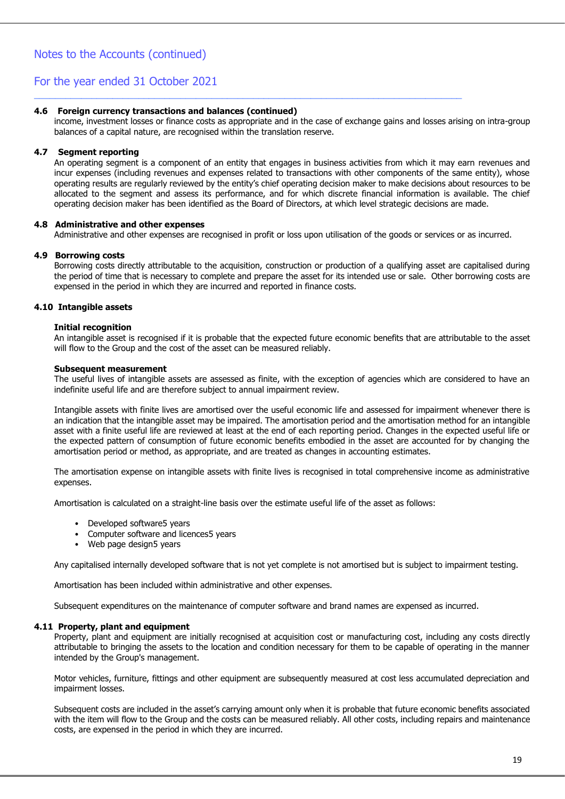#### **4.6 Foreign currency transactions and balances (continued)**

income, investment losses or finance costs as appropriate and in the case of exchange gains and losses arising on intra-group balances of a capital nature, are recognised within the translation reserve.

\_\_\_\_\_\_\_\_\_\_\_\_\_\_\_\_\_\_\_\_\_\_\_\_\_\_\_\_\_\_\_\_\_\_\_\_\_\_\_\_\_\_\_\_\_\_\_\_\_\_\_\_\_\_\_\_\_\_\_\_\_\_\_\_\_\_\_\_\_\_\_\_\_\_\_\_\_\_\_\_\_\_

#### **4.7 Segment reporting**

An operating segment is a component of an entity that engages in business activities from which it may earn revenues and incur expenses (including revenues and expenses related to transactions with other components of the same entity), whose operating results are regularly reviewed by the entity's chief operating decision maker to make decisions about resources to be allocated to the segment and assess its performance, and for which discrete financial information is available. The chief operating decision maker has been identified as the Board of Directors, at which level strategic decisions are made.

#### **4.8 Administrative and other expenses**

Administrative and other expenses are recognised in profit or loss upon utilisation of the goods or services or as incurred.

#### **4.9 Borrowing costs**

Borrowing costs directly attributable to the acquisition, construction or production of a qualifying asset are capitalised during the period of time that is necessary to complete and prepare the asset for its intended use or sale. Other borrowing costs are expensed in the period in which they are incurred and reported in finance costs.

#### **4.10 Intangible assets**

#### **Initial recognition**

An intangible asset is recognised if it is probable that the expected future economic benefits that are attributable to the asset will flow to the Group and the cost of the asset can be measured reliably.

#### **Subsequent measurement**

The useful lives of intangible assets are assessed as finite, with the exception of agencies which are considered to have an indefinite useful life and are therefore subject to annual impairment review.

Intangible assets with finite lives are amortised over the useful economic life and assessed for impairment whenever there is an indication that the intangible asset may be impaired. The amortisation period and the amortisation method for an intangible asset with a finite useful life are reviewed at least at the end of each reporting period. Changes in the expected useful life or the expected pattern of consumption of future economic benefits embodied in the asset are accounted for by changing the amortisation period or method, as appropriate, and are treated as changes in accounting estimates.

The amortisation expense on intangible assets with finite lives is recognised in total comprehensive income as administrative expenses.

Amortisation is calculated on a straight-line basis over the estimate useful life of the asset as follows:

- Developed software5 years
- Computer software and licences5 years
- Web page design5 years

Any capitalised internally developed software that is not yet complete is not amortised but is subject to impairment testing.

Amortisation has been included within administrative and other expenses.

Subsequent expenditures on the maintenance of computer software and brand names are expensed as incurred.

#### **4.11 Property, plant and equipment**

Property, plant and equipment are initially recognised at acquisition cost or manufacturing cost, including any costs directly attributable to bringing the assets to the location and condition necessary for them to be capable of operating in the manner intended by the Group's management.

Motor vehicles, furniture, fittings and other equipment are subsequently measured at cost less accumulated depreciation and impairment losses.

Subsequent costs are included in the asset's carrying amount only when it is probable that future economic benefits associated with the item will flow to the Group and the costs can be measured reliably. All other costs, including repairs and maintenance costs, are expensed in the period in which they are incurred.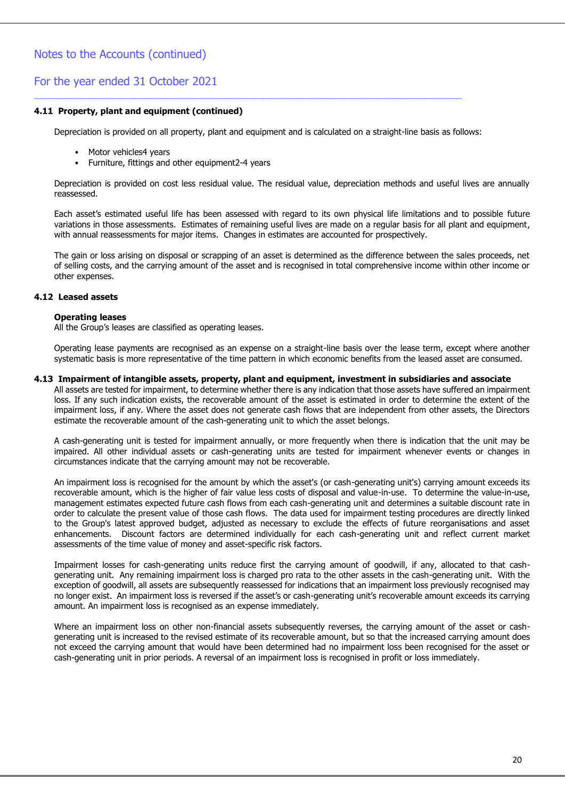#### **4.11 Property, plant and equipment (continued)**

Depreciation is provided on all property, plant and equipment and is calculated on a straight-line basis as follows:

\_\_\_\_\_\_\_\_\_\_\_\_\_\_\_\_\_\_\_\_\_\_\_\_\_\_\_\_\_\_\_\_\_\_\_\_\_\_\_\_\_\_\_\_\_\_\_\_\_\_\_\_\_\_\_\_\_\_\_\_\_\_\_\_\_\_\_\_\_\_\_\_\_\_\_\_\_\_\_\_\_\_

- Motor vehicles4 years
- Furniture, fittings and other equipment2-4 years

Depreciation is provided on cost less residual value. The residual value, depreciation methods and useful lives are annually reassessed.

Each asset's estimated useful life has been assessed with regard to its own physical life limitations and to possible future variations in those assessments. Estimates of remaining useful lives are made on a regular basis for all plant and equipment, with annual reassessments for major items. Changes in estimates are accounted for prospectively.

The gain or loss arising on disposal or scrapping of an asset is determined as the difference between the sales proceeds, net of selling costs, and the carrying amount of the asset and is recognised in total comprehensive income within other income or other expenses.

#### **4.12 Leased assets**

#### **Operating leases**

All the Group's leases are classified as operating leases.

Operating lease payments are recognised as an expense on a straight-line basis over the lease term, except where another systematic basis is more representative of the time pattern in which economic benefits from the leased asset are consumed.

#### **4.13 Impairment of intangible assets, property, plant and equipment, investment in subsidiaries and associate**

All assets are tested for impairment, to determine whether there is any indication that those assets have suffered an impairment loss. If any such indication exists, the recoverable amount of the asset is estimated in order to determine the extent of the impairment loss, if any. Where the asset does not generate cash flows that are independent from other assets, the Directors estimate the recoverable amount of the cash-generating unit to which the asset belongs.

A cash-generating unit is tested for impairment annually, or more frequently when there is indication that the unit may be impaired. All other individual assets or cash-generating units are tested for impairment whenever events or changes in circumstances indicate that the carrying amount may not be recoverable.

An impairment loss is recognised for the amount by which the asset's (or cash-generating unit's) carrying amount exceeds its recoverable amount, which is the higher of fair value less costs of disposal and value-in-use. To determine the value-in-use, management estimates expected future cash flows from each cash-generating unit and determines a suitable discount rate in order to calculate the present value of those cash flows. The data used for impairment testing procedures are directly linked to the Group's latest approved budget, adjusted as necessary to exclude the effects of future reorganisations and asset enhancements. Discount factors are determined individually for each cash-generating unit and reflect current market assessments of the time value of money and asset-specific risk factors.

Impairment losses for cash-generating units reduce first the carrying amount of goodwill, if any, allocated to that cashgenerating unit. Any remaining impairment loss is charged pro rata to the other assets in the cash-generating unit. With the exception of goodwill, all assets are subsequently reassessed for indications that an impairment loss previously recognised may no longer exist. An impairment loss is reversed if the asset's or cash-generating unit's recoverable amount exceeds its carrying amount. An impairment loss is recognised as an expense immediately.

Where an impairment loss on other non-financial assets subsequently reverses, the carrying amount of the asset or cashgenerating unit is increased to the revised estimate of its recoverable amount, but so that the increased carrying amount does not exceed the carrying amount that would have been determined had no impairment loss been recognised for the asset or cash-generating unit in prior periods. A reversal of an impairment loss is recognised in profit or loss immediately.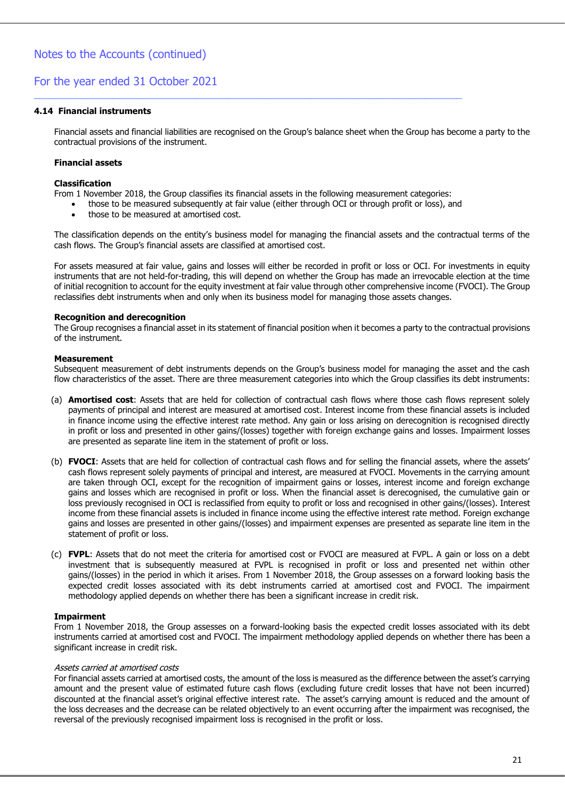#### **4.14 Financial instruments**

Financial assets and financial liabilities are recognised on the Group's balance sheet when the Group has become a party to the contractual provisions of the instrument.

#### **Financial assets**

#### **Classification**

From 1 November 2018, the Group classifies its financial assets in the following measurement categories:

\_\_\_\_\_\_\_\_\_\_\_\_\_\_\_\_\_\_\_\_\_\_\_\_\_\_\_\_\_\_\_\_\_\_\_\_\_\_\_\_\_\_\_\_\_\_\_\_\_\_\_\_\_\_\_\_\_\_\_\_\_\_\_\_\_\_\_\_\_\_\_\_\_\_\_\_\_\_\_\_\_\_

- those to be measured subsequently at fair value (either through OCI or through profit or loss), and
- those to be measured at amortised cost.

The classification depends on the entity's business model for managing the financial assets and the contractual terms of the cash flows. The Group's financial assets are classified at amortised cost.

For assets measured at fair value, gains and losses will either be recorded in profit or loss or OCI. For investments in equity instruments that are not held-for-trading, this will depend on whether the Group has made an irrevocable election at the time of initial recognition to account for the equity investment at fair value through other comprehensive income (FVOCI). The Group reclassifies debt instruments when and only when its business model for managing those assets changes.

#### **Recognition and derecognition**

The Group recognises a financial asset in its statement of financial position when it becomes a party to the contractual provisions of the instrument.

#### **Measurement**

Subsequent measurement of debt instruments depends on the Group's business model for managing the asset and the cash flow characteristics of the asset. There are three measurement categories into which the Group classifies its debt instruments:

- (a) **Amortised cost**: Assets that are held for collection of contractual cash flows where those cash flows represent solely payments of principal and interest are measured at amortised cost. Interest income from these financial assets is included in finance income using the effective interest rate method. Any gain or loss arising on derecognition is recognised directly in profit or loss and presented in other gains/(losses) together with foreign exchange gains and losses. Impairment losses are presented as separate line item in the statement of profit or loss.
- (b) **FVOCI**: Assets that are held for collection of contractual cash flows and for selling the financial assets, where the assets' cash flows represent solely payments of principal and interest, are measured at FVOCI. Movements in the carrying amount are taken through OCI, except for the recognition of impairment gains or losses, interest income and foreign exchange gains and losses which are recognised in profit or loss. When the financial asset is derecognised, the cumulative gain or loss previously recognised in OCI is reclassified from equity to profit or loss and recognised in other gains/(losses). Interest income from these financial assets is included in finance income using the effective interest rate method. Foreign exchange gains and losses are presented in other gains/(losses) and impairment expenses are presented as separate line item in the statement of profit or loss.
- (c) **FVPL**: Assets that do not meet the criteria for amortised cost or FVOCI are measured at FVPL. A gain or loss on a debt investment that is subsequently measured at FVPL is recognised in profit or loss and presented net within other gains/(losses) in the period in which it arises. From 1 November 2018, the Group assesses on a forward looking basis the expected credit losses associated with its debt instruments carried at amortised cost and FVOCI. The impairment methodology applied depends on whether there has been a significant increase in credit risk.

#### **Impairment**

From 1 November 2018, the Group assesses on a forward-looking basis the expected credit losses associated with its debt instruments carried at amortised cost and FVOCI. The impairment methodology applied depends on whether there has been a significant increase in credit risk.

#### Assets carried at amortised costs

For financial assets carried at amortised costs, the amount of the loss is measured as the difference between the asset's carrying amount and the present value of estimated future cash flows (excluding future credit losses that have not been incurred) discounted at the financial asset's original effective interest rate. The asset's carrying amount is reduced and the amount of the loss decreases and the decrease can be related objectively to an event occurring after the impairment was recognised, the reversal of the previously recognised impairment loss is recognised in the profit or loss.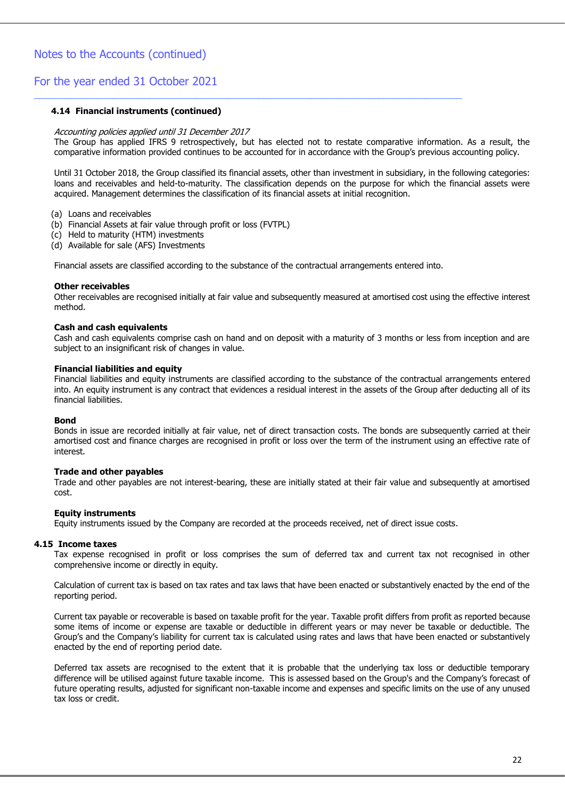#### **4.14 Financial instruments (continued)**

#### Accounting policies applied until 31 December 2017

The Group has applied IFRS 9 retrospectively, but has elected not to restate comparative information. As a result, the comparative information provided continues to be accounted for in accordance with the Group's previous accounting policy.

Until 31 October 2018, the Group classified its financial assets, other than investment in subsidiary, in the following categories: loans and receivables and held-to-maturity. The classification depends on the purpose for which the financial assets were acquired. Management determines the classification of its financial assets at initial recognition.

(a) Loans and receivables

- (b) Financial Assets at fair value through profit or loss (FVTPL)
- (c) Held to maturity (HTM) investments
- (d) Available for sale (AFS) Investments

Financial assets are classified according to the substance of the contractual arrangements entered into.

\_\_\_\_\_\_\_\_\_\_\_\_\_\_\_\_\_\_\_\_\_\_\_\_\_\_\_\_\_\_\_\_\_\_\_\_\_\_\_\_\_\_\_\_\_\_\_\_\_\_\_\_\_\_\_\_\_\_\_\_\_\_\_\_\_\_\_\_\_\_\_\_\_\_\_\_\_\_\_\_\_\_

#### **Other receivables**

Other receivables are recognised initially at fair value and subsequently measured at amortised cost using the effective interest method.

#### **Cash and cash equivalents**

Cash and cash equivalents comprise cash on hand and on deposit with a maturity of 3 months or less from inception and are subject to an insignificant risk of changes in value.

#### **Financial liabilities and equity**

Financial liabilities and equity instruments are classified according to the substance of the contractual arrangements entered into. An equity instrument is any contract that evidences a residual interest in the assets of the Group after deducting all of its financial liabilities.

#### **Bond**

Bonds in issue are recorded initially at fair value, net of direct transaction costs. The bonds are subsequently carried at their amortised cost and finance charges are recognised in profit or loss over the term of the instrument using an effective rate of interest.

#### **Trade and other payables**

Trade and other payables are not interest-bearing, these are initially stated at their fair value and subsequently at amortised cost.

#### **Equity instruments**

Equity instruments issued by the Company are recorded at the proceeds received, net of direct issue costs.

#### **4.15 Income taxes**

Tax expense recognised in profit or loss comprises the sum of deferred tax and current tax not recognised in other comprehensive income or directly in equity.

Calculation of current tax is based on tax rates and tax laws that have been enacted or substantively enacted by the end of the reporting period.

Current tax payable or recoverable is based on taxable profit for the year. Taxable profit differs from profit as reported because some items of income or expense are taxable or deductible in different years or may never be taxable or deductible. The Group's and the Company's liability for current tax is calculated using rates and laws that have been enacted or substantively enacted by the end of reporting period date.

Deferred tax assets are recognised to the extent that it is probable that the underlying tax loss or deductible temporary difference will be utilised against future taxable income. This is assessed based on the Group's and the Company's forecast of future operating results, adjusted for significant non-taxable income and expenses and specific limits on the use of any unused tax loss or credit.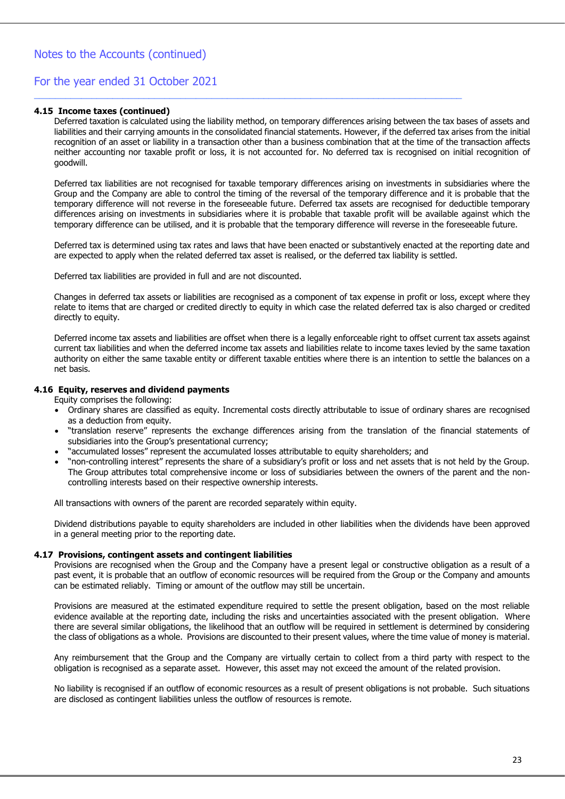#### **4.15 Income taxes (continued)**

Deferred taxation is calculated using the liability method, on temporary differences arising between the tax bases of assets and liabilities and their carrying amounts in the consolidated financial statements. However, if the deferred tax arises from the initial recognition of an asset or liability in a transaction other than a business combination that at the time of the transaction affects neither accounting nor taxable profit or loss, it is not accounted for. No deferred tax is recognised on initial recognition of goodwill.

\_\_\_\_\_\_\_\_\_\_\_\_\_\_\_\_\_\_\_\_\_\_\_\_\_\_\_\_\_\_\_\_\_\_\_\_\_\_\_\_\_\_\_\_\_\_\_\_\_\_\_\_\_\_\_\_\_\_\_\_\_\_\_\_\_\_\_\_\_\_\_\_\_\_\_\_\_\_\_\_\_\_

Deferred tax liabilities are not recognised for taxable temporary differences arising on investments in subsidiaries where the Group and the Company are able to control the timing of the reversal of the temporary difference and it is probable that the temporary difference will not reverse in the foreseeable future. Deferred tax assets are recognised for deductible temporary differences arising on investments in subsidiaries where it is probable that taxable profit will be available against which the temporary difference can be utilised, and it is probable that the temporary difference will reverse in the foreseeable future.

Deferred tax is determined using tax rates and laws that have been enacted or substantively enacted at the reporting date and are expected to apply when the related deferred tax asset is realised, or the deferred tax liability is settled.

Deferred tax liabilities are provided in full and are not discounted.

Changes in deferred tax assets or liabilities are recognised as a component of tax expense in profit or loss, except where they relate to items that are charged or credited directly to equity in which case the related deferred tax is also charged or credited directly to equity.

Deferred income tax assets and liabilities are offset when there is a legally enforceable right to offset current tax assets against current tax liabilities and when the deferred income tax assets and liabilities relate to income taxes levied by the same taxation authority on either the same taxable entity or different taxable entities where there is an intention to settle the balances on a net basis.

#### **4.16 Equity, reserves and dividend payments**

Equity comprises the following:

- Ordinary shares are classified as equity. Incremental costs directly attributable to issue of ordinary shares are recognised as a deduction from equity.
- "translation reserve" represents the exchange differences arising from the translation of the financial statements of subsidiaries into the Group's presentational currency;
- "accumulated losses" represent the accumulated losses attributable to equity shareholders; and
- "non-controlling interest" represents the share of a subsidiary's profit or loss and net assets that is not held by the Group. The Group attributes total comprehensive income or loss of subsidiaries between the owners of the parent and the noncontrolling interests based on their respective ownership interests.

All transactions with owners of the parent are recorded separately within equity.

Dividend distributions payable to equity shareholders are included in other liabilities when the dividends have been approved in a general meeting prior to the reporting date.

#### **4.17 Provisions, contingent assets and contingent liabilities**

Provisions are recognised when the Group and the Company have a present legal or constructive obligation as a result of a past event, it is probable that an outflow of economic resources will be required from the Group or the Company and amounts can be estimated reliably. Timing or amount of the outflow may still be uncertain.

Provisions are measured at the estimated expenditure required to settle the present obligation, based on the most reliable evidence available at the reporting date, including the risks and uncertainties associated with the present obligation. Where there are several similar obligations, the likelihood that an outflow will be required in settlement is determined by considering the class of obligations as a whole. Provisions are discounted to their present values, where the time value of money is material.

Any reimbursement that the Group and the Company are virtually certain to collect from a third party with respect to the obligation is recognised as a separate asset. However, this asset may not exceed the amount of the related provision.

No liability is recognised if an outflow of economic resources as a result of present obligations is not probable. Such situations are disclosed as contingent liabilities unless the outflow of resources is remote.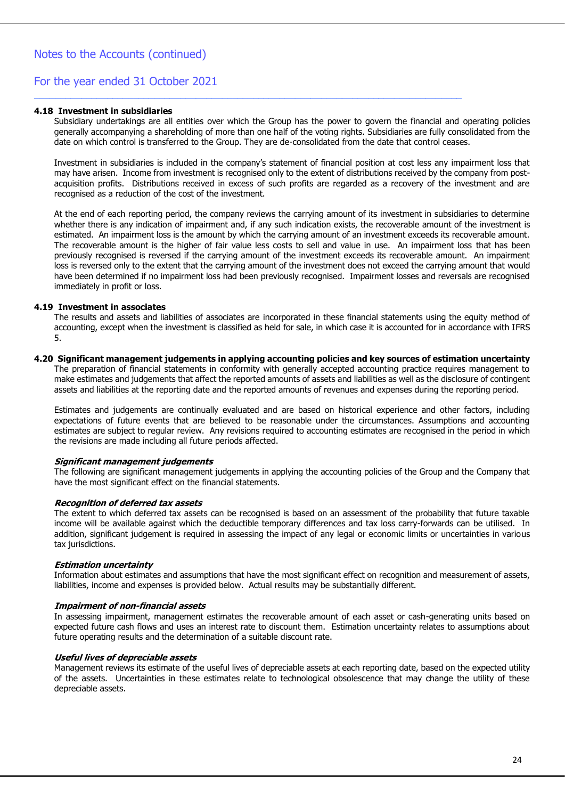#### **4.18 Investment in subsidiaries**

Subsidiary undertakings are all entities over which the Group has the power to govern the financial and operating policies generally accompanying a shareholding of more than one half of the voting rights. Subsidiaries are fully consolidated from the date on which control is transferred to the Group. They are de-consolidated from the date that control ceases.

\_\_\_\_\_\_\_\_\_\_\_\_\_\_\_\_\_\_\_\_\_\_\_\_\_\_\_\_\_\_\_\_\_\_\_\_\_\_\_\_\_\_\_\_\_\_\_\_\_\_\_\_\_\_\_\_\_\_\_\_\_\_\_\_\_\_\_\_\_\_\_\_\_\_\_\_\_\_\_\_\_\_

Investment in subsidiaries is included in the company's statement of financial position at cost less any impairment loss that may have arisen. Income from investment is recognised only to the extent of distributions received by the company from postacquisition profits. Distributions received in excess of such profits are regarded as a recovery of the investment and are recognised as a reduction of the cost of the investment.

At the end of each reporting period, the company reviews the carrying amount of its investment in subsidiaries to determine whether there is any indication of impairment and, if any such indication exists, the recoverable amount of the investment is estimated. An impairment loss is the amount by which the carrying amount of an investment exceeds its recoverable amount. The recoverable amount is the higher of fair value less costs to sell and value in use. An impairment loss that has been previously recognised is reversed if the carrying amount of the investment exceeds its recoverable amount. An impairment loss is reversed only to the extent that the carrying amount of the investment does not exceed the carrying amount that would have been determined if no impairment loss had been previously recognised. Impairment losses and reversals are recognised immediately in profit or loss.

#### **4.19 Investment in associates**

The results and assets and liabilities of associates are incorporated in these financial statements using the equity method of accounting, except when the investment is classified as held for sale, in which case it is accounted for in accordance with IFRS 5.

#### **4.20 Significant management judgements in applying accounting policies and key sources of estimation uncertainty**

The preparation of financial statements in conformity with generally accepted accounting practice requires management to make estimates and judgements that affect the reported amounts of assets and liabilities as well as the disclosure of contingent assets and liabilities at the reporting date and the reported amounts of revenues and expenses during the reporting period.

Estimates and judgements are continually evaluated and are based on historical experience and other factors, including expectations of future events that are believed to be reasonable under the circumstances. Assumptions and accounting estimates are subject to regular review. Any revisions required to accounting estimates are recognised in the period in which the revisions are made including all future periods affected.

#### **Significant management judgements**

The following are significant management judgements in applying the accounting policies of the Group and the Company that have the most significant effect on the financial statements.

#### **Recognition of deferred tax assets**

The extent to which deferred tax assets can be recognised is based on an assessment of the probability that future taxable income will be available against which the deductible temporary differences and tax loss carry-forwards can be utilised. In addition, significant judgement is required in assessing the impact of any legal or economic limits or uncertainties in various tax jurisdictions.

#### **Estimation uncertainty**

Information about estimates and assumptions that have the most significant effect on recognition and measurement of assets, liabilities, income and expenses is provided below. Actual results may be substantially different.

#### **Impairment of non-financial assets**

In assessing impairment, management estimates the recoverable amount of each asset or cash-generating units based on expected future cash flows and uses an interest rate to discount them. Estimation uncertainty relates to assumptions about future operating results and the determination of a suitable discount rate.

#### **Useful lives of depreciable assets**

Management reviews its estimate of the useful lives of depreciable assets at each reporting date, based on the expected utility of the assets. Uncertainties in these estimates relate to technological obsolescence that may change the utility of these depreciable assets.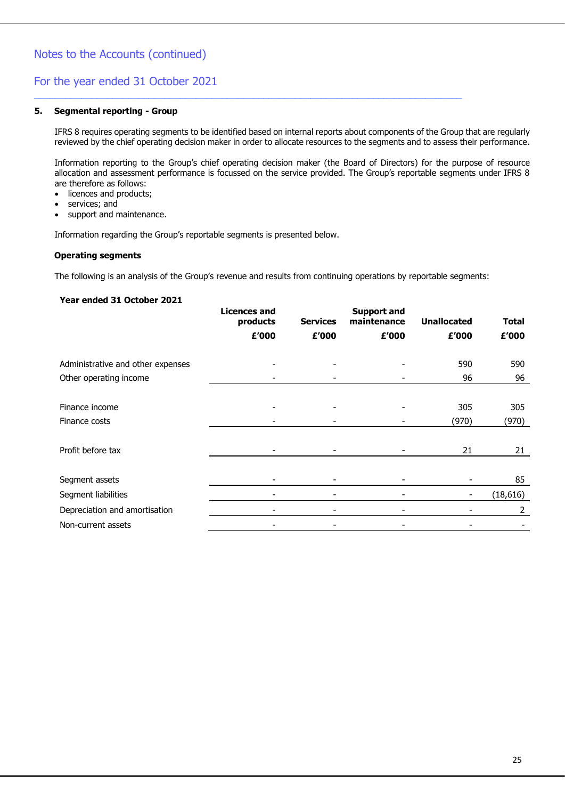#### **5. Segmental reporting - Group**

IFRS 8 requires operating segments to be identified based on internal reports about components of the Group that are regularly reviewed by the chief operating decision maker in order to allocate resources to the segments and to assess their performance.

\_\_\_\_\_\_\_\_\_\_\_\_\_\_\_\_\_\_\_\_\_\_\_\_\_\_\_\_\_\_\_\_\_\_\_\_\_\_\_\_\_\_\_\_\_\_\_\_\_\_\_\_\_\_\_\_\_\_\_\_\_\_\_\_\_\_\_\_\_\_\_\_\_\_\_\_\_\_\_\_\_\_

Information reporting to the Group's chief operating decision maker (the Board of Directors) for the purpose of resource allocation and assessment performance is focussed on the service provided. The Group's reportable segments under IFRS 8 are therefore as follows:

- licences and products;
- services; and
- support and maintenance.

Information regarding the Group's reportable segments is presented below.

#### **Operating segments**

The following is an analysis of the Group's revenue and results from continuing operations by reportable segments:

#### **Year ended 31 October 2021**

|                                   | <b>Licences and</b><br>products | <b>Services</b> | <b>Support and</b><br>maintenance | <b>Unallocated</b> | <b>Total</b> |
|-----------------------------------|---------------------------------|-----------------|-----------------------------------|--------------------|--------------|
|                                   | £'000                           | £'000           | £'000                             | £'000              | £'000        |
| Administrative and other expenses |                                 |                 |                                   | 590                | 590          |
| Other operating income            |                                 |                 |                                   | 96                 | 96           |
|                                   |                                 |                 |                                   |                    |              |
| Finance income                    |                                 |                 |                                   | 305                | 305          |
| Finance costs                     |                                 |                 |                                   | (970)              | (970)        |
|                                   |                                 |                 |                                   |                    |              |
| Profit before tax                 |                                 |                 |                                   | 21                 | 21           |
|                                   |                                 |                 |                                   |                    |              |
| Segment assets                    |                                 |                 |                                   |                    | 85           |
| Segment liabilities               |                                 |                 |                                   | -                  | (18, 616)    |
| Depreciation and amortisation     |                                 |                 |                                   |                    | 2            |
| Non-current assets                |                                 |                 |                                   |                    |              |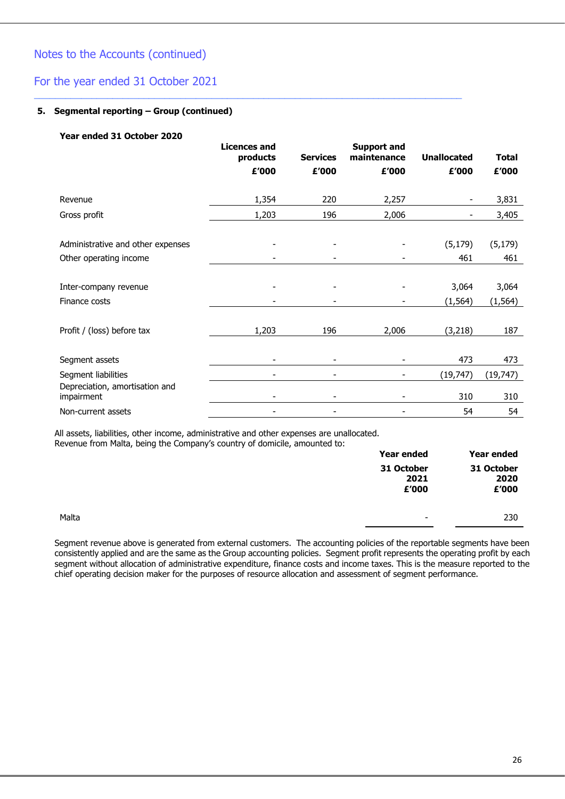### For the year ended 31 October 2021

#### **5. Segmental reporting – Group (continued)**

#### **Year ended 31 October 2020**

|                                                             | <b>Licences and</b><br>products<br>£'000 | <b>Services</b><br>£'000 | <b>Support and</b><br>maintenance<br>£'000 | <b>Unallocated</b><br>£'000 | <b>Total</b><br>£'000 |
|-------------------------------------------------------------|------------------------------------------|--------------------------|--------------------------------------------|-----------------------------|-----------------------|
| Revenue                                                     | 1,354                                    | 220                      | 2,257                                      | ٠                           | 3,831                 |
| Gross profit                                                | 1,203                                    | 196                      | 2,006                                      | ۰                           | 3,405                 |
| Administrative and other expenses<br>Other operating income |                                          |                          |                                            | (5, 179)<br>461             | (5, 179)<br>461       |
| Inter-company revenue<br>Finance costs                      |                                          |                          |                                            | 3,064<br>(1, 564)           | 3,064<br>(1, 564)     |
| Profit / (loss) before tax                                  | 1,203                                    | 196                      | 2,006                                      | (3, 218)                    | 187                   |
| Segment assets                                              |                                          |                          |                                            | 473                         | 473                   |
| Segment liabilities                                         |                                          |                          |                                            | (19, 747)                   | (19, 747)             |
| Depreciation, amortisation and<br>impairment                |                                          |                          |                                            | 310                         | 310                   |
| Non-current assets                                          |                                          |                          |                                            | 54                          | 54                    |

\_\_\_\_\_\_\_\_\_\_\_\_\_\_\_\_\_\_\_\_\_\_\_\_\_\_\_\_\_\_\_\_\_\_\_\_\_\_\_\_\_\_\_\_\_\_\_\_\_\_\_\_\_\_\_\_\_\_\_\_\_\_\_\_\_\_\_\_\_\_\_\_\_\_\_\_\_\_\_\_\_\_

All assets, liabilities, other income, administrative and other expenses are unallocated. Revenue from Malta, being the Company's country of domicile, amounted to:

|       | Year ended                  | Year ended |
|-------|-----------------------------|------------|
|       | 31 October<br>2021<br>£'000 |            |
| Malta | ۰                           | 230        |

Segment revenue above is generated from external customers. The accounting policies of the reportable segments have been consistently applied and are the same as the Group accounting policies. Segment profit represents the operating profit by each segment without allocation of administrative expenditure, finance costs and income taxes. This is the measure reported to the chief operating decision maker for the purposes of resource allocation and assessment of segment performance.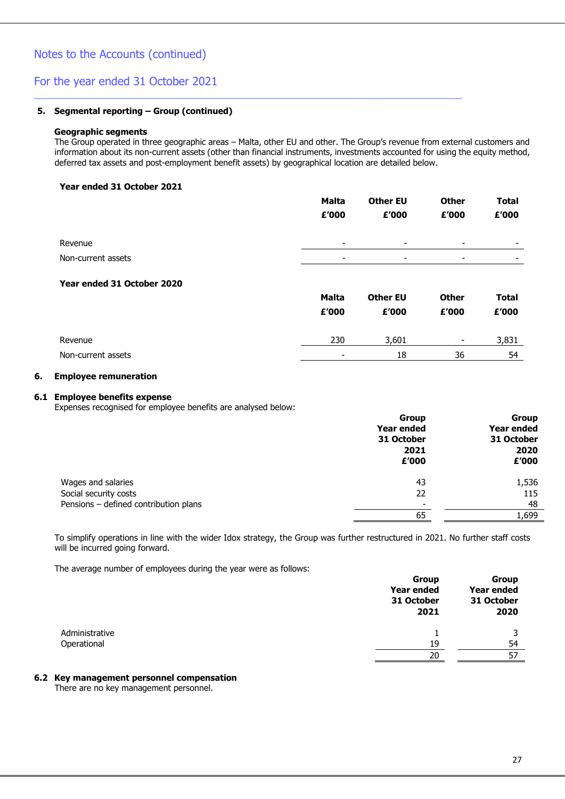### For the year ended 31 October 2021

#### **5. Segmental reporting – Group (continued)**

#### **Geographic segments**

The Group operated in three geographic areas – Malta, other EU and other. The Group's revenue from external customers and information about its non-current assets (other than financial instruments, investments accounted for using the equity method, deferred tax assets and post-employment benefit assets) by geographical location are detailed below.

\_\_\_\_\_\_\_\_\_\_\_\_\_\_\_\_\_\_\_\_\_\_\_\_\_\_\_\_\_\_\_\_\_\_\_\_\_\_\_\_\_\_\_\_\_\_\_\_\_\_\_\_\_\_\_\_\_\_\_\_\_\_\_\_\_\_\_\_\_\_\_\_\_\_\_\_\_\_\_\_\_\_

#### **Year ended 31 October 2021**

|                    | <b>Malta</b>             | <b>Other EU</b>          | <b>Other</b>             | <b>Total</b> |
|--------------------|--------------------------|--------------------------|--------------------------|--------------|
|                    | £'000                    | £'000                    | £'000                    | £'000        |
| Revenue            | $\overline{\phantom{0}}$ | $\overline{\phantom{0}}$ | $\overline{\phantom{0}}$ | ۰            |
| Non-current assets | -                        | ٠                        | $\overline{\phantom{0}}$ | ۰            |
|                    |                          |                          |                          |              |

#### **Year ended 31 October 2020**

|                    | <b>Malta</b> | <b>Other EU</b> | <b>Other</b>             | Total |
|--------------------|--------------|-----------------|--------------------------|-------|
|                    | £'000        | £'000           | £'000                    | £'000 |
| Revenue            | 230          | 3,601           | $\overline{\phantom{0}}$ | 3,831 |
| Non-current assets | -            | 18              | 36                       | 54    |

#### **6. Employee remuneration**

#### **6.1 Employee benefits expense**

Expenses recognised for employee benefits are analysed below:

|                                       | Group                    | <b>Group</b> |
|---------------------------------------|--------------------------|--------------|
|                                       | Year ended               | Year ended   |
|                                       | 31 October               | 31 October   |
|                                       | 2021                     | 2020         |
|                                       | £'000                    | £'000        |
| Wages and salaries                    | 43                       | 1,536        |
| Social security costs                 | 22                       | 115          |
| Pensions - defined contribution plans | $\overline{\phantom{a}}$ | 48           |
|                                       | 65                       | 1.699        |

To simplify operations in line with the wider Idox strategy, the Group was further restructured in 2021. No further staff costs will be incurred going forward.

The average number of employees during the year were as follows:

|                | <b>Group</b><br>Year ended<br>31 October<br>2021 | <b>Group</b><br>Year ended<br>31 October<br>2020 |
|----------------|--------------------------------------------------|--------------------------------------------------|
| Administrative |                                                  |                                                  |
| Operational    | 19                                               | 54                                               |
|                | 20                                               | 57                                               |

#### **6.2 Key management personnel compensation**

There are no key management personnel.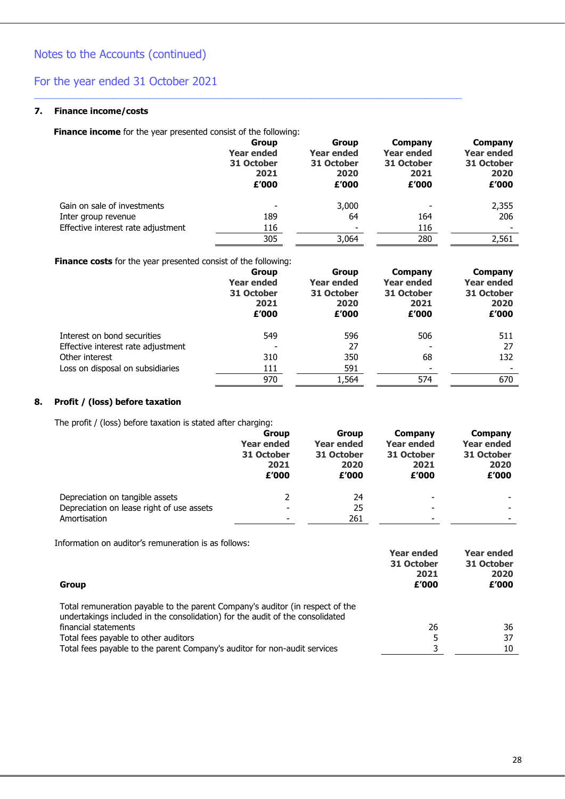### **7. Finance income/costs**

**Finance income** for the year presented consist of the following:

|                                    | <b>Group</b><br><b>Year ended</b><br>31 October<br>2021<br>£'000 | <b>Group</b><br><b>Year ended</b><br>31 October<br>2020<br>£'000 | Company<br><b>Year ended</b><br>31 October<br>2021<br>£'000 | Company<br><b>Year ended</b><br>31 October<br>2020<br>£'000 |
|------------------------------------|------------------------------------------------------------------|------------------------------------------------------------------|-------------------------------------------------------------|-------------------------------------------------------------|
| Gain on sale of investments        | ۰                                                                | 3,000                                                            | ۰                                                           | 2,355                                                       |
| Inter group revenue                | 189                                                              | 64                                                               | 164                                                         | 206                                                         |
| Effective interest rate adjustment | 116                                                              | ٠                                                                | 116                                                         |                                                             |
|                                    | 305                                                              | 3,064                                                            | 280                                                         | 2,561                                                       |
|                                    |                                                                  |                                                                  |                                                             |                                                             |

\_\_\_\_\_\_\_\_\_\_\_\_\_\_\_\_\_\_\_\_\_\_\_\_\_\_\_\_\_\_\_\_\_\_\_\_\_\_\_\_\_\_\_\_\_\_\_\_\_\_\_\_\_\_\_\_\_\_\_\_\_\_\_\_\_\_\_\_\_\_\_\_\_\_\_\_\_\_\_\_\_\_

**Finance costs** for the year presented consist of the following:

|                                    | <b>Group</b><br><b>Year ended</b><br>31 October<br>2021<br>£'000 | <b>Group</b><br><b>Year ended</b><br>31 October<br>2020<br>£'000 | Company<br><b>Year ended</b><br>31 October<br>2021<br>£'000 | Company<br>Year ended<br>31 October<br>2020<br>£'000 |
|------------------------------------|------------------------------------------------------------------|------------------------------------------------------------------|-------------------------------------------------------------|------------------------------------------------------|
| Interest on bond securities        | 549                                                              | 596                                                              | 506                                                         | 511                                                  |
| Effective interest rate adjustment |                                                                  | 27                                                               |                                                             | 27                                                   |
| Other interest                     | 310                                                              | 350                                                              | 68                                                          | 132                                                  |
| Loss on disposal on subsidiaries   | 111                                                              | 591                                                              |                                                             |                                                      |
|                                    | 970                                                              | 1,564                                                            | 574                                                         | 670                                                  |

### **8. Profit / (loss) before taxation**

The profit / (loss) before taxation is stated after charging:

|                                           | <b>Group</b>      | <b>Group</b>      | Company                  | Company           |
|-------------------------------------------|-------------------|-------------------|--------------------------|-------------------|
|                                           | <b>Year ended</b> | <b>Year ended</b> | <b>Year ended</b>        | <b>Year ended</b> |
|                                           | 31 October        | 31 October        | 31 October               | 31 October        |
|                                           | 2021              | 2020              | 2021                     | 2020              |
|                                           | £'000             | £'000             | £'000                    | £'000             |
| Depreciation on tangible assets           |                   | 24                | $\overline{\phantom{0}}$ |                   |
| Depreciation on lease right of use assets |                   | 25                | -                        |                   |
| Amortisation                              |                   | 261               | -                        |                   |

Information on auditor's remuneration is as follows:

| Group                                                                                                                                                          | <b>Year ended</b><br>31 October<br>2021<br>£'000 | <b>Year ended</b><br>31 October<br>2020<br>£'000 |
|----------------------------------------------------------------------------------------------------------------------------------------------------------------|--------------------------------------------------|--------------------------------------------------|
| Total remuneration payable to the parent Company's auditor (in respect of the<br>undertakings included in the consolidation) for the audit of the consolidated |                                                  |                                                  |
| financial statements                                                                                                                                           | 26                                               | 36                                               |
| Total fees payable to other auditors                                                                                                                           |                                                  | 37                                               |
| Total fees payable to the parent Company's auditor for non-audit services                                                                                      |                                                  | 10                                               |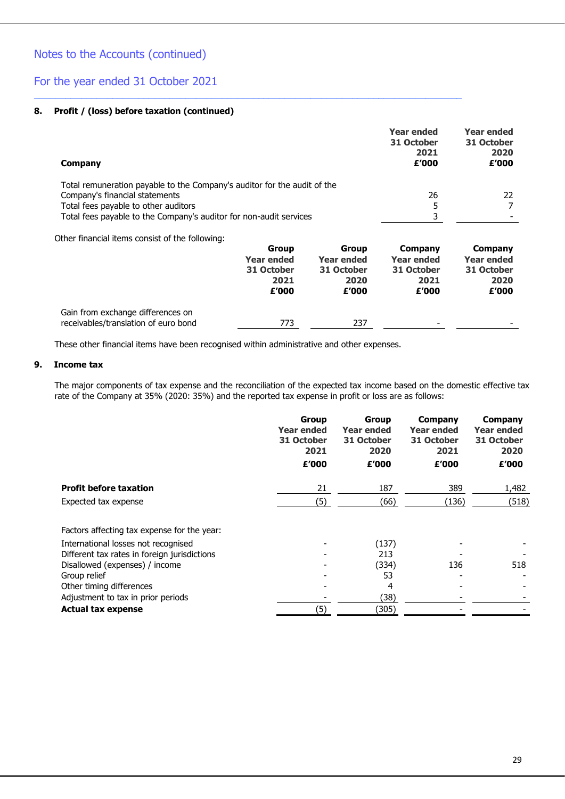### For the year ended 31 October 2021

#### **8. Profit / (loss) before taxation (continued)**

| Company                                                                  |              |                   | <b>Year ended</b><br>31 October<br>2021<br>£'000 | <b>Year ended</b><br>31 October<br>2020<br>£'000 |
|--------------------------------------------------------------------------|--------------|-------------------|--------------------------------------------------|--------------------------------------------------|
| Total remuneration payable to the Company's auditor for the audit of the |              |                   |                                                  |                                                  |
| Company's financial statements                                           |              |                   | 26                                               | 22                                               |
| Total fees payable to other auditors                                     |              |                   | 5                                                | 7                                                |
| Total fees payable to the Company's auditor for non-audit services       |              |                   | 3                                                |                                                  |
| Other financial items consist of the following:                          |              |                   |                                                  |                                                  |
|                                                                          | <b>Group</b> | <b>Group</b>      | Company                                          | Company                                          |
|                                                                          | Year ended   | <b>Year ended</b> | Year ended                                       | Year ended                                       |
|                                                                          | 31 October   | 31 October        | 31 October                                       | 31 October                                       |

\_\_\_\_\_\_\_\_\_\_\_\_\_\_\_\_\_\_\_\_\_\_\_\_\_\_\_\_\_\_\_\_\_\_\_\_\_\_\_\_\_\_\_\_\_\_\_\_\_\_\_\_\_\_\_\_\_\_\_\_\_\_\_\_\_\_\_\_\_\_\_\_\_\_\_\_\_\_\_\_\_\_

|                                      | 2021<br>£'000 | 2020<br>£'000 | 2021<br>£'000            | 2020<br>£'000            |
|--------------------------------------|---------------|---------------|--------------------------|--------------------------|
| Gain from exchange differences on    |               |               |                          |                          |
| receivables/translation of euro bond | 773           | 237           | $\overline{\phantom{0}}$ | $\overline{\phantom{0}}$ |

These other financial items have been recognised within administrative and other expenses.

#### **9. Income tax**

The major components of tax expense and the reconciliation of the expected tax income based on the domestic effective tax rate of the Company at 35% (2020: 35%) and the reported tax expense in profit or loss are as follows:

|                                              | <b>Group</b><br>Year ended<br>31 October<br>2021<br>£'000 | <b>Group</b><br>Year ended<br>31 October<br>2020<br>£'000 | Company<br><b>Year ended</b><br>31 October<br>2021<br>£'000 | <b>Company</b><br><b>Year ended</b><br>31 October<br>2020<br>£'000 |
|----------------------------------------------|-----------------------------------------------------------|-----------------------------------------------------------|-------------------------------------------------------------|--------------------------------------------------------------------|
| <b>Profit before taxation</b>                | 21                                                        | 187                                                       | 389                                                         | 1,482                                                              |
| Expected tax expense                         | (5)                                                       | (66)                                                      | (136)                                                       | (518)                                                              |
| Factors affecting tax expense for the year:  |                                                           |                                                           |                                                             |                                                                    |
| International losses not recognised          |                                                           | (137)                                                     |                                                             |                                                                    |
| Different tax rates in foreign jurisdictions |                                                           | 213                                                       |                                                             |                                                                    |
| Disallowed (expenses) / income               |                                                           | (334)                                                     | 136                                                         | 518                                                                |
| Group relief                                 |                                                           | 53                                                        |                                                             |                                                                    |
| Other timing differences                     |                                                           | 4                                                         |                                                             |                                                                    |
| Adjustment to tax in prior periods           |                                                           | (38)                                                      |                                                             |                                                                    |
| <b>Actual tax expense</b>                    | (5)                                                       | (305)                                                     |                                                             |                                                                    |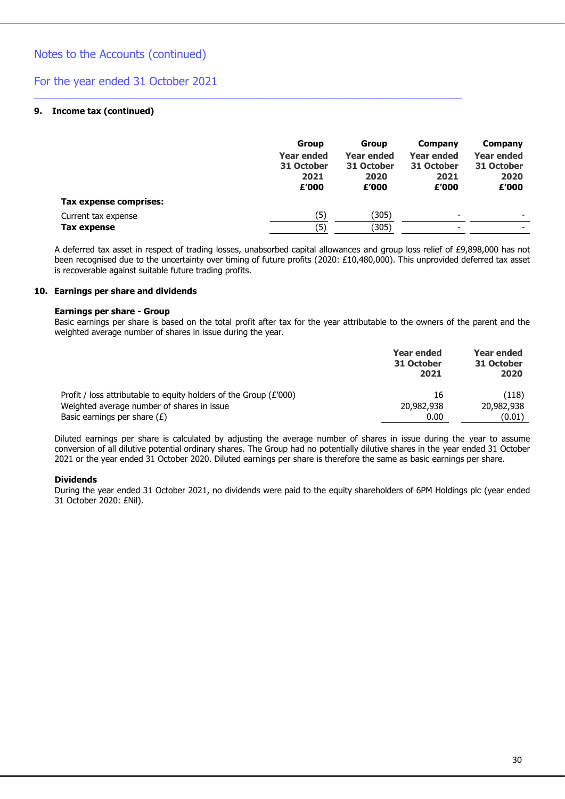### For the year ended 31 October 2021

#### **9. Income tax (continued)**

|                        | Group<br><b>Year ended</b><br>31 October<br>2021<br>£'000 | Group<br><b>Year ended</b><br>31 October<br>2020<br>£'000 | Company<br><b>Year ended</b><br>31 October<br>2021<br>£'000 | Company<br><b>Year ended</b><br>31 October<br>2020<br>£'000 |
|------------------------|-----------------------------------------------------------|-----------------------------------------------------------|-------------------------------------------------------------|-------------------------------------------------------------|
| Tax expense comprises: |                                                           |                                                           |                                                             |                                                             |
| Current tax expense    | (5)                                                       | (305)                                                     | ۰                                                           | $\overline{\phantom{0}}$                                    |
| Tax expense            | (5)                                                       | (305)                                                     | -                                                           |                                                             |

\_\_\_\_\_\_\_\_\_\_\_\_\_\_\_\_\_\_\_\_\_\_\_\_\_\_\_\_\_\_\_\_\_\_\_\_\_\_\_\_\_\_\_\_\_\_\_\_\_\_\_\_\_\_\_\_\_\_\_\_\_\_\_\_\_\_\_\_\_\_\_\_\_\_\_\_\_\_\_\_\_\_

A deferred tax asset in respect of trading losses, unabsorbed capital allowances and group loss relief of £9,898,000 has not been recognised due to the uncertainty over timing of future profits (2020: £10,480,000). This unprovided deferred tax asset is recoverable against suitable future trading profits.

#### **10. Earnings per share and dividends**

#### **Earnings per share - Group**

Basic earnings per share is based on the total profit after tax for the year attributable to the owners of the parent and the weighted average number of shares in issue during the year.

|                                                                     | Year ended<br>31 October<br>2021 | <b>Year ended</b><br>31 October<br>2020 |
|---------------------------------------------------------------------|----------------------------------|-----------------------------------------|
| Profit / loss attributable to equity holders of the Group $(E'000)$ | 16                               | (118)                                   |
| Weighted average number of shares in issue                          | 20,982,938                       | 20,982,938                              |
| Basic earnings per share $(E)$                                      | 0.00                             | (0.01)                                  |

Diluted earnings per share is calculated by adjusting the average number of shares in issue during the year to assume conversion of all dilutive potential ordinary shares. The Group had no potentially dilutive shares in the year ended 31 October 2021 or the year ended 31 October 2020. Diluted earnings per share is therefore the same as basic earnings per share.

#### **Dividends**

During the year ended 31 October 2021, no dividends were paid to the equity shareholders of 6PM Holdings plc (year ended 31 October 2020: £Nil).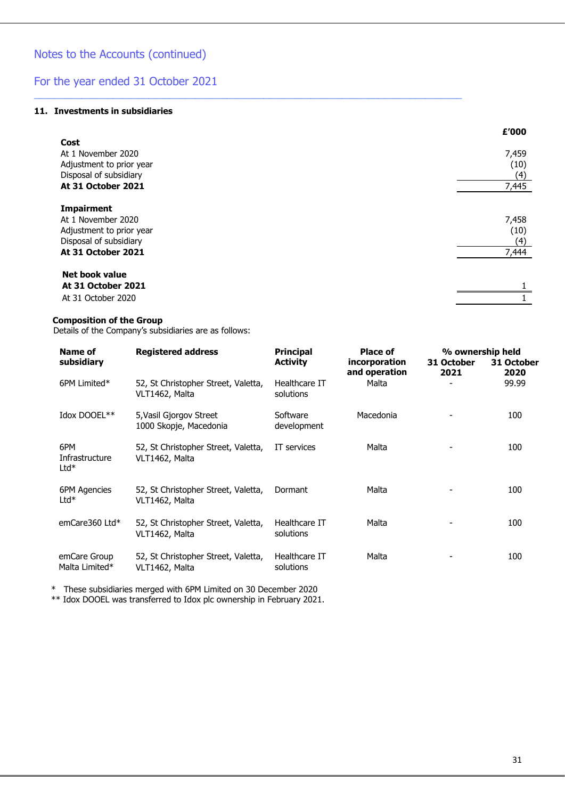#### **11. Investments in subsidiaries**

|                          | £'000 |
|--------------------------|-------|
| Cost                     |       |
| At 1 November 2020       | 7,459 |
| Adjustment to prior year | (10)  |
| Disposal of subsidiary   | (4)   |
| At 31 October 2021       | 7,445 |
| <b>Impairment</b>        |       |
| At 1 November 2020       | 7,458 |
| Adjustment to prior year | (10)  |
| Disposal of subsidiary   | (4)   |
| At 31 October 2021       | 7,444 |
| Net book value           |       |
| At 31 October 2021       |       |
| At 31 October 2020       |       |

\_\_\_\_\_\_\_\_\_\_\_\_\_\_\_\_\_\_\_\_\_\_\_\_\_\_\_\_\_\_\_\_\_\_\_\_\_\_\_\_\_\_\_\_\_\_\_\_\_\_\_\_\_\_\_\_\_\_\_\_\_\_\_\_\_\_\_\_\_\_\_\_\_\_\_\_\_\_\_\_\_\_

#### **Composition of the Group**

Details of the Company's subsidiaries are as follows:

| Name of                         | <b>Registered address</b>                             | <b>Principal</b>           | Place of                       | % ownership held   |                    |
|---------------------------------|-------------------------------------------------------|----------------------------|--------------------------------|--------------------|--------------------|
| subsidiary                      |                                                       | <b>Activity</b>            | incorporation<br>and operation | 31 October<br>2021 | 31 October<br>2020 |
| 6PM Limited*                    | 52, St Christopher Street, Valetta,<br>VLT1462, Malta | Healthcare IT<br>solutions | Malta                          |                    | 99.99              |
| Idox DOOEL**                    | 5, Vasil Gjorgov Street<br>1000 Skopje, Macedonia     | Software<br>development    | Macedonia                      |                    | 100                |
| 6PM<br>Infrastructure<br>$Ltd*$ | 52, St Christopher Street, Valetta,<br>VLT1462, Malta | IT services                | Malta                          |                    | 100                |
| 6PM Agencies<br>$Ltd*$          | 52, St Christopher Street, Valetta,<br>VLT1462, Malta | Dormant                    | Malta                          |                    | 100                |
| emCare360 Ltd*                  | 52, St Christopher Street, Valetta,<br>VLT1462, Malta | Healthcare IT<br>solutions | Malta                          |                    | 100                |
| emCare Group<br>Malta Limited*  | 52, St Christopher Street, Valetta,<br>VLT1462, Malta | Healthcare IT<br>solutions | Malta                          |                    | 100                |

\* These subsidiaries merged with 6PM Limited on 30 December 2020

\*\* Idox DOOEL was transferred to Idox plc ownership in February 2021.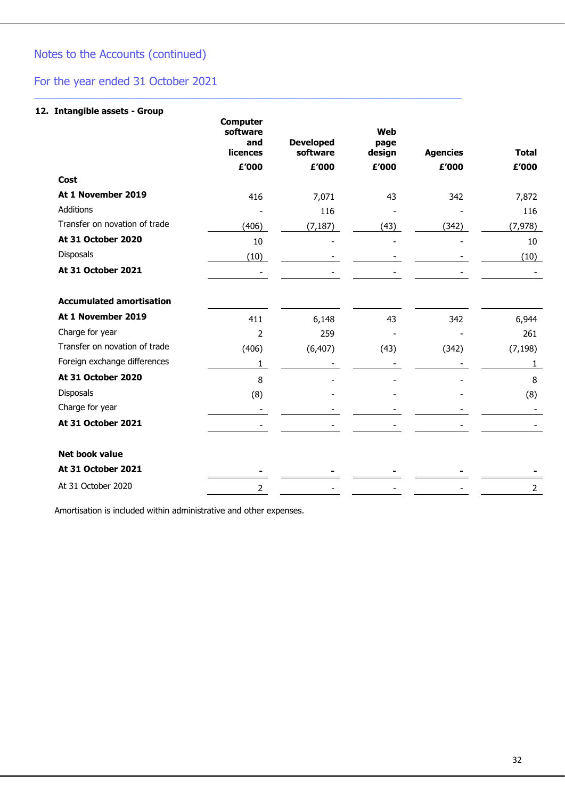# For the year ended 31 October 2021

### **12. Intangible assets - Group**

|                                 | <b>Computer</b><br>software<br>and<br>licences | <b>Developed</b><br>software | Web<br>page<br>design | <b>Agencies</b> | <b>Total</b>   |
|---------------------------------|------------------------------------------------|------------------------------|-----------------------|-----------------|----------------|
|                                 | £'000                                          | £'000                        | £'000                 | £'000           | £'000          |
| Cost                            |                                                |                              |                       |                 |                |
| At 1 November 2019              | 416                                            | 7,071                        | 43                    | 342             | 7,872          |
| Additions                       |                                                | 116                          |                       |                 | 116            |
| Transfer on novation of trade   | (406)                                          | (7, 187)                     | (43)                  | (342)           | (7, 978)       |
| At 31 October 2020              | 10                                             |                              |                       |                 | 10             |
| <b>Disposals</b>                | (10)                                           |                              |                       |                 | (10)           |
| At 31 October 2021              |                                                |                              |                       |                 |                |
| <b>Accumulated amortisation</b> |                                                |                              |                       |                 |                |
| At 1 November 2019              | 411                                            | 6,148                        | 43                    | 342             | 6,944          |
| Charge for year                 | $\overline{2}$                                 | 259                          |                       |                 | 261            |
| Transfer on novation of trade   | (406)                                          | (6, 407)                     | (43)                  | (342)           | (7, 198)       |
| Foreign exchange differences    | 1                                              |                              |                       |                 | 1              |
| At 31 October 2020              | 8                                              |                              |                       |                 | 8              |
| Disposals                       | (8)                                            |                              |                       |                 | (8)            |
| Charge for year                 |                                                |                              |                       |                 |                |
| At 31 October 2021              |                                                |                              |                       |                 |                |
| <b>Net book value</b>           |                                                |                              |                       |                 |                |
| At 31 October 2021              |                                                |                              |                       |                 |                |
| At 31 October 2020              | 2                                              |                              |                       |                 | $\overline{2}$ |

\_\_\_\_\_\_\_\_\_\_\_\_\_\_\_\_\_\_\_\_\_\_\_\_\_\_\_\_\_\_\_\_\_\_\_\_\_\_\_\_\_\_\_\_\_\_\_\_\_\_\_\_\_\_\_\_\_\_\_\_\_\_\_\_\_\_\_\_\_\_\_\_\_\_\_\_\_\_\_\_\_\_

Amortisation is included within administrative and other expenses.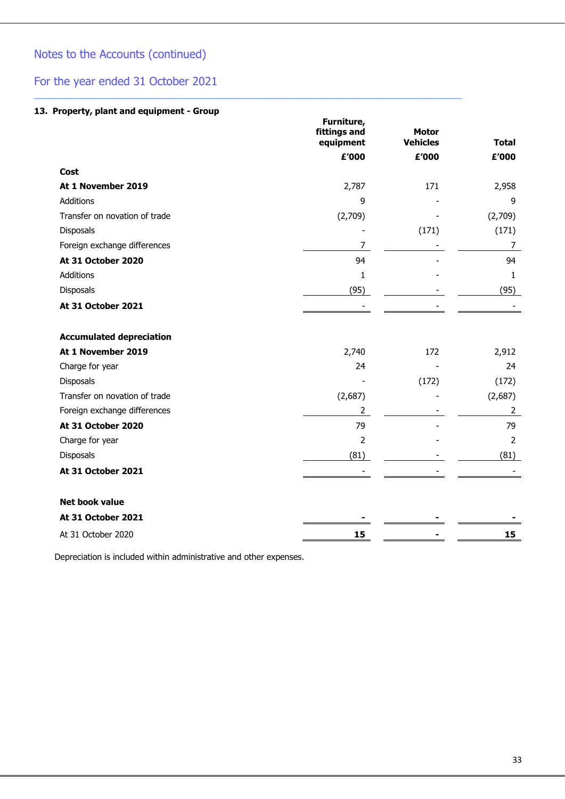# For the year ended 31 October 2021

### **13. Property, plant and equipment - Group**

|                                 | Furniture,<br>fittings and<br>equipment | <b>Motor</b><br><b>Vehicles</b> | <b>Total</b>   |
|---------------------------------|-----------------------------------------|---------------------------------|----------------|
|                                 | £'000                                   | £'000                           | £'000          |
| Cost                            |                                         |                                 |                |
| At 1 November 2019              | 2,787                                   | 171                             | 2,958          |
| <b>Additions</b>                | 9                                       |                                 | 9              |
| Transfer on novation of trade   | (2,709)                                 |                                 | (2,709)        |
| Disposals                       |                                         | (171)                           | (171)          |
| Foreign exchange differences    | 7                                       |                                 | $\overline{7}$ |
| At 31 October 2020              | 94                                      |                                 | 94             |
| <b>Additions</b>                | 1                                       |                                 | $\mathbf{1}$   |
| Disposals                       | (95)                                    |                                 | (95)           |
| At 31 October 2021              |                                         |                                 |                |
| <b>Accumulated depreciation</b> |                                         |                                 |                |
| At 1 November 2019              | 2,740                                   | 172                             | 2,912          |
| Charge for year                 | 24                                      |                                 | 24             |
| <b>Disposals</b>                |                                         | (172)                           | (172)          |
| Transfer on novation of trade   | (2,687)                                 |                                 | (2,687)        |
| Foreign exchange differences    | $\overline{2}$                          |                                 | $\overline{2}$ |
| At 31 October 2020              | 79                                      |                                 | 79             |
| Charge for year                 | $\overline{2}$                          |                                 | $\overline{2}$ |
| Disposals                       | (81)                                    |                                 | (81)           |
| At 31 October 2021              |                                         |                                 |                |
| <b>Net book value</b>           |                                         |                                 |                |
| At 31 October 2021              |                                         |                                 |                |
| At 31 October 2020              | 15                                      |                                 | 15             |

\_\_\_\_\_\_\_\_\_\_\_\_\_\_\_\_\_\_\_\_\_\_\_\_\_\_\_\_\_\_\_\_\_\_\_\_\_\_\_\_\_\_\_\_\_\_\_\_\_\_\_\_\_\_\_\_\_\_\_\_\_\_\_\_\_\_\_\_\_\_\_\_\_\_\_\_\_\_\_\_\_\_

Depreciation is included within administrative and other expenses.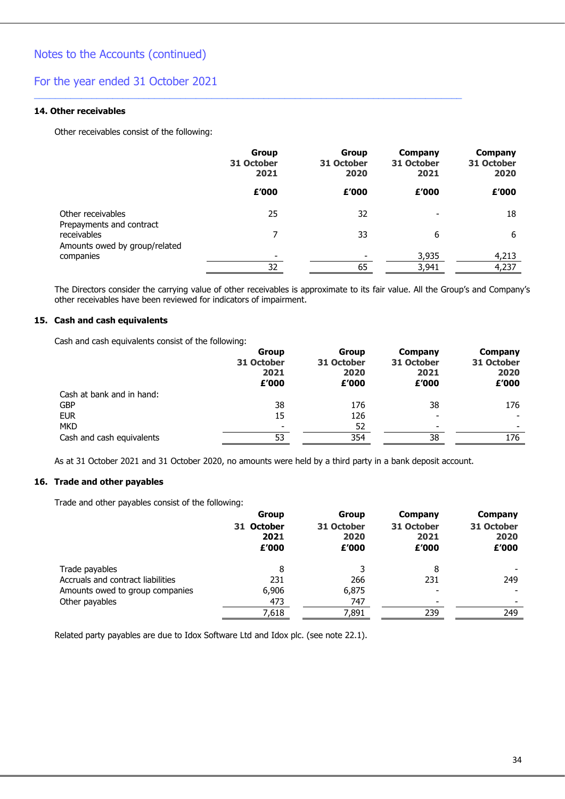### For the year ended 31 October 2021

#### **14. Other receivables**

Other receivables consist of the following:

|                                               | <b>Group</b><br>31 October<br>2021 | <b>Group</b><br>31 October<br>2020 | Company<br>31 October<br>2021 | Company<br>31 October<br>2020 |
|-----------------------------------------------|------------------------------------|------------------------------------|-------------------------------|-------------------------------|
|                                               | £'000                              | £'000                              | £'000                         | £'000                         |
| Other receivables<br>Prepayments and contract | 25                                 | 32                                 |                               | 18                            |
| receivables<br>Amounts owed by group/related  | 7                                  | 33                                 | 6                             | 6                             |
| companies                                     | -                                  | ۰                                  | 3,935                         | 4,213                         |
|                                               | 32                                 | 65                                 | 3,941                         | 4,237                         |

\_\_\_\_\_\_\_\_\_\_\_\_\_\_\_\_\_\_\_\_\_\_\_\_\_\_\_\_\_\_\_\_\_\_\_\_\_\_\_\_\_\_\_\_\_\_\_\_\_\_\_\_\_\_\_\_\_\_\_\_\_\_\_\_\_\_\_\_\_\_\_\_\_\_\_\_\_\_\_\_\_\_

The Directors consider the carrying value of other receivables is approximate to its fair value. All the Group's and Company's other receivables have been reviewed for indicators of impairment.

#### **15. Cash and cash equivalents**

Cash and cash equivalents consist of the following:

|                           | Group<br>31 October<br>2021<br>£'000 | Group<br>31 October<br>2020<br>£'000 | Company<br>31 October<br>2021<br>£'000 | Company<br>31 October<br>2020<br>£'000 |
|---------------------------|--------------------------------------|--------------------------------------|----------------------------------------|----------------------------------------|
| Cash at bank and in hand: |                                      |                                      |                                        |                                        |
| <b>GBP</b>                | 38                                   | 176                                  | 38                                     | 176                                    |
| <b>EUR</b>                | 15                                   | 126                                  |                                        |                                        |
| <b>MKD</b>                |                                      | 52                                   |                                        |                                        |
| Cash and cash equivalents | 53                                   | 354                                  | 38                                     | 176                                    |

As at 31 October 2021 and 31 October 2020, no amounts were held by a third party in a bank deposit account.

#### **16. Trade and other payables**

Trade and other payables consist of the following:

| <b>Group</b>                | <b>Group</b>                |                             | <b>Company</b>              |
|-----------------------------|-----------------------------|-----------------------------|-----------------------------|
| 31 October<br>2021<br>£'000 | 31 October<br>2020<br>£'000 | 31 October<br>2021<br>£'000 | 31 October<br>2020<br>£'000 |
| 8                           |                             | 8                           |                             |
| 231                         | 266                         | 231                         | 249                         |
| 6,906                       | 6,875                       |                             |                             |
| 473                         | 747                         | $\overline{\phantom{0}}$    |                             |
| 7,618                       | 7,891                       | 239                         | 249                         |
|                             |                             |                             | Company                     |

Related party payables are due to Idox Software Ltd and Idox plc. (see note 22.1).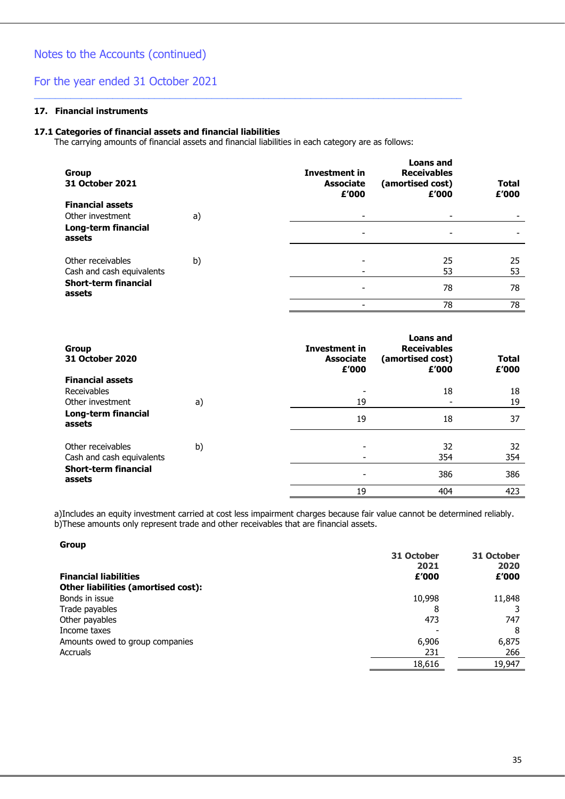#### **17. Financial instruments**

#### **17.1 Categories of financial assets and financial liabilities**

The carrying amounts of financial assets and financial liabilities in each category are as follows:

\_\_\_\_\_\_\_\_\_\_\_\_\_\_\_\_\_\_\_\_\_\_\_\_\_\_\_\_\_\_\_\_\_\_\_\_\_\_\_\_\_\_\_\_\_\_\_\_\_\_\_\_\_\_\_\_\_\_\_\_\_\_\_\_\_\_\_\_\_\_\_\_\_\_\_\_\_\_\_\_\_\_

| Group<br><b>31 October 2021</b>                                    |    | <b>Investment in</b><br><b>Associate</b><br>£'000 | <b>Loans and</b><br><b>Receivables</b><br>(amortised cost)<br>£'000 | <b>Total</b><br>£'000 |
|--------------------------------------------------------------------|----|---------------------------------------------------|---------------------------------------------------------------------|-----------------------|
| <b>Financial assets</b><br>Other investment<br>Long-term financial | a) |                                                   |                                                                     |                       |
| assets<br>Other receivables<br>Cash and cash equivalents           | b) |                                                   | 25<br>53                                                            | 25<br>53              |
| <b>Short-term financial</b><br>assets                              |    |                                                   | 78<br>78                                                            | 78<br>78              |

| <b>Group</b><br>31 October 2020                            |    | Investment in<br><b>Associate</b><br>£'000 | <b>Loans and</b><br><b>Receivables</b><br>(amortised cost)<br>£'000 | <b>Total</b><br>£'000 |
|------------------------------------------------------------|----|--------------------------------------------|---------------------------------------------------------------------|-----------------------|
| <b>Financial assets</b><br>Receivables<br>Other investment | a) | 19                                         | 18                                                                  | 18<br>19              |
| Long-term financial<br>assets                              |    | 19                                         | 18                                                                  | 37                    |
| Other receivables<br>Cash and cash equivalents             | b) | -                                          | 32<br>354                                                           | 32<br>354             |
| <b>Short-term financial</b><br>assets                      |    |                                            | 386                                                                 | 386                   |
|                                                            |    | 19                                         | 404                                                                 | 423                   |

a)Includes an equity investment carried at cost less impairment charges because fair value cannot be determined reliably. b)These amounts only represent trade and other receivables that are financial assets.

#### **Group**

| 31 October<br>2021<br>£'000 | 31 October<br>2020<br>£'000 |
|-----------------------------|-----------------------------|
|                             | 11,848                      |
| 8                           |                             |
| 473                         | 747                         |
|                             | 8                           |
| 6,906                       | 6,875                       |
| 231                         | 266                         |
| 18,616                      | 19,947                      |
|                             | 10,998                      |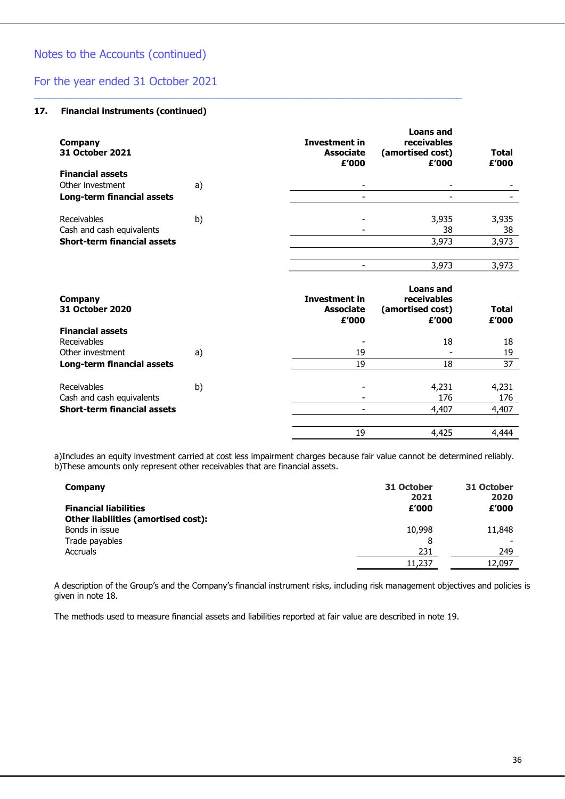### For the year ended 31 October 2021

#### **17. Financial instruments (continued)**

| Company<br>31 October 2021         |    | <b>Investment in</b><br><b>Associate</b><br>£'000 | <b>Loans and</b><br>receivables<br>(amortised cost)<br>£'000 | <b>Total</b><br>£'000 |
|------------------------------------|----|---------------------------------------------------|--------------------------------------------------------------|-----------------------|
| <b>Financial assets</b>            |    |                                                   |                                                              |                       |
| Other investment                   | a) |                                                   |                                                              |                       |
| Long-term financial assets         |    |                                                   |                                                              |                       |
| Receivables                        | b) |                                                   | 3,935                                                        | 3,935                 |
| Cash and cash equivalents          |    |                                                   | 38                                                           | 38                    |
| <b>Short-term financial assets</b> |    |                                                   | 3,973                                                        | 3,973                 |
|                                    |    |                                                   |                                                              |                       |
|                                    |    |                                                   | 3,973                                                        | 3,973                 |
|                                    |    |                                                   |                                                              |                       |

\_\_\_\_\_\_\_\_\_\_\_\_\_\_\_\_\_\_\_\_\_\_\_\_\_\_\_\_\_\_\_\_\_\_\_\_\_\_\_\_\_\_\_\_\_\_\_\_\_\_\_\_\_\_\_\_\_\_\_\_\_\_\_\_\_\_\_\_\_\_\_\_\_\_\_\_\_\_\_\_\_\_

| Company<br><b>31 October 2020</b>  |    | <b>Investment in</b><br><b>Associate</b><br>£'000 | <b>Loans and</b><br>receivables<br>(amortised cost)<br>£'000 | <b>Total</b><br>£'000 |
|------------------------------------|----|---------------------------------------------------|--------------------------------------------------------------|-----------------------|
| <b>Financial assets</b>            |    |                                                   |                                                              |                       |
| Receivables                        |    |                                                   | 18                                                           | 18                    |
| Other investment                   | a) | 19                                                |                                                              | 19                    |
| Long-term financial assets         |    | 19                                                | 18                                                           | 37                    |
| Receivables                        | b) |                                                   | 4,231                                                        | 4,231                 |
| Cash and cash equivalents          |    |                                                   | 176                                                          | 176                   |
| <b>Short-term financial assets</b> |    |                                                   | 4,407                                                        | 4,407                 |
|                                    |    |                                                   |                                                              |                       |
|                                    |    | 19                                                | 4,425                                                        | 4,444                 |

a)Includes an equity investment carried at cost less impairment charges because fair value cannot be determined reliably. b)These amounts only represent other receivables that are financial assets.

| Company                             | 31 October<br>2021 | 31 October<br>2020 |
|-------------------------------------|--------------------|--------------------|
| <b>Financial liabilities</b>        | £'000              | £'000              |
| Other liabilities (amortised cost): |                    |                    |
| Bonds in issue                      | 10,998             | 11,848             |
| Trade payables                      | 8                  |                    |
| Accruals                            | 231                | 249                |
|                                     | 11,237             | 12,097             |

A description of the Group's and the Company's financial instrument risks, including risk management objectives and policies is given in note 18.

The methods used to measure financial assets and liabilities reported at fair value are described in note 19.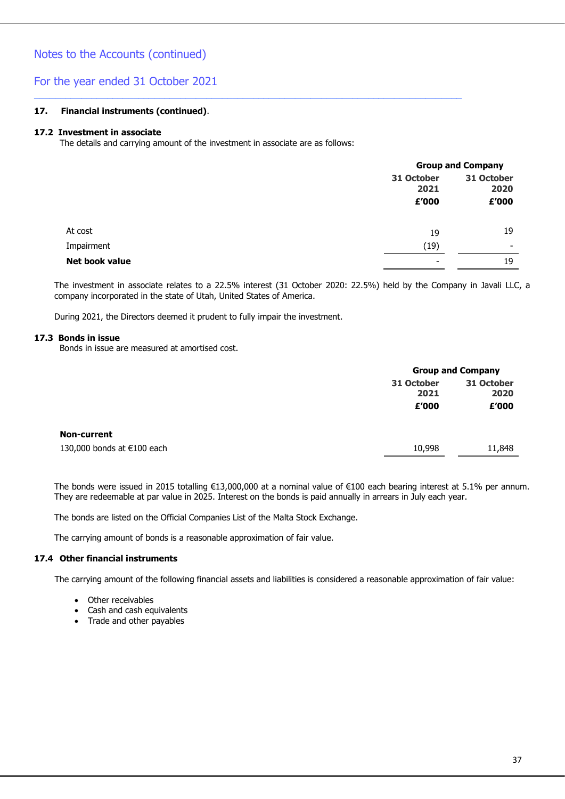#### **17. Financial instruments (continued)**.

#### **17.2 Investment in associate**

The details and carrying amount of the investment in associate are as follows:

\_\_\_\_\_\_\_\_\_\_\_\_\_\_\_\_\_\_\_\_\_\_\_\_\_\_\_\_\_\_\_\_\_\_\_\_\_\_\_\_\_\_\_\_\_\_\_\_\_\_\_\_\_\_\_\_\_\_\_\_\_\_\_\_\_\_\_\_\_\_\_\_\_\_\_\_\_\_\_\_\_\_

|                |                          | <b>Group and Company</b> |  |  |
|----------------|--------------------------|--------------------------|--|--|
|                | 31 October<br>2021       | 31 October<br>2020       |  |  |
|                | £'000                    | £'000                    |  |  |
| At cost        | 19                       | 19                       |  |  |
| Impairment     | (19)                     | $\overline{\phantom{0}}$ |  |  |
| Net book value | $\overline{\phantom{0}}$ | 19                       |  |  |
|                |                          |                          |  |  |

The investment in associate relates to a 22.5% interest (31 October 2020: 22.5%) held by the Company in Javali LLC, a company incorporated in the state of Utah, United States of America.

During 2021, the Directors deemed it prudent to fully impair the investment.

#### **17.3 Bonds in issue**

Bonds in issue are measured at amortised cost.

|                            | <b>Group and Company</b> |            |  |
|----------------------------|--------------------------|------------|--|
|                            | 31 October               | 31 October |  |
|                            | 2021                     | 2020       |  |
|                            | £'000                    | £'000      |  |
|                            |                          |            |  |
| <b>Non-current</b>         |                          |            |  |
| 130,000 bonds at €100 each | 10,998                   | 11,848     |  |
|                            |                          |            |  |

The bonds were issued in 2015 totalling €13,000,000 at a nominal value of €100 each bearing interest at 5.1% per annum. They are redeemable at par value in 2025. Interest on the bonds is paid annually in arrears in July each year.

The bonds are listed on the Official Companies List of the Malta Stock Exchange.

The carrying amount of bonds is a reasonable approximation of fair value.

#### **17.4 Other financial instruments**

The carrying amount of the following financial assets and liabilities is considered a reasonable approximation of fair value:

- Other receivables
- Cash and cash equivalents
- Trade and other payables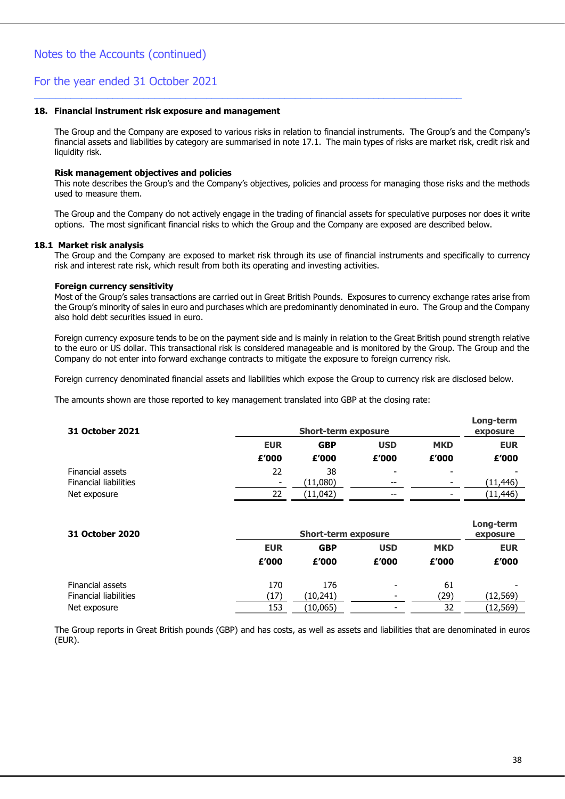#### **18. Financial instrument risk exposure and management**

The Group and the Company are exposed to various risks in relation to financial instruments. The Group's and the Company's financial assets and liabilities by category are summarised in note 17.1. The main types of risks are market risk, credit risk and liquidity risk.

\_\_\_\_\_\_\_\_\_\_\_\_\_\_\_\_\_\_\_\_\_\_\_\_\_\_\_\_\_\_\_\_\_\_\_\_\_\_\_\_\_\_\_\_\_\_\_\_\_\_\_\_\_\_\_\_\_\_\_\_\_\_\_\_\_\_\_\_\_\_\_\_\_\_\_\_\_\_\_\_\_\_

#### **Risk management objectives and policies**

This note describes the Group's and the Company's objectives, policies and process for managing those risks and the methods used to measure them.

The Group and the Company do not actively engage in the trading of financial assets for speculative purposes nor does it write options. The most significant financial risks to which the Group and the Company are exposed are described below.

#### **18.1 Market risk analysis**

The Group and the Company are exposed to market risk through its use of financial instruments and specifically to currency risk and interest rate risk, which result from both its operating and investing activities.

#### **Foreign currency sensitivity**

Most of the Group's sales transactions are carried out in Great British Pounds. Exposures to currency exchange rates arise from the Group's minority of sales in euro and purchases which are predominantly denominated in euro. The Group and the Company also hold debt securities issued in euro.

Foreign currency exposure tends to be on the payment side and is mainly in relation to the Great British pound strength relative to the euro or US dollar. This transactional risk is considered manageable and is monitored by the Group. The Group and the Company do not enter into forward exchange contracts to mitigate the exposure to foreign currency risk.

Foreign currency denominated financial assets and liabilities which expose the Group to currency risk are disclosed below.

The amounts shown are those reported to key management translated into GBP at the closing rate:

| 31 October 2021              | <b>Short-term exposure</b> |            |                          |                          |            |
|------------------------------|----------------------------|------------|--------------------------|--------------------------|------------|
|                              | <b>EUR</b>                 | <b>GBP</b> | <b>USD</b>               | <b>MKD</b>               | <b>EUR</b> |
|                              | £'000                      | £'000      | £'000                    | £'000                    | £'000      |
| Financial assets             | 22                         | 38         | $\overline{\phantom{0}}$ | $\overline{\phantom{0}}$ |            |
| <b>Financial liabilities</b> | -                          | (11,080)   | $- -$                    | $\overline{\phantom{0}}$ | (11,446)   |
| Net exposure                 | 22                         | (11,042)   | $- -$                    | $\overline{\phantom{0}}$ | (11,446)   |

| 31 October 2020              |            | <b>Short-term exposure</b> |                          |            | Long-term<br>exposure |
|------------------------------|------------|----------------------------|--------------------------|------------|-----------------------|
|                              | <b>EUR</b> | <b>GBP</b>                 | <b>USD</b>               | <b>MKD</b> | <b>EUR</b>            |
|                              | £'000      | £'000                      | £'000                    | £'000      | £'000                 |
| Financial assets             | 170        | 176                        | $\overline{\phantom{0}}$ | 61         |                       |
| <b>Financial liabilities</b> | (17)       | (10,241)                   | $\overline{\phantom{0}}$ | (29)       | (12,569)              |
| Net exposure                 | 153        | (10, 065)                  |                          | 32         | (12,569)              |

The Group reports in Great British pounds (GBP) and has costs, as well as assets and liabilities that are denominated in euros (EUR).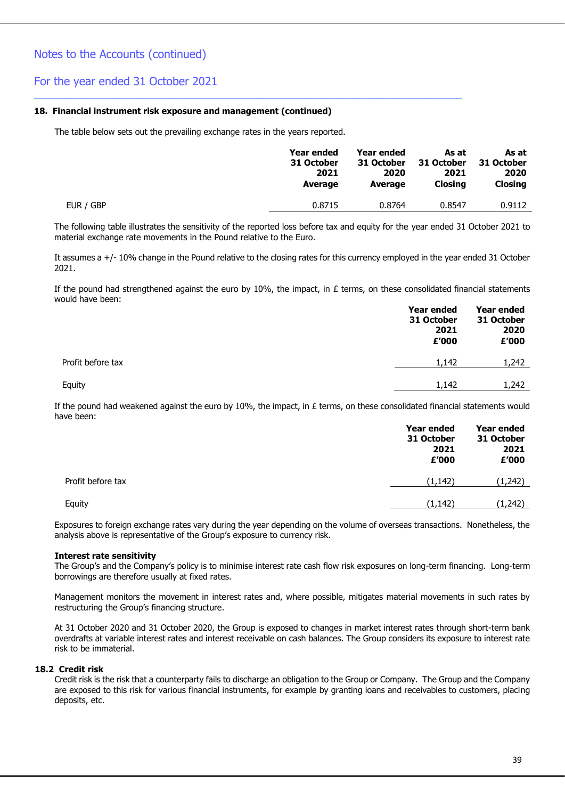#### **18. Financial instrument risk exposure and management (continued)**

The table below sets out the prevailing exchange rates in the years reported.

\_\_\_\_\_\_\_\_\_\_\_\_\_\_\_\_\_\_\_\_\_\_\_\_\_\_\_\_\_\_\_\_\_\_\_\_\_\_\_\_\_\_\_\_\_\_\_\_\_\_\_\_\_\_\_\_\_\_\_\_\_\_\_\_\_\_\_\_\_\_\_\_\_\_\_\_\_\_\_\_\_\_

|           | Year ended | <b>Year ended</b> | As at      | As at          |
|-----------|------------|-------------------|------------|----------------|
|           | 31 October | 31 October        | 31 October | 31 October     |
|           | 2021       | 2020              | 2021       | 2020           |
|           | Average    | Average           | Closing    | <b>Closing</b> |
| EUR / GBP | 0.8715     | 0.8764            | 0.8547     | 0.9112         |

The following table illustrates the sensitivity of the reported loss before tax and equity for the year ended 31 October 2021 to material exchange rate movements in the Pound relative to the Euro.

It assumes a +/- 10% change in the Pound relative to the closing rates for this currency employed in the year ended 31 October 2021.

If the pound had strengthened against the euro by 10%, the impact, in  $E$  terms, on these consolidated financial statements would have been:

|                   | Year ended<br>31 October<br>2021<br>£'000 | Year ended<br>31 October<br>2020<br>£'000 |
|-------------------|-------------------------------------------|-------------------------------------------|
| Profit before tax | 1,142                                     | 1,242                                     |
| Equity            | 1,142                                     | 1,242                                     |

If the pound had weakened against the euro by 10%, the impact, in  $E$  terms, on these consolidated financial statements would have been:

|                   | Year ended<br>31 October<br>2021<br>£'000 | Year ended<br>31 October<br>2021<br>£'000 |
|-------------------|-------------------------------------------|-------------------------------------------|
| Profit before tax | (1, 142)                                  | (1,242)                                   |
| Equity            | (1, 142)                                  | (1,242)                                   |

Exposures to foreign exchange rates vary during the year depending on the volume of overseas transactions. Nonetheless, the analysis above is representative of the Group's exposure to currency risk.

#### **Interest rate sensitivity**

The Group's and the Company's policy is to minimise interest rate cash flow risk exposures on long-term financing. Long-term borrowings are therefore usually at fixed rates.

Management monitors the movement in interest rates and, where possible, mitigates material movements in such rates by restructuring the Group's financing structure.

At 31 October 2020 and 31 October 2020, the Group is exposed to changes in market interest rates through short-term bank overdrafts at variable interest rates and interest receivable on cash balances. The Group considers its exposure to interest rate risk to be immaterial.

#### **18.2 Credit risk**

Credit risk is the risk that a counterparty fails to discharge an obligation to the Group or Company. The Group and the Company are exposed to this risk for various financial instruments, for example by granting loans and receivables to customers, placing deposits, etc.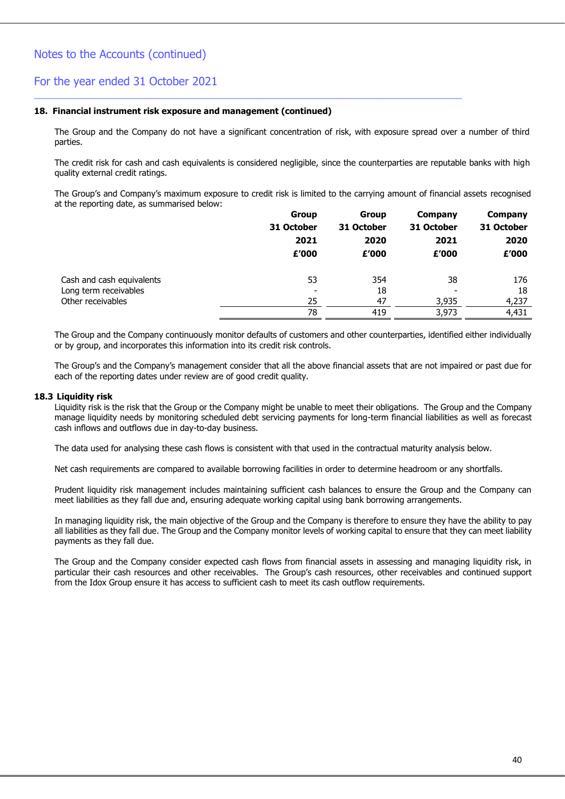#### **18. Financial instrument risk exposure and management (continued)**

The Group and the Company do not have a significant concentration of risk, with exposure spread over a number of third parties.

\_\_\_\_\_\_\_\_\_\_\_\_\_\_\_\_\_\_\_\_\_\_\_\_\_\_\_\_\_\_\_\_\_\_\_\_\_\_\_\_\_\_\_\_\_\_\_\_\_\_\_\_\_\_\_\_\_\_\_\_\_\_\_\_\_\_\_\_\_\_\_\_\_\_\_\_\_\_\_\_\_\_

The credit risk for cash and cash equivalents is considered negligible, since the counterparties are reputable banks with high quality external credit ratings.

The Group's and Company's maximum exposure to credit risk is limited to the carrying amount of financial assets recognised at the reporting date, as summarised below:

|                           | <b>Group</b>   | <b>Group</b> | Company    | Company    |
|---------------------------|----------------|--------------|------------|------------|
|                           | 31 October     | 31 October   | 31 October | 31 October |
|                           | 2021           | 2020         | 2021       | 2020       |
|                           | £'000          | £'000        | £'000      | £'000      |
| Cash and cash equivalents | 53             | 354          | 38         | 176        |
| Long term receivables     | $\blacksquare$ | 18           |            | 18         |
| Other receivables         | 25             | 47           | 3,935      | 4,237      |
|                           | 78             | 419          | 3,973      | 4,431      |

The Group and the Company continuously monitor defaults of customers and other counterparties, identified either individually or by group, and incorporates this information into its credit risk controls.

The Group's and the Company's management consider that all the above financial assets that are not impaired or past due for each of the reporting dates under review are of good credit quality.

#### **18.3 Liquidity risk**

Liquidity risk is the risk that the Group or the Company might be unable to meet their obligations. The Group and the Company manage liquidity needs by monitoring scheduled debt servicing payments for long-term financial liabilities as well as forecast cash inflows and outflows due in day-to-day business.

The data used for analysing these cash flows is consistent with that used in the contractual maturity analysis below.

Net cash requirements are compared to available borrowing facilities in order to determine headroom or any shortfalls.

Prudent liquidity risk management includes maintaining sufficient cash balances to ensure the Group and the Company can meet liabilities as they fall due and, ensuring adequate working capital using bank borrowing arrangements.

In managing liquidity risk, the main objective of the Group and the Company is therefore to ensure they have the ability to pay all liabilities as they fall due. The Group and the Company monitor levels of working capital to ensure that they can meet liability payments as they fall due.

The Group and the Company consider expected cash flows from financial assets in assessing and managing liquidity risk, in particular their cash resources and other receivables. The Group's cash resources, other receivables and continued support from the Idox Group ensure it has access to sufficient cash to meet its cash outflow requirements.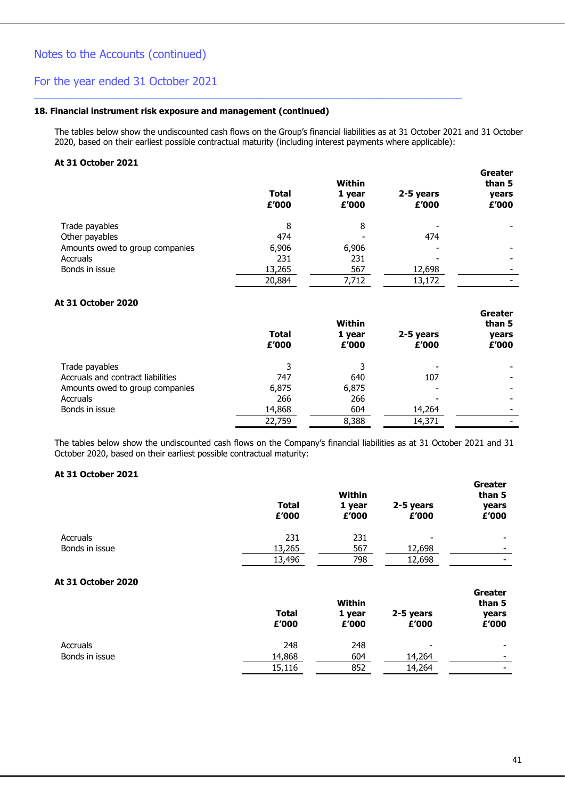#### **18. Financial instrument risk exposure and management (continued)**

The tables below show the undiscounted cash flows on the Group's financial liabilities as at 31 October 2021 and 31 October 2020, based on their earliest possible contractual maturity (including interest payments where applicable):

\_\_\_\_\_\_\_\_\_\_\_\_\_\_\_\_\_\_\_\_\_\_\_\_\_\_\_\_\_\_\_\_\_\_\_\_\_\_\_\_\_\_\_\_\_\_\_\_\_\_\_\_\_\_\_\_\_\_\_\_\_\_\_\_\_\_\_\_\_\_\_\_\_\_\_\_\_\_\_\_\_\_

#### **At 31 October 2021**

|                                 | <b>Total</b><br>£'000 | <b>Within</b><br>1 year<br>£'000 | 2-5 years<br>£'000 | Greater<br>than 5<br>years<br>£'000 |
|---------------------------------|-----------------------|----------------------------------|--------------------|-------------------------------------|
| Trade payables                  | 8                     | 8                                |                    |                                     |
| Other payables                  | 474                   |                                  | 474                |                                     |
| Amounts owed to group companies | 6,906                 | 6,906                            |                    |                                     |
| Accruals                        | 231                   | 231                              |                    |                                     |
| Bonds in issue                  | 13,265                | 567                              | 12,698             |                                     |
|                                 | 20,884                | 7,712                            | 13,172             |                                     |

#### **At 31 October 2020**

|                                   | <b>Total</b><br>£'000 | Within<br>1 year<br>£'000 | 2-5 years<br>£'000 | Greater<br>than 5<br>years<br>£'000 |
|-----------------------------------|-----------------------|---------------------------|--------------------|-------------------------------------|
| Trade payables                    |                       |                           |                    |                                     |
| Accruals and contract liabilities | 747                   | 640                       | 107                |                                     |
| Amounts owed to group companies   | 6,875                 | 6,875                     |                    |                                     |
| Accruals                          | 266                   | 266                       |                    |                                     |
| Bonds in issue                    | 14,868                | 604                       | 14,264             |                                     |
|                                   | 22,759                | 8,388                     | 14,371             |                                     |

The tables below show the undiscounted cash flows on the Company's financial liabilities as at 31 October 2021 and 31 October 2020, based on their earliest possible contractual maturity:

#### **At 31 October 2021**

|                    | <b>Total</b><br>£'000 | <b>Within</b><br>1 year<br>£'000 | 2-5 years<br>£'000 | <b>Greater</b><br>than 5<br>years<br>£'000 |
|--------------------|-----------------------|----------------------------------|--------------------|--------------------------------------------|
| <b>Accruals</b>    | 231                   | 231                              |                    |                                            |
| Bonds in issue     | 13,265                | 567                              | 12,698             |                                            |
|                    | 13,496                | 798                              | 12,698             |                                            |
| At 31 October 2020 |                       |                                  |                    |                                            |
|                    | <b>Total</b><br>£'000 | <b>Within</b><br>1 year<br>£'000 | 2-5 years<br>£'000 | Greater<br>than 5<br>years<br>£'000        |
| <b>Accruals</b>    | 248                   | 248                              |                    |                                            |
| Bonds in issue     | 14,868                | 604                              | 14,264             |                                            |
|                    | 15,116                | 852                              | 14,264             |                                            |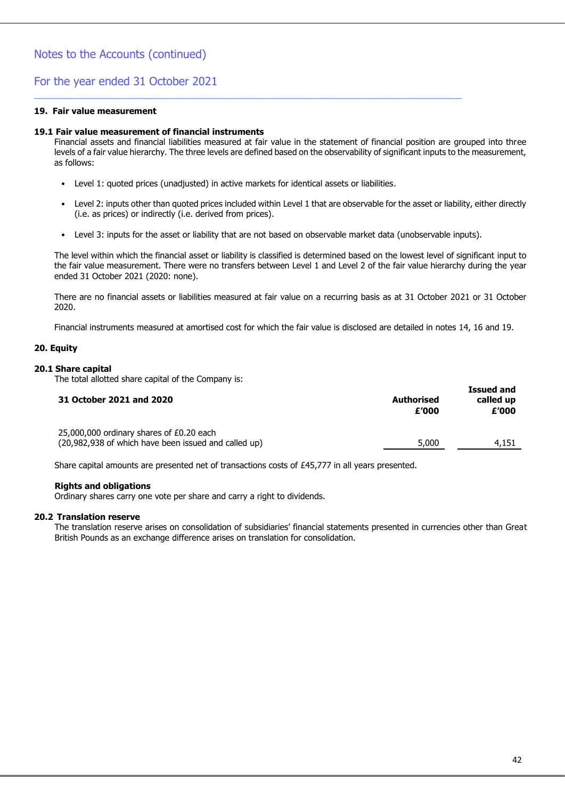#### **19. Fair value measurement**

#### **19.1 Fair value measurement of financial instruments**

Financial assets and financial liabilities measured at fair value in the statement of financial position are grouped into three levels of a fair value hierarchy. The three levels are defined based on the observability of significant inputs to the measurement, as follows:

• Level 1: quoted prices (unadjusted) in active markets for identical assets or liabilities.

\_\_\_\_\_\_\_\_\_\_\_\_\_\_\_\_\_\_\_\_\_\_\_\_\_\_\_\_\_\_\_\_\_\_\_\_\_\_\_\_\_\_\_\_\_\_\_\_\_\_\_\_\_\_\_\_\_\_\_\_\_\_\_\_\_\_\_\_\_\_\_\_\_\_\_\_\_\_\_\_\_\_

- Level 2: inputs other than quoted prices included within Level 1 that are observable for the asset or liability, either directly (i.e. as prices) or indirectly (i.e. derived from prices).
- Level 3: inputs for the asset or liability that are not based on observable market data (unobservable inputs).

The level within which the financial asset or liability is classified is determined based on the lowest level of significant input to the fair value measurement. There were no transfers between Level 1 and Level 2 of the fair value hierarchy during the year ended 31 October 2021 (2020: none).

There are no financial assets or liabilities measured at fair value on a recurring basis as at 31 October 2021 or 31 October 2020.

Financial instruments measured at amortised cost for which the fair value is disclosed are detailed in notes 14, 16 and 19.

#### **20. Equity**

#### **20.1 Share capital**

The total allotted share capital of the Company is:

| 31 October 2021 and 2020                                                                         | Authorised<br>£'000 | 1994 dilu<br>called up<br>£'000 |
|--------------------------------------------------------------------------------------------------|---------------------|---------------------------------|
| 25,000,000 ordinary shares of £0.20 each<br>(20,982,938 of which have been issued and called up) | 5,000               | 4,151                           |
|                                                                                                  |                     |                                 |

Share capital amounts are presented net of transactions costs of £45,777 in all years presented.

#### **Rights and obligations**

Ordinary shares carry one vote per share and carry a right to dividends.

#### **20.2 Translation reserve**

The translation reserve arises on consolidation of subsidiaries' financial statements presented in currencies other than Great British Pounds as an exchange difference arises on translation for consolidation.

**Issued and**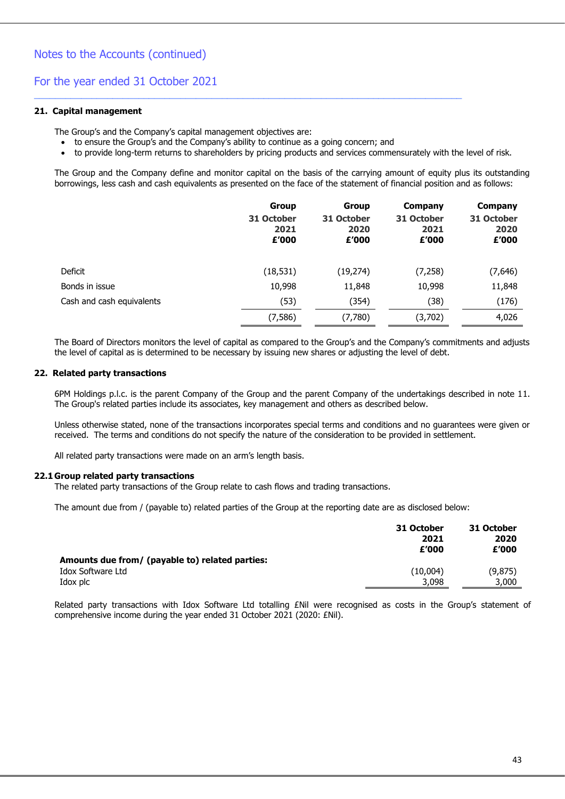#### **21. Capital management**

The Group's and the Company's capital management objectives are:

• to ensure the Group's and the Company's ability to continue as a going concern; and

\_\_\_\_\_\_\_\_\_\_\_\_\_\_\_\_\_\_\_\_\_\_\_\_\_\_\_\_\_\_\_\_\_\_\_\_\_\_\_\_\_\_\_\_\_\_\_\_\_\_\_\_\_\_\_\_\_\_\_\_\_\_\_\_\_\_\_\_\_\_\_\_\_\_\_\_\_\_\_\_\_\_

• to provide long-term returns to shareholders by pricing products and services commensurately with the level of risk.

The Group and the Company define and monitor capital on the basis of the carrying amount of equity plus its outstanding borrowings, less cash and cash equivalents as presented on the face of the statement of financial position and as follows:

|                           | <b>Group</b><br>31 October<br>2021<br>£'000 | Group<br>31 October<br>2020<br>£'000 | Company<br>31 October<br>2021<br>£'000 | Company<br>31 October<br>2020<br>£'000 |
|---------------------------|---------------------------------------------|--------------------------------------|----------------------------------------|----------------------------------------|
| Deficit                   | (18, 531)                                   | (19, 274)                            | (7, 258)                               | (7,646)                                |
| Bonds in issue            | 10,998                                      | 11,848                               | 10,998                                 | 11,848                                 |
| Cash and cash equivalents | (53)                                        | (354)                                | (38)                                   | (176)                                  |
|                           | (7, 586)                                    | (7,780)                              | (3,702)                                | 4,026                                  |

The Board of Directors monitors the level of capital as compared to the Group's and the Company's commitments and adjusts the level of capital as is determined to be necessary by issuing new shares or adjusting the level of debt.

#### **22. Related party transactions**

6PM Holdings p.l.c. is the parent Company of the Group and the parent Company of the undertakings described in note 11. The Group's related parties include its associates, key management and others as described below.

Unless otherwise stated, none of the transactions incorporates special terms and conditions and no guarantees were given or received. The terms and conditions do not specify the nature of the consideration to be provided in settlement.

All related party transactions were made on an arm's length basis.

#### **22.1 Group related party transactions**

The related party transactions of the Group relate to cash flows and trading transactions.

The amount due from / (payable to) related parties of the Group at the reporting date are as disclosed below:

|                                                 | 31 October<br>2021<br>£'000 | 31 October<br>2020<br>£'000 |
|-------------------------------------------------|-----------------------------|-----------------------------|
| Amounts due from/ (payable to) related parties: |                             |                             |
| Idox Software Ltd                               | (10,004)                    | (9,875)                     |
| Idox plc                                        | 3,098                       | 3,000                       |

Related party transactions with Idox Software Ltd totalling £Nil were recognised as costs in the Group's statement of comprehensive income during the year ended 31 October 2021 (2020: £Nil).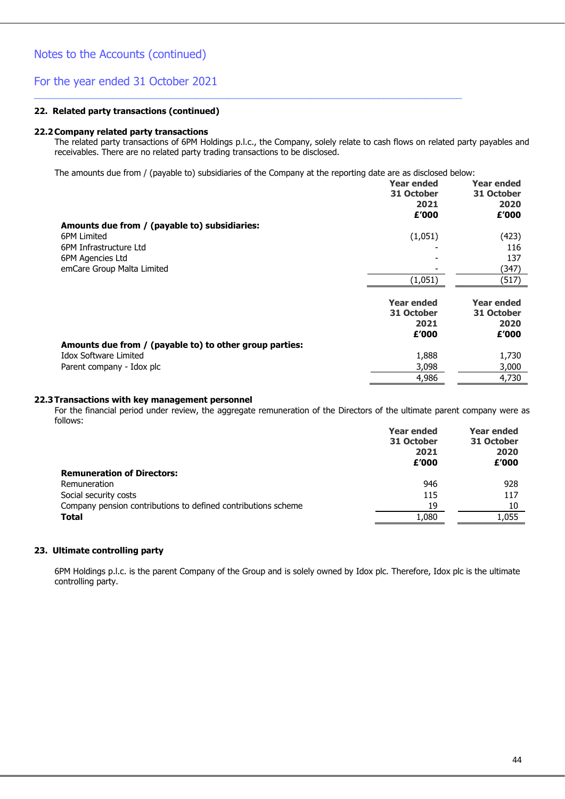#### **22. Related party transactions (continued)**

#### **22.2Company related party transactions**

The related party transactions of 6PM Holdings p.l.c., the Company, solely relate to cash flows on related party payables and receivables. There are no related party trading transactions to be disclosed.

The amounts due from / (payable to) subsidiaries of the Company at the reporting date are as disclosed below:

\_\_\_\_\_\_\_\_\_\_\_\_\_\_\_\_\_\_\_\_\_\_\_\_\_\_\_\_\_\_\_\_\_\_\_\_\_\_\_\_\_\_\_\_\_\_\_\_\_\_\_\_\_\_\_\_\_\_\_\_\_\_\_\_\_\_\_\_\_\_\_\_\_\_\_\_\_\_\_\_\_\_

|                                                         | <b>Year ended</b><br>31 October<br>2021<br>£'000 | <b>Year ended</b><br>31 October<br>2020<br>£'000 |
|---------------------------------------------------------|--------------------------------------------------|--------------------------------------------------|
| Amounts due from / (payable to) subsidiaries:           |                                                  |                                                  |
| 6PM Limited                                             | (1,051)                                          | (423)                                            |
| 6PM Infrastructure Ltd                                  |                                                  | 116                                              |
| 6PM Agencies Ltd                                        |                                                  | 137                                              |
| emCare Group Malta Limited                              |                                                  | (347)                                            |
|                                                         | (1,051)                                          | (517)                                            |
|                                                         | <b>Year ended</b><br>31 October<br>2021<br>£'000 | Year ended<br>31 October<br>2020<br>£'000        |
| Amounts due from / (payable to) to other group parties: |                                                  |                                                  |
| <b>Idox Software Limited</b>                            | 1,888                                            | 1,730                                            |
| Parent company - Idox plc                               | 3,098                                            | 3,000                                            |
|                                                         | 4,986                                            | 4,730                                            |

#### **22.3Transactions with key management personnel**

For the financial period under review, the aggregate remuneration of the Directors of the ultimate parent company were as follows:

|                                                               | <b>Year ended</b><br>31 October<br>2021<br>£'000 | <b>Year ended</b><br>31 October<br>2020<br>£'000 |
|---------------------------------------------------------------|--------------------------------------------------|--------------------------------------------------|
| <b>Remuneration of Directors:</b>                             |                                                  |                                                  |
| Remuneration                                                  | 946                                              | 928                                              |
| Social security costs                                         | 115                                              | 117                                              |
| Company pension contributions to defined contributions scheme | 19                                               | 10                                               |
| <b>Total</b>                                                  | 1,080                                            | 1,055                                            |

#### **23. Ultimate controlling party**

6PM Holdings p.l.c. is the parent Company of the Group and is solely owned by Idox plc. Therefore, Idox plc is the ultimate controlling party.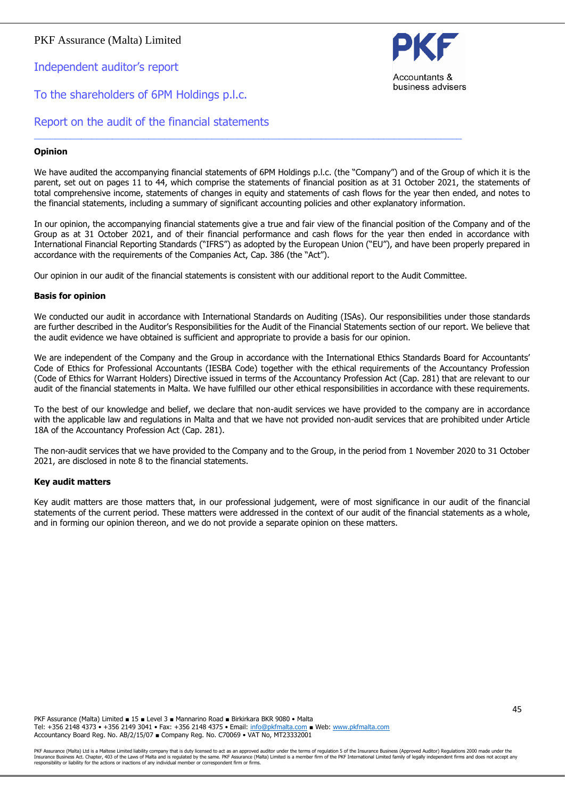Independent auditor's report

### To the shareholders of 6PM Holdings p.l.c.



Report on the audit of the financial statements

#### **Opinion**

We have audited the accompanying financial statements of 6PM Holdings p.l.c. (the "Company") and of the Group of which it is the parent, set out on pages 11 to 44, which comprise the statements of financial position as at 31 October 2021, the statements of total comprehensive income, statements of changes in equity and statements of cash flows for the year then ended, and notes to the financial statements, including a summary of significant accounting policies and other explanatory information.

In our opinion, the accompanying financial statements give a true and fair view of the financial position of the Company and of the Group as at 31 October 2021, and of their financial performance and cash flows for the year then ended in accordance with International Financial Reporting Standards ("IFRS") as adopted by the European Union ("EU"), and have been properly prepared in accordance with the requirements of the Companies Act, Cap. 386 (the "Act").

Our opinion in our audit of the financial statements is consistent with our additional report to the Audit Committee.

\_\_\_\_\_\_\_\_\_\_\_\_\_\_\_\_\_\_\_\_\_\_\_\_\_\_\_\_\_\_\_\_\_\_\_\_\_\_\_\_\_\_\_\_\_\_\_\_\_\_\_\_\_\_\_\_\_\_\_\_\_\_\_\_\_\_\_\_\_\_\_\_\_\_\_\_\_\_\_\_\_\_

#### **Basis for opinion**

We conducted our audit in accordance with International Standards on Auditing (ISAs). Our responsibilities under those standards are further described in the Auditor's Responsibilities for the Audit of the Financial Statements section of our report. We believe that the audit evidence we have obtained is sufficient and appropriate to provide a basis for our opinion.

We are independent of the Company and the Group in accordance with the International Ethics Standards Board for Accountants' Code of Ethics for Professional Accountants (IESBA Code) together with the ethical requirements of the Accountancy Profession (Code of Ethics for Warrant Holders) Directive issued in terms of the Accountancy Profession Act (Cap. 281) that are relevant to our audit of the financial statements in Malta. We have fulfilled our other ethical responsibilities in accordance with these requirements.

To the best of our knowledge and belief, we declare that non-audit services we have provided to the company are in accordance with the applicable law and regulations in Malta and that we have not provided non-audit services that are prohibited under Article 18A of the Accountancy Profession Act (Cap. 281).

The non-audit services that we have provided to the Company and to the Group, in the period from 1 November 2020 to 31 October 2021, are disclosed in note 8 to the financial statements.

#### **Key audit matters**

Key audit matters are those matters that, in our professional judgement, were of most significance in our audit of the financial statements of the current period. These matters were addressed in the context of our audit of the financial statements as a whole, and in forming our opinion thereon, and we do not provide a separate opinion on these matters.

PKF Assurance (Malta) Limited ■ 15 ■ Level 3 ■ Mannarino Road ■ Birkirkara BKR 9080 • Malta Tel: +356 2148 4373 • +356 2149 3041 • Fax: +356 2148 4375 • Email: [info@pkfmalta.com](mailto:info@pkfmalta.com) ■ Web: [www.pkfmalta.com](http://www.pkfmalta.com/) Accountancy Board Reg. No. AB/2/15/07 ■ Company Reg. No. C70069 • VAT No, MT23332001

PKF Assurance (Malta) Ltd is a Maltese Limited liability company that is duty licensed to act as an approved auditor under the terms of regulation 5 of the Insurance Business (Approved Auditor) Regulations 2000 made under responsibility or liability for the actions or inactions of any individual member or correspondent firm or firms.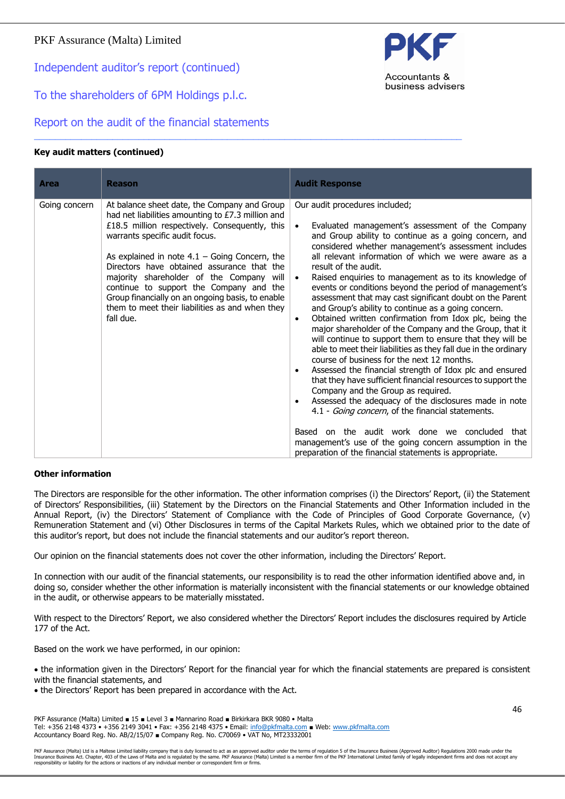Independent auditor's report (continued)

To the shareholders of 6PM Holdings p.l.c.

Report on the audit of the financial statements

### **Key audit matters (continued)**

| <b>Area</b>   | <b>Reason</b>                                                                                                                                                                                                                                                                                                                                                                                                                                                                                     | <b>Audit Response</b>                                                                                                                                                                                                                                                                                                                                                                                                                                                                                                                                                                                                                                                                                                                                                                                                                                                                                                                                                                                                                                                                                                                                                                                                                                                                                                                                  |
|---------------|---------------------------------------------------------------------------------------------------------------------------------------------------------------------------------------------------------------------------------------------------------------------------------------------------------------------------------------------------------------------------------------------------------------------------------------------------------------------------------------------------|--------------------------------------------------------------------------------------------------------------------------------------------------------------------------------------------------------------------------------------------------------------------------------------------------------------------------------------------------------------------------------------------------------------------------------------------------------------------------------------------------------------------------------------------------------------------------------------------------------------------------------------------------------------------------------------------------------------------------------------------------------------------------------------------------------------------------------------------------------------------------------------------------------------------------------------------------------------------------------------------------------------------------------------------------------------------------------------------------------------------------------------------------------------------------------------------------------------------------------------------------------------------------------------------------------------------------------------------------------|
| Going concern | At balance sheet date, the Company and Group<br>had net liabilities amounting to £7.3 million and<br>£18.5 million respectively. Consequently, this<br>warrants specific audit focus.<br>As explained in note $4.1$ – Going Concern, the<br>Directors have obtained assurance that the<br>majority shareholder of the Company will<br>continue to support the Company and the<br>Group financially on an ongoing basis, to enable<br>them to meet their liabilities as and when they<br>fall due. | Our audit procedures included;<br>Evaluated management's assessment of the Company<br>$\bullet$<br>and Group ability to continue as a going concern, and<br>considered whether management's assessment includes<br>all relevant information of which we were aware as a<br>result of the audit.<br>Raised enquiries to management as to its knowledge of<br>$\bullet$<br>events or conditions beyond the period of management's<br>assessment that may cast significant doubt on the Parent<br>and Group's ability to continue as a going concern.<br>Obtained written confirmation from Idox plc, being the<br>$\bullet$<br>major shareholder of the Company and the Group, that it<br>will continue to support them to ensure that they will be<br>able to meet their liabilities as they fall due in the ordinary<br>course of business for the next 12 months.<br>Assessed the financial strength of Idox plc and ensured<br>$\bullet$<br>that they have sufficient financial resources to support the<br>Company and the Group as required.<br>Assessed the adequacy of the disclosures made in note<br>$\bullet$<br>4.1 - Going concern, of the financial statements.<br>Based on the audit work done we concluded<br>that<br>management's use of the going concern assumption in the<br>preparation of the financial statements is appropriate. |

\_\_\_\_\_\_\_\_\_\_\_\_\_\_\_\_\_\_\_\_\_\_\_\_\_\_\_\_\_\_\_\_\_\_\_\_\_\_\_\_\_\_\_\_\_\_\_\_\_\_\_\_\_\_\_\_\_\_\_\_\_\_\_\_\_\_\_\_\_\_\_\_\_\_\_\_\_\_\_\_\_\_

#### **Other information**

The Directors are responsible for the other information. The other information comprises (i) the Directors' Report, (ii) the Statement of Directors' Responsibilities, (iii) Statement by the Directors on the Financial Statements and Other Information included in the Annual Report, (iv) the Directors' Statement of Compliance with the Code of Principles of Good Corporate Governance, (v) Remuneration Statement and (vi) Other Disclosures in terms of the Capital Markets Rules, which we obtained prior to the date of this auditor's report, but does not include the financial statements and our auditor's report thereon.

Our opinion on the financial statements does not cover the other information, including the Directors' Report.

In connection with our audit of the financial statements, our responsibility is to read the other information identified above and, in doing so, consider whether the other information is materially inconsistent with the financial statements or our knowledge obtained in the audit, or otherwise appears to be materially misstated.

With respect to the Directors' Report, we also considered whether the Directors' Report includes the disclosures required by Article 177 of the Act.

Based on the work we have performed, in our opinion:

• the information given in the Directors' Report for the financial year for which the financial statements are prepared is consistent with the financial statements, and

• the Directors' Report has been prepared in accordance with the Act.

PKF Assurance (Malta) Limited ■ 15 ■ Level 3 ■ Mannarino Road ■ Birkirkara BKR 9080 • Malta Tel: +356 2148 4373 • +356 2149 3041 • Fax: +356 2148 4375 • Email: [info@pkfmalta.com](mailto:info@pkfmalta.com) ■ Web: [www.pkfmalta.com](http://www.pkfmalta.com/) Accountancy Board Reg. No. AB/2/15/07 ■ Company Reg. No. C70069 • VAT No, MT23332001

PKF Assurance (Malta) Ltd is a Maltese Limited liability company that is duty licensed to act as an approved auditor under the terms of regulation 5 of the Insurance Business (Approved Auditor) Regulations 2000 made under responsibility or liability for the actions or inactions of any individual member or correspondent firm or firms.



46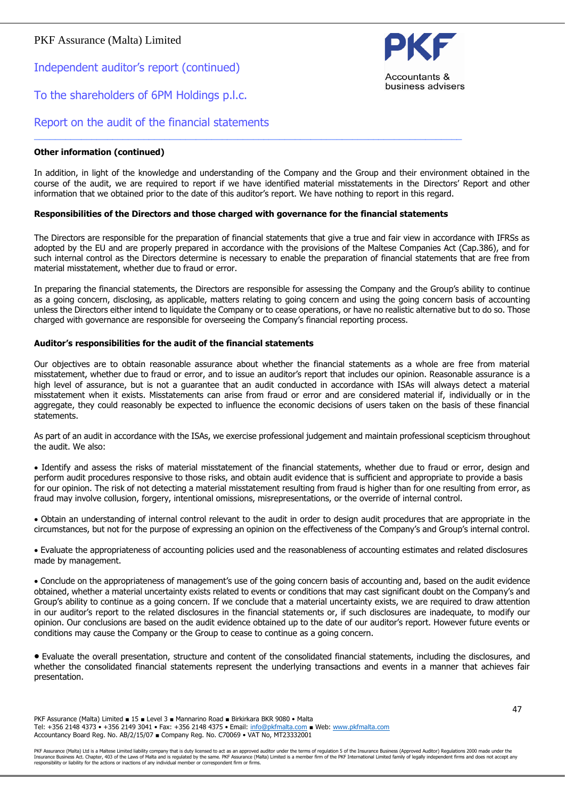Independent auditor's report (continued)

### To the shareholders of 6PM Holdings p.l.c.



### Report on the audit of the financial statements

#### **Other information (continued)**

In addition, in light of the knowledge and understanding of the Company and the Group and their environment obtained in the course of the audit, we are required to report if we have identified material misstatements in the Directors' Report and other information that we obtained prior to the date of this auditor's report. We have nothing to report in this regard.

#### **Responsibilities of the Directors and those charged with governance for the financial statements**

\_\_\_\_\_\_\_\_\_\_\_\_\_\_\_\_\_\_\_\_\_\_\_\_\_\_\_\_\_\_\_\_\_\_\_\_\_\_\_\_\_\_\_\_\_\_\_\_\_\_\_\_\_\_\_\_\_\_\_\_\_\_\_\_\_\_\_\_\_\_\_\_\_\_\_\_\_\_\_\_\_\_

The Directors are responsible for the preparation of financial statements that give a true and fair view in accordance with IFRSs as adopted by the EU and are properly prepared in accordance with the provisions of the Maltese Companies Act (Cap.386), and for such internal control as the Directors determine is necessary to enable the preparation of financial statements that are free from material misstatement, whether due to fraud or error.

In preparing the financial statements, the Directors are responsible for assessing the Company and the Group's ability to continue as a going concern, disclosing, as applicable, matters relating to going concern and using the going concern basis of accounting unless the Directors either intend to liquidate the Company or to cease operations, or have no realistic alternative but to do so. Those charged with governance are responsible for overseeing the Company's financial reporting process.

#### **Auditor's responsibilities for the audit of the financial statements**

Our objectives are to obtain reasonable assurance about whether the financial statements as a whole are free from material misstatement, whether due to fraud or error, and to issue an auditor's report that includes our opinion. Reasonable assurance is a high level of assurance, but is not a guarantee that an audit conducted in accordance with ISAs will always detect a material misstatement when it exists. Misstatements can arise from fraud or error and are considered material if, individually or in the aggregate, they could reasonably be expected to influence the economic decisions of users taken on the basis of these financial statements.

As part of an audit in accordance with the ISAs, we exercise professional judgement and maintain professional scepticism throughout the audit. We also:

• Identify and assess the risks of material misstatement of the financial statements, whether due to fraud or error, design and perform audit procedures responsive to those risks, and obtain audit evidence that is sufficient and appropriate to provide a basis for our opinion. The risk of not detecting a material misstatement resulting from fraud is higher than for one resulting from error, as fraud may involve collusion, forgery, intentional omissions, misrepresentations, or the override of internal control.

• Obtain an understanding of internal control relevant to the audit in order to design audit procedures that are appropriate in the circumstances, but not for the purpose of expressing an opinion on the effectiveness of the Company's and Group's internal control.

• Evaluate the appropriateness of accounting policies used and the reasonableness of accounting estimates and related disclosures made by management.

• Conclude on the appropriateness of management's use of the going concern basis of accounting and, based on the audit evidence obtained, whether a material uncertainty exists related to events or conditions that may cast significant doubt on the Company's and Group's ability to continue as a going concern. If we conclude that a material uncertainty exists, we are required to draw attention in our auditor's report to the related disclosures in the financial statements or, if such disclosures are inadequate, to modify our opinion. Our conclusions are based on the audit evidence obtained up to the date of our auditor's report. However future events or conditions may cause the Company or the Group to cease to continue as a going concern.

• Evaluate the overall presentation, structure and content of the consolidated financial statements, including the disclosures, and whether the consolidated financial statements represent the underlying transactions and events in a manner that achieves fair presentation.

PKF Assurance (Malta) Limited ■ 15 ■ Level 3 ■ Mannarino Road ■ Birkirkara BKR 9080 • Malta Tel: +356 2148 4373 • +356 2149 3041 • Fax: +356 2148 4375 • Email: [info@pkfmalta.com](mailto:info@pkfmalta.com) ■ Web: [www.pkfmalta.com](http://www.pkfmalta.com/) Accountancy Board Reg. No. AB/2/15/07 ■ Company Reg. No. C70069 • VAT No, MT23332001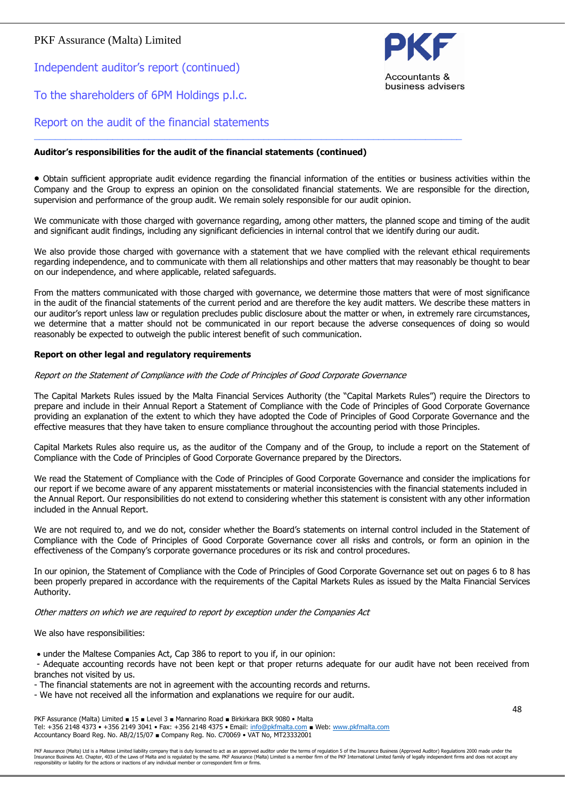Independent auditor's report (continued)





### Report on the audit of the financial statements

#### **Auditor's responsibilities for the audit of the financial statements (continued)**

• Obtain sufficient appropriate audit evidence regarding the financial information of the entities or business activities within the Company and the Group to express an opinion on the consolidated financial statements. We are responsible for the direction, supervision and performance of the group audit. We remain solely responsible for our audit opinion.

\_\_\_\_\_\_\_\_\_\_\_\_\_\_\_\_\_\_\_\_\_\_\_\_\_\_\_\_\_\_\_\_\_\_\_\_\_\_\_\_\_\_\_\_\_\_\_\_\_\_\_\_\_\_\_\_\_\_\_\_\_\_\_\_\_\_\_\_\_\_\_\_\_\_\_\_\_\_\_\_\_\_

We communicate with those charged with governance regarding, among other matters, the planned scope and timing of the audit and significant audit findings, including any significant deficiencies in internal control that we identify during our audit.

We also provide those charged with governance with a statement that we have complied with the relevant ethical requirements regarding independence, and to communicate with them all relationships and other matters that may reasonably be thought to bear on our independence, and where applicable, related safeguards.

From the matters communicated with those charged with governance, we determine those matters that were of most significance in the audit of the financial statements of the current period and are therefore the key audit matters. We describe these matters in our auditor's report unless law or regulation precludes public disclosure about the matter or when, in extremely rare circumstances, we determine that a matter should not be communicated in our report because the adverse consequences of doing so would reasonably be expected to outweigh the public interest benefit of such communication.

#### **Report on other legal and regulatory requirements**

#### Report on the Statement of Compliance with the Code of Principles of Good Corporate Governance

The Capital Markets Rules issued by the Malta Financial Services Authority (the "Capital Markets Rules") require the Directors to prepare and include in their Annual Report a Statement of Compliance with the Code of Principles of Good Corporate Governance providing an explanation of the extent to which they have adopted the Code of Principles of Good Corporate Governance and the effective measures that they have taken to ensure compliance throughout the accounting period with those Principles.

Capital Markets Rules also require us, as the auditor of the Company and of the Group, to include a report on the Statement of Compliance with the Code of Principles of Good Corporate Governance prepared by the Directors.

We read the Statement of Compliance with the Code of Principles of Good Corporate Governance and consider the implications for our report if we become aware of any apparent misstatements or material inconsistencies with the financial statements included in the Annual Report. Our responsibilities do not extend to considering whether this statement is consistent with any other information included in the Annual Report.

We are not required to, and we do not, consider whether the Board's statements on internal control included in the Statement of Compliance with the Code of Principles of Good Corporate Governance cover all risks and controls, or form an opinion in the effectiveness of the Company's corporate governance procedures or its risk and control procedures.

In our opinion, the Statement of Compliance with the Code of Principles of Good Corporate Governance set out on pages 6 to 8 has been properly prepared in accordance with the requirements of the Capital Markets Rules as issued by the Malta Financial Services Authority.

Other matters on which we are required to report by exception under the Companies Act

We also have responsibilities:

• under the Maltese Companies Act, Cap 386 to report to you if, in our opinion:

- Adequate accounting records have not been kept or that proper returns adequate for our audit have not been received from branches not visited by us.

- The financial statements are not in agreement with the accounting records and returns.
- We have not received all the information and explanations we require for our audit.

PKF Assurance (Malta) Limited ■ 15 ■ Level 3 ■ Mannarino Road ■ Birkirkara BKR 9080 • Malta Tel: +356 2148 4373 • +356 2149 3041 • Fax: +356 2148 4375 • Email: [info@pkfmalta.com](mailto:info@pkfmalta.com) ■ Web: [www.pkfmalta.com](http://www.pkfmalta.com/) Accountancy Board Reg. No. AB/2/15/07 ■ Company Reg. No. C70069 • VAT No, MT23332001

PKF Assurance (Malta) Ltd is a Maltese Limited liability company that is duty licensed to act as an approved auditor under the terms of regulation 5 of the Insurance Business (Approved Auditor) Regulations 2000 made under responsibility or liability for the actions or inactions of any individual member or correspondent firm or firms.